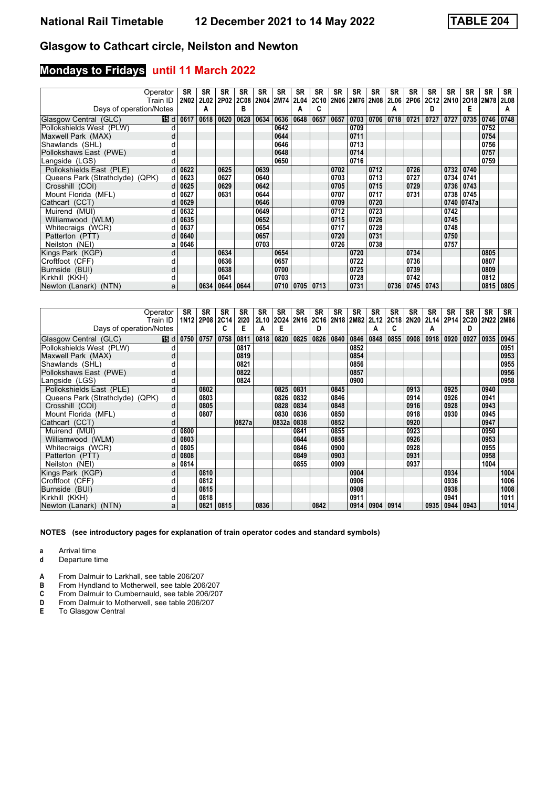## **Mondays to Fridays until 11 March 2022**

|                                 | Operator | <b>SR</b> | <b>SR</b>   | <b>SR</b>          | <b>SR</b> | <b>SR</b> | <b>SR</b> | <b>SR</b>          | SR   | SR          | SR   | <b>SR</b> | SR   | <b>SR</b>          | <b>SR</b> | <b>SR</b> | <b>SR</b>           | <b>SR</b> | SR          |
|---------------------------------|----------|-----------|-------------|--------------------|-----------|-----------|-----------|--------------------|------|-------------|------|-----------|------|--------------------|-----------|-----------|---------------------|-----------|-------------|
|                                 | Train ID | 2N02      | <b>2L02</b> | 2P02 2C08          |           |           | 2N04 2M74 | 2L04               | 2C10 | <b>2N06</b> |      | 2M76 2N08 | 2L06 | 2P06               |           |           | 2C12 2N10 2O18 2M78 |           | <b>2L08</b> |
| Days of operation/Notes         |          |           | A           |                    | в         |           |           |                    |      |             |      |           | А    |                    | D         |           | Е                   |           | A           |
| Glasgow Central (GLC)           |          | 15 d 0617 | 0618        | 0620               | 0628      | 0634      | 0636      | 0648               | 0657 | 0657        | 0703 | 0706      | 0718 | 0721               | 0727      | 0727      | 0735                | 0746      | 0748        |
| Pollokshields West (PLW)        |          |           |             |                    |           |           | 0642      |                    |      |             | 0709 |           |      |                    |           |           |                     | 0752      |             |
| Maxwell Park (MAX)              |          |           |             |                    |           |           | 0644      |                    |      |             | 0711 |           |      |                    |           |           |                     | 0754      |             |
| Shawlands (SHL)                 |          |           |             |                    |           |           | 0646      |                    |      |             | 0713 |           |      |                    |           |           |                     | 0756      |             |
| Pollokshaws East (PWE)          | d        |           |             |                    |           |           | 0648      |                    |      |             | 0714 |           |      |                    |           |           |                     | 0757      |             |
| Langside (LGS)                  |          |           |             |                    |           |           | 0650      |                    |      |             | 0716 |           |      |                    |           |           |                     | 0759      |             |
| Pollokshields East (PLE)        |          | 0622      |             | 0625               |           | 0639      |           |                    |      | 0702        |      | 0712      |      | 0726               |           | 0732      | 0740                |           |             |
| Queens Park (Strathclyde) (QPK) | d        | 0623      |             | 0627               |           | 0640      |           |                    |      | 0703        |      | 0713      |      | 0727               |           | 0734      | 0741                |           |             |
| Crosshill (COI)                 |          | 0625      |             | 0629               |           | 0642      |           |                    |      | 0705        |      | 0715      |      | 0729               |           | 0736      | 0743                |           |             |
| Mount Florida (MFL)             |          | 0627      |             | 0631               |           | 0644      |           |                    |      | 0707        |      | 0717      |      | 0731               |           | 0738      | 0745                |           |             |
| Cathcart (CCT)                  |          | 0629      |             |                    |           | 0646      |           |                    |      | 0709        |      | 0720      |      |                    |           |           | 0740 0747a          |           |             |
| Muirend (MUI)                   |          | 0632      |             |                    |           | 0649      |           |                    |      | 0712        |      | 0723      |      |                    |           | 0742      |                     |           |             |
| Williamwood (WLM)               |          | 0635      |             |                    |           | 0652      |           |                    |      | 0715        |      | 0726      |      |                    |           | 0745      |                     |           |             |
| Whitecraigs (WCR)               |          | 0637      |             |                    |           | 0654      |           |                    |      | 0717        |      | 0728      |      |                    |           | 0748      |                     |           |             |
| Patterton (PTT)                 |          | 0640      |             |                    |           | 0657      |           |                    |      | 0720        |      | 0731      |      |                    |           | 0750      |                     |           |             |
| Neilston (NEI)                  | а        | 0646      |             |                    |           | 0703      |           |                    |      | 0726        |      | 0738      |      |                    |           | 0757      |                     |           |             |
| Kings Park (KGP)                | d        |           |             | 0634               |           |           | 0654      |                    |      |             | 0720 |           |      | 0734               |           |           |                     | 0805      |             |
| Croftfoot (CFF)                 |          |           |             | 0636               |           |           | 0657      |                    |      |             | 0722 |           |      | 0736               |           |           |                     | 0807      |             |
| Burnside (BUI)                  | d        |           |             | 0638               |           |           | 0700      |                    |      |             | 0725 |           |      | 0739               |           |           |                     | 0809      |             |
| Kirkhill (KKH)                  |          |           |             | 0641               |           |           | 0703      |                    |      |             | 0728 |           |      | 0742               |           |           |                     | 0812      |             |
| Newton (Lanark) (NTN)           | a        |           |             | 0634   0644   0644 |           |           |           | 0710   0705   0713 |      |             | 0731 |           |      | 0736   0745   0743 |           |           |                     | 0815      | 0805        |

|                                 | Operator | SR   | SR             | <b>SR</b> | <b>SR</b> | <b>SR</b>   | <b>SR</b> | <b>SR</b>   | <b>SR</b>   | SR   | SR        | SR   | <b>SR</b> | SR   | <b>SR</b> | <b>SR</b> | <b>SR</b> | <b>SR</b>   | SR   |
|---------------------------------|----------|------|----------------|-----------|-----------|-------------|-----------|-------------|-------------|------|-----------|------|-----------|------|-----------|-----------|-----------|-------------|------|
|                                 | Train ID |      | 1N12 2P08 2C14 |           | 2120      | <b>2L10</b> | 2024      | <b>2N16</b> | <b>2C16</b> |      | 2N18 2M82 | 2L12 | 2C18      | 2N20 |           | 2L14 2P14 | 2C20      | <b>2N22</b> | 2M86 |
| Days of operation/Notes         |          |      |                | C         | Е         | А           | Е         |             | D           |      |           | А    | C         |      | А         |           | D         |             |      |
| Glasgow Central (GLC)           | 15 d     | 0750 | 0757           | 0758      | 0811      | 0818        | 0820      | 0825        | 0826        | 0840 | 0846      | 0848 | 0855      | 0908 | 0918      | 0920      | 0927      | 0935        | 0945 |
| Pollokshields West (PLW)        | d        |      |                |           | 0817      |             |           |             |             |      | 0852      |      |           |      |           |           |           |             | 0951 |
| Maxwell Park (MAX)              | d        |      |                |           | 0819      |             |           |             |             |      | 0854      |      |           |      |           |           |           |             | 0953 |
| Shawlands (SHL)                 |          |      |                |           | 0821      |             |           |             |             |      | 0856      |      |           |      |           |           |           |             | 0955 |
| Pollokshaws East (PWE)          | d        |      |                |           | 0822      |             |           |             |             |      | 0857      |      |           |      |           |           |           |             | 0956 |
| Langside (LGS)                  | d        |      |                |           | 0824      |             |           |             |             |      | 0900      |      |           |      |           |           |           |             | 0958 |
| Pollokshields East (PLE)        | d        |      | 0802           |           |           |             | 0825      | 0831        |             | 0845 |           |      |           | 0913 |           | 0925      |           | 0940        |      |
| Queens Park (Strathclyde) (QPK) | d        |      | 0803           |           |           |             | 0826      | 0832        |             | 0846 |           |      |           | 0914 |           | 0926      |           | 0941        |      |
| Crosshill (COI)                 | d        |      | 0805           |           |           |             | 0828      | 0834        |             | 0848 |           |      |           | 0916 |           | 0928      |           | 0943        |      |
| Mount Florida (MFL)             |          |      | 0807           |           |           |             | 0830      | 0836        |             | 0850 |           |      |           | 0918 |           | 0930      |           | 0945        |      |
| Cathcart (CCT)                  | d        |      |                |           | 0827a     |             | 0832a     | 0838        |             | 0852 |           |      |           | 0920 |           |           |           | 0947        |      |
| Muirend (MUI)                   | d        | 0800 |                |           |           |             |           | 0841        |             | 0855 |           |      |           | 0923 |           |           |           | 0950        |      |
| Williamwood (WLM)               | d        | 0803 |                |           |           |             |           | 0844        |             | 0858 |           |      |           | 0926 |           |           |           | 0953        |      |
| Whitecraigs (WCR)               |          | 0805 |                |           |           |             |           | 0846        |             | 0900 |           |      |           | 0928 |           |           |           | 0955        |      |
| Patterton (PTT)                 | d        | 0808 |                |           |           |             |           | 0849        |             | 0903 |           |      |           | 0931 |           |           |           | 0958        |      |
| Neilston (NEI)                  | а        | 0814 |                |           |           |             |           | 0855        |             | 0909 |           |      |           | 0937 |           |           |           | 1004        |      |
| Kings Park (KGP)                | d        |      | 0810           |           |           |             |           |             |             |      | 0904      |      |           |      |           | 0934      |           |             | 1004 |
| Croftfoot (CFF)                 | d        |      | 0812           |           |           |             |           |             |             |      | 0906      |      |           |      |           | 0936      |           |             | 1006 |
| Burnside (BUI)                  | d        |      | 0815           |           |           |             |           |             |             |      | 0908      |      |           |      |           | 0938      |           |             | 1008 |
| Kirkhill (KKH)                  | d        |      | 0818           |           |           |             |           |             |             |      | 0911      |      |           |      |           | 0941      |           |             | 1011 |
| Newton (Lanark) (NTN)           | a        |      | 0821           | 0815      |           | 0836        |           |             | 0842        |      | 0914      | 0904 | 0914      |      | 0935      | 0944      | 0943      |             | 1014 |

**NOTES (see introductory pages for explanation of train operator codes and standard symbols)**

**a** Arrival time<br>**d** Departure t

**d** Departure time

**A** From Dalmuir to Larkhall, see table 206/207<br>**B** From Hyndland to Motherwell, see table 206

**B** From Hyndland to Motherwell, see table 206/207<br>**C** From Dalmuir to Cumbernauld, see table 206/207

**C** From Dalmuir to Cumbernauld, see table 206/207<br>**D** From Dalmuir to Motherwell, see table 206/207

**D** From Dalmuir to Motherwell, see table 206/207<br>**E** To Glasgow Central

**(** To Glasgow Central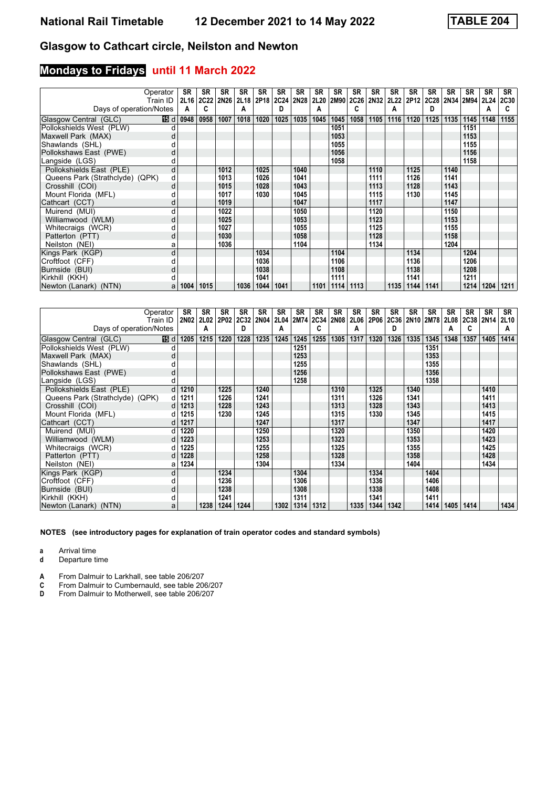## **Mondays to Fridays until 11 March 2022**

|                                 | Operator | <b>SR</b>        | <b>SR</b>   | <b>SR</b>                | <b>SR</b> | <b>SR</b> | <b>SR</b> | <b>SR</b> | SR   | <b>SR</b>      | SR            | <b>SR</b> | SR   | <b>SR</b>                               | SR   | <b>SR</b> | <b>SR</b> | <b>SR</b> | <b>SR</b>   |
|---------------------------------|----------|------------------|-------------|--------------------------|-----------|-----------|-----------|-----------|------|----------------|---------------|-----------|------|-----------------------------------------|------|-----------|-----------|-----------|-------------|
|                                 | Train ID | 2L16             | <b>2C22</b> | 2N26 2L18 2P18 2C24 2N28 |           |           |           |           |      | 2L20 2M90 2C26 |               | 2N32      |      | 2L22   2P12   2C28   2N34   2M94   2L24 |      |           |           |           | <b>2C30</b> |
| Days of operation/Notes         |          | A                | C           |                          | А         |           | D         |           | А    |                |               |           | А    |                                         | D    |           |           | Α         |             |
| Glasgow Central (GLC)           |          | <b>15</b> d 0948 | 0958        | 1007                     | 1018      | 1020      | 1025      | 1035      | 1045 | 1045           | 1058          | 1105      | 1116 | 1120                                    | 1125 | 1135      | 1145      | 1148      | 1155        |
| Pollokshields West (PLW)        |          |                  |             |                          |           |           |           |           |      | 1051           |               |           |      |                                         |      |           | 1151      |           |             |
| Maxwell Park (MAX)              |          |                  |             |                          |           |           |           |           |      | 1053           |               |           |      |                                         |      |           | 1153      |           |             |
| Shawlands (SHL)                 |          |                  |             |                          |           |           |           |           |      | 1055           |               |           |      |                                         |      |           | 1155      |           |             |
| Pollokshaws East (PWE)          |          |                  |             |                          |           |           |           |           |      | 1056           |               |           |      |                                         |      |           | 1156      |           |             |
| Langside (LGS)                  |          |                  |             |                          |           |           |           |           |      | 1058           |               |           |      |                                         |      |           | 1158      |           |             |
| Pollokshields East (PLE)        | d        |                  |             | 1012                     |           | 1025      |           | 1040      |      |                |               | 1110      |      | 1125                                    |      | 1140      |           |           |             |
| Queens Park (Strathclyde) (QPK) | d        |                  |             | 1013                     |           | 1026      |           | 1041      |      |                |               | 1111      |      | 1126                                    |      | 1141      |           |           |             |
| Crosshill (COI)                 |          |                  |             | 1015                     |           | 1028      |           | 1043      |      |                |               | 1113      |      | 1128                                    |      | 1143      |           |           |             |
| Mount Florida (MFL)             |          |                  |             | 1017                     |           | 1030      |           | 1045      |      |                |               | 1115      |      | 1130                                    |      | 1145      |           |           |             |
| Cathcart (CCT)                  |          |                  |             | 1019                     |           |           |           | 1047      |      |                |               | 1117      |      |                                         |      | 1147      |           |           |             |
| Muirend (MUI)                   |          |                  |             | 1022                     |           |           |           | 1050      |      |                |               | 1120      |      |                                         |      | 1150      |           |           |             |
| Williamwood (WLM)               | d        |                  |             | 1025                     |           |           |           | 1053      |      |                |               | 1123      |      |                                         |      | 1153      |           |           |             |
| Whitecraigs (WCR)               |          |                  |             | 1027                     |           |           |           | 1055      |      |                |               | 1125      |      |                                         |      | 1155      |           |           |             |
| Patterton (PTT)                 | d        |                  |             | 1030                     |           |           |           | 1058      |      |                |               | 1128      |      |                                         |      | 1158      |           |           |             |
| Neilston (NEI)                  | а        |                  |             | 1036                     |           |           |           | 1104      |      |                |               | 1134      |      |                                         |      | 1204      |           |           |             |
| Kings Park (KGP)                | d        |                  |             |                          |           | 1034      |           |           |      | 1104           |               |           |      | 1134                                    |      |           | 1204      |           |             |
| Croftfoot (CFF)                 |          |                  |             |                          |           | 1036      |           |           |      | 1106           |               |           |      | 1136                                    |      |           | 1206      |           |             |
| Burnside (BUI)                  |          |                  |             |                          |           | 1038      |           |           |      | 1108           |               |           |      | 1138                                    |      |           | 1208      |           |             |
| Kirkhill (KKH)                  |          |                  |             |                          |           | 1041      |           |           |      | 1111           |               |           |      | 1141                                    |      |           | 1211      |           |             |
| Newton (Lanark) (NTN)           | a        | 1004             | 1015        |                          | 1036      | 1044      | 1041      |           | 1101 |                | $1114$   1113 |           | 1135 | 1144                                    | 1141 |           | 1214      | 1204      | 1211        |

|                                 | Operator<br>Train ID | SR<br>2N02 | SR<br><b>2L02</b> | <b>SR</b><br>2P02 | <b>SR</b><br>2C32 2N04 | <b>SR</b> | <b>SR</b><br><b>2L04</b> | <b>SR</b><br>2M74 2C34 | SR   | SR<br><b>2N08</b> | SR<br>2L06 | SR<br>2P06 | SR<br>2C36 | SR   | <b>SR</b><br>2N10 2M78 | <b>SR</b><br>2L08 | <b>SR</b><br>2C38 2N14 | SR   | SR<br><b>2L10</b> |
|---------------------------------|----------------------|------------|-------------------|-------------------|------------------------|-----------|--------------------------|------------------------|------|-------------------|------------|------------|------------|------|------------------------|-------------------|------------------------|------|-------------------|
| Days of operation/Notes         |                      |            | A                 |                   | D                      |           | А                        |                        | C    |                   | A          |            | D          |      |                        | А                 | c                      |      | А                 |
| Glasgow Central (GLC)           | 16 d                 | 1205       | 1215              | 1220              | 1228                   | 1235      | 1245                     | 1245                   | 1255 | 1305              | 1317       | 1320       | 1326       | 1335 | 1345                   | 1348              | 1357                   | 1405 | 1414              |
| Pollokshields West (PLW)        | d                    |            |                   |                   |                        |           |                          | 1251                   |      |                   |            |            |            |      | 1351                   |                   |                        |      |                   |
| Maxwell Park (MAX)              | d                    |            |                   |                   |                        |           |                          | 1253                   |      |                   |            |            |            |      | 1353                   |                   |                        |      |                   |
| Shawlands (SHL)                 |                      |            |                   |                   |                        |           |                          | 1255                   |      |                   |            |            |            |      | 1355                   |                   |                        |      |                   |
| Pollokshaws East (PWE)          | d                    |            |                   |                   |                        |           |                          | 1256                   |      |                   |            |            |            |      | 1356                   |                   |                        |      |                   |
| Langside (LGS)                  |                      |            |                   |                   |                        |           |                          | 1258                   |      |                   |            |            |            |      | 1358                   |                   |                        |      |                   |
| Pollokshields East (PLE)        | d                    | 1210       |                   | 1225              |                        | 1240      |                          |                        |      | 1310              |            | 1325       |            | 1340 |                        |                   |                        | 1410 |                   |
| Queens Park (Strathclyde) (QPK) | d                    | 1211       |                   | 1226              |                        | 1241      |                          |                        |      | 1311              |            | 1326       |            | 1341 |                        |                   |                        | 1411 |                   |
| Crosshill (COI)                 | d                    | 1213       |                   | 1228              |                        | 1243      |                          |                        |      | 1313              |            | 1328       |            | 1343 |                        |                   |                        | 1413 |                   |
| Mount Florida (MFL)             |                      | 1215       |                   | 1230              |                        | 1245      |                          |                        |      | 1315              |            | 1330       |            | 1345 |                        |                   |                        | 1415 |                   |
| Cathcart (CCT)                  |                      | 1217       |                   |                   |                        | 1247      |                          |                        |      | 1317              |            |            |            | 1347 |                        |                   |                        | 1417 |                   |
| Muirend (MUI)                   | d                    | 1220       |                   |                   |                        | 1250      |                          |                        |      | 1320              |            |            |            | 1350 |                        |                   |                        | 1420 |                   |
| Williamwood (WLM)               | d                    | 1223       |                   |                   |                        | 1253      |                          |                        |      | 1323              |            |            |            | 1353 |                        |                   |                        | 1423 |                   |
| Whitecraigs (WCR)               |                      | 1225       |                   |                   |                        | 1255      |                          |                        |      | 1325              |            |            |            | 1355 |                        |                   |                        | 1425 |                   |
| Patterton (PTT)                 | d                    | 1228       |                   |                   |                        | 1258      |                          |                        |      | 1328              |            |            |            | 1358 |                        |                   |                        | 1428 |                   |
| Neilston (NEI)                  | а                    | 1234       |                   |                   |                        | 1304      |                          |                        |      | 1334              |            |            |            | 1404 |                        |                   |                        | 1434 |                   |
| Kings Park (KGP)                | d                    |            |                   | 1234              |                        |           |                          | 1304                   |      |                   |            | 1334       |            |      | 1404                   |                   |                        |      |                   |
| Croftfoot (CFF)                 | d                    |            |                   | 1236              |                        |           |                          | 1306                   |      |                   |            | 1336       |            |      | 1406                   |                   |                        |      |                   |
| Burnside (BUI)                  | d                    |            |                   | 1238              |                        |           |                          | 1308                   |      |                   |            | 1338       |            |      | 1408                   |                   |                        |      |                   |
| Kirkhill (KKH)                  | d                    |            |                   | 1241              |                        |           |                          | 1311                   |      |                   |            | 1341       |            |      | 1411                   |                   |                        |      |                   |
| Newton (Lanark) (NTN)           | a                    |            | 1238              | 1244              | 1244                   |           | 1302                     | 1314                   | 1312 |                   | 1335       | 1344       | 1342       |      | 1414                   | 1405              | 1414                   |      | 1434              |

**NOTES (see introductory pages for explanation of train operator codes and standard symbols)**

**a** Arrival time<br>**d** Departure t

**d** Departure time

**A** From Dalmuir to Larkhall, see table 206/207<br>**C** From Dalmuir to Cumbernauld, see table 200<br>**D** From Dalmuir to Motherwell, see table 206/2

From Dalmuir to Cumbernauld, see table 206/207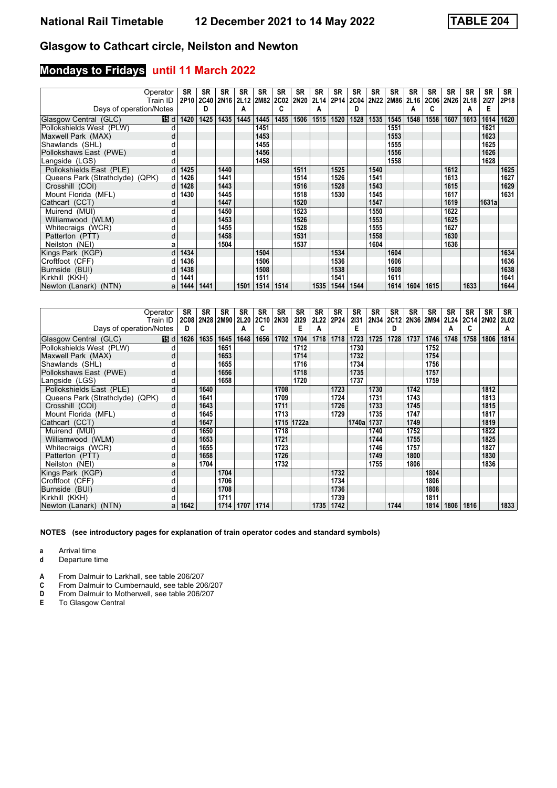## **Mondays to Fridays until 11 March 2022**

|                                 | Operator     | <b>SR</b> | <b>SR</b> | <b>SR</b>        | <b>SR</b> | <b>SR</b> | <b>SR</b>      | <b>SR</b>   | <b>SR</b> | <b>SR</b> | SR          | <b>SR</b> | SR        | <b>SR</b> | <b>SR</b>   | <b>SR</b>   | <b>SR</b> | <b>SR</b> | <b>SR</b> |
|---------------------------------|--------------|-----------|-----------|------------------|-----------|-----------|----------------|-------------|-----------|-----------|-------------|-----------|-----------|-----------|-------------|-------------|-----------|-----------|-----------|
|                                 | Train ID     |           | 2P10 2C40 | 2N <sub>16</sub> |           |           | 2L12 2M82 2C02 | <b>2N20</b> |           | 2L14 2P14 | <b>2C04</b> |           | 2N22 2M86 | 2L16      | <b>2C06</b> | <b>2N26</b> | 2L18      | 2127      | 2P18      |
| Days of operation/Notes         |              |           | D         |                  | А         |           | C.             |             | А         |           | D           |           |           | A         | C           |             | Α         | Е         |           |
| Glasgow Central (GLC)           | 15 d         | 1420      | 1425      | 1435             | 1445      | 1445      | 1455           | 1506        | 1515      | 1520      | 1528        | 1535      | 1545      | 1548      | 1558        | 1607        | 1613      | 1614      | 1620      |
| Pollokshields West (PLW)        |              |           |           |                  |           | 1451      |                |             |           |           |             |           | 1551      |           |             |             |           | 1621      |           |
| Maxwell Park (MAX)              |              |           |           |                  |           | 1453      |                |             |           |           |             |           | 1553      |           |             |             |           | 1623      |           |
| Shawlands (SHL)                 |              |           |           |                  |           | 1455      |                |             |           |           |             |           | 1555      |           |             |             |           | 1625      |           |
| Pollokshaws East (PWE)          | d            |           |           |                  |           | 1456      |                |             |           |           |             |           | 1556      |           |             |             |           | 1626      |           |
| Langside (LGS)                  |              |           |           |                  |           | 1458      |                |             |           |           |             |           | 1558      |           |             |             |           | 1628      |           |
| Pollokshields East (PLE)        | d            | 1425      |           | 1440             |           |           |                | 1511        |           | 1525      |             | 1540      |           |           |             | 1612        |           |           | 1625      |
| Queens Park (Strathclyde) (QPK) | d.           | 1426      |           | 1441             |           |           |                | 1514        |           | 1526      |             | 1541      |           |           |             | 1613        |           |           | 1627      |
| Crosshill (COI)                 |              | 1428      |           | 1443             |           |           |                | 1516        |           | 1528      |             | 1543      |           |           |             | 1615        |           |           | 1629      |
| Mount Florida (MFL)             |              | 1430      |           | 1445             |           |           |                | 1518        |           | 1530      |             | 1545      |           |           |             | 1617        |           |           | 1631      |
| Cathcart (CCT)                  | d            |           |           | 1447             |           |           |                | 1520        |           |           |             | 1547      |           |           |             | 1619        |           | 1631al    |           |
| Muirend (MUI)                   |              |           |           | 1450             |           |           |                | 1523        |           |           |             | 1550      |           |           |             | 1622        |           |           |           |
| Williamwood (WLM)               | d            |           |           | 1453             |           |           |                | 1526        |           |           |             | 1553      |           |           |             | 1625        |           |           |           |
| Whitecraigs (WCR)               |              |           |           | 1455             |           |           |                | 1528        |           |           |             | 1555      |           |           |             | 1627        |           |           |           |
| Patterton (PTT)                 | d            |           |           | 1458             |           |           |                | 1531        |           |           |             | 1558      |           |           |             | 1630        |           |           |           |
| Neilston (NEI)                  | a            |           |           | 1504             |           |           |                | 1537        |           |           |             | 1604      |           |           |             | 1636        |           |           |           |
| Kings Park (KGP)                | <sub>d</sub> | 1434      |           |                  |           | 1504      |                |             |           | 1534      |             |           | 1604      |           |             |             |           |           | 1634      |
| Croftfoot (CFF)                 |              | 1436      |           |                  |           | 1506      |                |             |           | 1536      |             |           | 1606      |           |             |             |           |           | 1636      |
| Burnside (BUI)                  | d            | 1438      |           |                  |           | 1508      |                |             |           | 1538      |             |           | 1608      |           |             |             |           |           | 1638      |
| Kirkhill (KKH)                  | d            | 1441      |           |                  |           | 1511      |                |             |           | 1541      |             |           | 1611      |           |             |             |           |           | 1641      |
| Newton (Lanark) (NTN)           | a            | 1444      | 1441      |                  | 1501      | 1514      | 1514           |             | 1535      | 1544      | 1544        |           | 1614      | 1604      | 1615        |             | 1633      |           | 1644      |

|                                 | Operator | SR   | SR                            | <b>SR</b> | <b>SR</b> | <b>SR</b> | <b>SR</b> | <b>SR</b>  | SR               | SR   | SR    | SR   | SR   | <b>SR</b> | <b>SR</b>      | <b>SR</b> | <b>SR</b>      | SR   | SR          |
|---------------------------------|----------|------|-------------------------------|-----------|-----------|-----------|-----------|------------|------------------|------|-------|------|------|-----------|----------------|-----------|----------------|------|-------------|
|                                 | Train ID |      | 2C08 2N28 2M90 2L20 2C10 2N30 |           |           |           |           | 2129       | 2L <sub>22</sub> | 2P24 | 2131  | 2N34 |      |           | 2C12 2N36 2M94 |           | 2L24 2C14 2N02 |      | <b>2L02</b> |
| Days of operation/Notes         |          | D    |                               |           | А         | c         |           | E          | A                |      | Е     |      | D    |           |                | A         | c              |      | A           |
| Glasgow Central (GLC)           | 16 d     | 1626 | 1635                          | 1645      | 1648      | 1656      | 1702      | 1704       | 1718             | 1718 | 1723  | 1725 | 1728 | 1737      | 1746           | 1748      | 1758           | 1806 | 1814        |
| Pollokshields West (PLW)        | d        |      |                               | 1651      |           |           |           | 1712       |                  |      | 1730  |      |      |           | 1752           |           |                |      |             |
| Maxwell Park (MAX)              | d        |      |                               | 1653      |           |           |           | 1714       |                  |      | 1732  |      |      |           | 1754           |           |                |      |             |
| Shawlands (SHL)                 |          |      |                               | 1655      |           |           |           | 1716       |                  |      | 1734  |      |      |           | 1756           |           |                |      |             |
| Pollokshaws East (PWE)          | d        |      |                               | 1656      |           |           |           | 1718       |                  |      | 1735  |      |      |           | 1757           |           |                |      |             |
| Langside (LGS)                  | d        |      |                               | 1658      |           |           |           | 1720       |                  |      | 1737  |      |      |           | 1759           |           |                |      |             |
| Pollokshields East (PLE)        | d        |      | 1640                          |           |           |           | 1708      |            |                  | 1723 |       | 1730 |      | 1742      |                |           |                | 1812 |             |
| Queens Park (Strathclyde) (QPK) | d        |      | 1641                          |           |           |           | 1709      |            |                  | 1724 |       | 1731 |      | 1743      |                |           |                | 1813 |             |
| Crosshill (COI)                 | d        |      | 1643                          |           |           |           | 1711      |            |                  | 1726 |       | 1733 |      | 1745      |                |           |                | 1815 |             |
| Mount Florida (MFL)             |          |      | 1645                          |           |           |           | 1713      |            |                  | 1729 |       | 1735 |      | 1747      |                |           |                | 1817 |             |
| Cathcart (CCT)                  | d        |      | 1647                          |           |           |           |           | 1715 1722a |                  |      | 1740a | 1737 |      | 1749      |                |           |                | 1819 |             |
| Muirend (MUI)                   | d        |      | 1650                          |           |           |           | 1718      |            |                  |      |       | 1740 |      | 1752      |                |           |                | 1822 |             |
| Williamwood (WLM)               | d        |      | 1653                          |           |           |           | 1721      |            |                  |      |       | 1744 |      | 1755      |                |           |                | 1825 |             |
| Whitecraigs (WCR)               |          |      | 1655                          |           |           |           | 1723      |            |                  |      |       | 1746 |      | 1757      |                |           |                | 1827 |             |
| Patterton (PTT)                 | d        |      | 1658                          |           |           |           | 1726      |            |                  |      |       | 1749 |      | 1800      |                |           |                | 1830 |             |
| Neilston (NEI)                  | а        |      | 1704                          |           |           |           | 1732      |            |                  |      |       | 1755 |      | 1806      |                |           |                | 1836 |             |
| Kings Park (KGP)                | d        |      |                               | 1704      |           |           |           |            |                  | 1732 |       |      |      |           | 1804           |           |                |      |             |
| Croftfoot (CFF)                 |          |      |                               | 1706      |           |           |           |            |                  | 1734 |       |      |      |           | 1806           |           |                |      |             |
| Burnside (BUI)                  | d        |      |                               | 1708      |           |           |           |            |                  | 1736 |       |      |      |           | 1808           |           |                |      |             |
| Kirkhill (KKH)                  |          |      |                               | 1711      |           |           |           |            |                  | 1739 |       |      |      |           | 1811           |           |                |      |             |
| Newton (Lanark) (NTN)           | a        | 1642 |                               | 1714      | 1707      | 1714      |           |            | 1735             | 1742 |       |      | 1744 |           | 1814           | 1806      | 1816           |      | 1833        |

**NOTES (see introductory pages for explanation of train operator codes and standard symbols)**

**a** Arrival time<br>**d** Departure t

**d** Departure time

**A** From Dalmuir to Larkhall, see table 206/207<br>**C** From Dalmuir to Cumbernauld, see table 200

**C** From Dalmuir to Cumbernauld, see table 206/207<br>**D** From Dalmuir to Motherwell, see table 206/207

**D** From Dalmuir to Motherwell, see table 206/207<br>**E** To Glasgow Central

**(** To Glasgow Central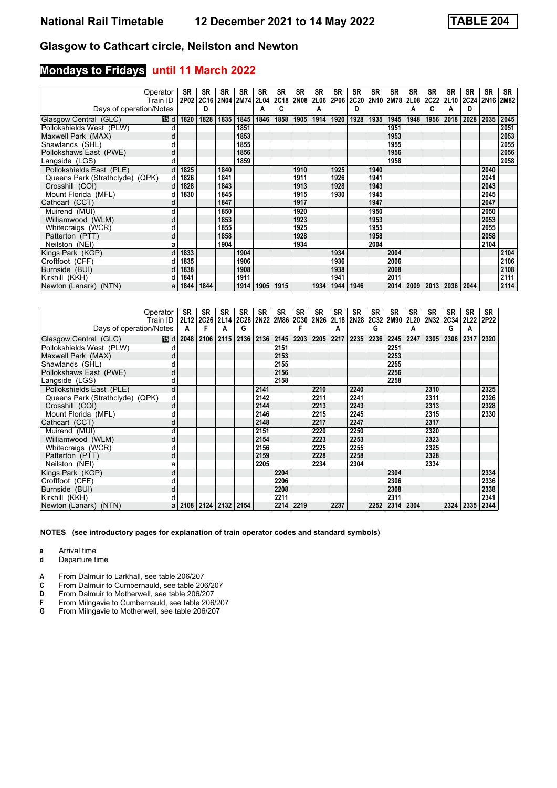# **Mondays to Fridays until 11 March 2022**

|                                 | Operator | SR   | <b>SR</b> | <b>SR</b> | <b>SR</b> | <b>SR</b>   | <b>SR</b>   | <b>SR</b>   | <b>SR</b> | SR   | <b>SR</b>   | SR   | <b>SR</b> | <b>SR</b>   | <b>SR</b>   | <b>SR</b> | <b>SR</b> | <b>SR</b> | <b>SR</b> |
|---------------------------------|----------|------|-----------|-----------|-----------|-------------|-------------|-------------|-----------|------|-------------|------|-----------|-------------|-------------|-----------|-----------|-----------|-----------|
|                                 | Train ID | 2P02 | 2C16      |           | 2N04 2M74 | <b>2L04</b> | <b>2C18</b> | <b>2N08</b> | 2L06      | 2P06 | <b>2C20</b> |      | 2N10 2M78 | 2L08        | <b>2C22</b> | 2L10      | 2C24      |           | 2N16 2M82 |
| Days of operation/Notes         |          |      | D         |           |           | А           |             |             | A         |      | D           |      |           | А           | C           | А         | D         |           |           |
| Glasgow Central (GLC)           | 16 d     | 1820 | 1828      | 1835      | 1845      | 1846        | 1858        | 1905        | 1914      | 1920 | 1928        | 1935 | 1945      | 1948        | 1956        | 2018      | 2028      | 2035      | 2045      |
| Pollokshields West (PLW)        |          |      |           |           | 1851      |             |             |             |           |      |             |      | 1951      |             |             |           |           |           | 2051      |
| Maxwell Park (MAX)              |          |      |           |           | 1853      |             |             |             |           |      |             |      | 1953      |             |             |           |           |           | 2053      |
| Shawlands (SHL)                 |          |      |           |           | 1855      |             |             |             |           |      |             |      | 1955      |             |             |           |           |           | 2055      |
| Pollokshaws East (PWE)          | d        |      |           |           | 1856      |             |             |             |           |      |             |      | 1956      |             |             |           |           |           | 2056      |
| Langside (LGS)                  |          |      |           |           | 1859      |             |             |             |           |      |             |      | 1958      |             |             |           |           |           | 2058      |
| Pollokshields East (PLE)        |          | 1825 |           | 1840      |           |             |             | 1910        |           | 1925 |             | 1940 |           |             |             |           |           | 2040      |           |
| Queens Park (Strathclyde) (QPK) | d        | 1826 |           | 1841      |           |             |             | 1911        |           | 1926 |             | 1941 |           |             |             |           |           | 2041      |           |
| Crosshill (COI)                 |          | 1828 |           | 1843      |           |             |             | 1913        |           | 1928 |             | 1943 |           |             |             |           |           | 2043      |           |
| Mount Florida (MFL)             |          | 1830 |           | 1845      |           |             |             | 1915        |           | 1930 |             | 1945 |           |             |             |           |           | 2045      |           |
| Cathcart (CCT)                  |          |      |           | 1847      |           |             |             | 1917        |           |      |             | 1947 |           |             |             |           |           | 2047      |           |
| Muirend (MUI)                   |          |      |           | 1850      |           |             |             | 1920        |           |      |             | 1950 |           |             |             |           |           | 2050      |           |
| Williamwood (WLM)               | d        |      |           | 1853      |           |             |             | 1923        |           |      |             | 1953 |           |             |             |           |           | 2053      |           |
| Whitecraigs (WCR)               |          |      |           | 1855      |           |             |             | 1925        |           |      |             | 1955 |           |             |             |           |           | 2055      |           |
| Patterton (PTT)                 | d        |      |           | 1858      |           |             |             | 1928        |           |      |             | 1958 |           |             |             |           |           | 2058      |           |
| Neilston (NEI)                  | а        |      |           | 1904      |           |             |             | 1934        |           |      |             | 2004 |           |             |             |           |           | 2104      |           |
| Kings Park (KGP)                | h        | 1833 |           |           | 1904      |             |             |             |           | 1934 |             |      | 2004      |             |             |           |           |           | 2104      |
| Croftfoot (CFF)                 |          | 1835 |           |           | 1906      |             |             |             |           | 1936 |             |      | 2006      |             |             |           |           |           | 2106      |
| Burnside (BUI)                  |          | 1838 |           |           | 1908      |             |             |             |           | 1938 |             |      | 2008      |             |             |           |           |           | 2108      |
| Kirkhill (KKH)                  |          | 1841 |           |           | 1911      |             |             |             |           | 1941 |             |      | 2011      |             |             |           |           |           | 2111      |
| Newton (Lanark) (NTN)           | a        | 1844 | 1844      |           | 1914      | 1905        | 1915        |             | 1934      | 1944 | 1946        |      |           | 2014   2009 |             | 2013 2036 | 2044      |           | 2114      |

|                                 | Operator<br>Train ID | <b>SR</b><br>2L12 | SR   | <b>SR</b> | <b>SR</b><br>2C26 2L14 2C28 | <b>SR</b> | <b>SR</b><br>2N22 2M86 | SR<br>2C30 | <b>SR</b><br><b>2N26</b> | SR<br>2L18 | SR<br>2N28 | <b>SR</b> | <b>SR</b><br>2C32 2M90 | <b>SR</b><br><b>2L20</b> | <b>SR</b><br><b>2N32</b> | SR<br>2C34 2L22 | <b>SR</b> | SR<br>2P22 |
|---------------------------------|----------------------|-------------------|------|-----------|-----------------------------|-----------|------------------------|------------|--------------------------|------------|------------|-----------|------------------------|--------------------------|--------------------------|-----------------|-----------|------------|
| Days of operation/Notes         |                      | A                 | F    | А         | G                           |           |                        |            |                          | А          |            | G         |                        | A                        |                          | G               | А         |            |
| Glasgow Central (GLC)           | 16 d                 | 2048              | 2106 | 2115      |                             | 2136 2136 | 2145                   | 2203       | 2205                     | 2217       | 2235       | 2236      | 2245                   | 2247                     | 2305                     | 2306            | 2317      | 2320       |
| Pollokshields West (PLW)        | d                    |                   |      |           |                             |           | 2151                   |            |                          |            |            |           | 2251                   |                          |                          |                 |           |            |
| Maxwell Park (MAX)              | d                    |                   |      |           |                             |           | 2153                   |            |                          |            |            |           | 2253                   |                          |                          |                 |           |            |
| Shawlands (SHL)                 |                      |                   |      |           |                             |           | 2155                   |            |                          |            |            |           | 2255                   |                          |                          |                 |           |            |
| Pollokshaws East (PWE)          | d                    |                   |      |           |                             |           | 2156                   |            |                          |            |            |           | 2256                   |                          |                          |                 |           |            |
| Langside (LGS)                  | d                    |                   |      |           |                             |           | 2158                   |            |                          |            |            |           | 2258                   |                          |                          |                 |           |            |
| Pollokshields East (PLE)        | d                    |                   |      |           |                             | 2141      |                        |            | 2210                     |            | 2240       |           |                        |                          | 2310                     |                 |           | 2325       |
| Queens Park (Strathclyde) (QPK) | d                    |                   |      |           |                             | 2142      |                        |            | 2211                     |            | 2241       |           |                        |                          | 2311                     |                 |           | 2326       |
| Crosshill (COI)                 | d                    |                   |      |           |                             | 2144      |                        |            | 2213                     |            | 2243       |           |                        |                          | 2313                     |                 |           | 2328       |
| Mount Florida (MFL)             |                      |                   |      |           |                             | 2146      |                        |            | 2215                     |            | 2245       |           |                        |                          | 2315                     |                 |           | 2330       |
| Cathcart (CCT)                  | d                    |                   |      |           |                             | 2148      |                        |            | 2217                     |            | 2247       |           |                        |                          | 2317                     |                 |           |            |
| Muirend (MUI)                   | d                    |                   |      |           |                             | 2151      |                        |            | 2220                     |            | 2250       |           |                        |                          | 2320                     |                 |           |            |
| Williamwood (WLM)               | d                    |                   |      |           |                             | 2154      |                        |            | 2223                     |            | 2253       |           |                        |                          | 2323                     |                 |           |            |
| Whitecraigs (WCR)               |                      |                   |      |           |                             | 2156      |                        |            | 2225                     |            | 2255       |           |                        |                          | 2325                     |                 |           |            |
| Patterton (PTT)                 | d                    |                   |      |           |                             | 2159      |                        |            | 2228                     |            | 2258       |           |                        |                          | 2328                     |                 |           |            |
| Neilston (NEI)                  | a                    |                   |      |           |                             | 2205      |                        |            | 2234                     |            | 2304       |           |                        |                          | 2334                     |                 |           |            |
| Kings Park (KGP)                | d                    |                   |      |           |                             |           | 2204                   |            |                          |            |            |           | 2304                   |                          |                          |                 |           | 2334       |
| Croftfoot (CFF)                 |                      |                   |      |           |                             |           | 2206                   |            |                          |            |            |           | 2306                   |                          |                          |                 |           | 2336       |
| Burnside (BUI)                  | d                    |                   |      |           |                             |           | 2208                   |            |                          |            |            |           | 2308                   |                          |                          |                 |           | 2338       |
| Kirkhill (KKH)                  |                      |                   |      |           |                             |           | 2211                   |            |                          |            |            |           | 2311                   |                          |                          |                 |           | 2341       |
| Newton (Lanark) (NTN)           | a                    | 2108              | 2124 | 2132      | 2154                        |           | 2214                   | 2219       |                          | 2237       |            | 2252      | 2314                   | 2304                     |                          | 2324            | 2335      | 2344       |

**NOTES (see introductory pages for explanation of train operator codes and standard symbols)**

**a** Arrival time<br>**d** Departure t

**d** Departure time

**A** From Dalmuir to Larkhall, see table 206/207<br>**C** From Dalmuir to Cumbernauld, see table 20

**C** From Dalmuir to Cumbernauld, see table 206/207<br>**D** From Dalmuir to Motherwell, see table 206/207

**D** From Dalmuir to Motherwell, see table 206/207<br>**F** From Milngavie to Cumbernauld, see table 206

**F** From Milngavie to Cumbernauld, see table 206/207<br>**G** From Milngavie to Motherwell, see table 206/207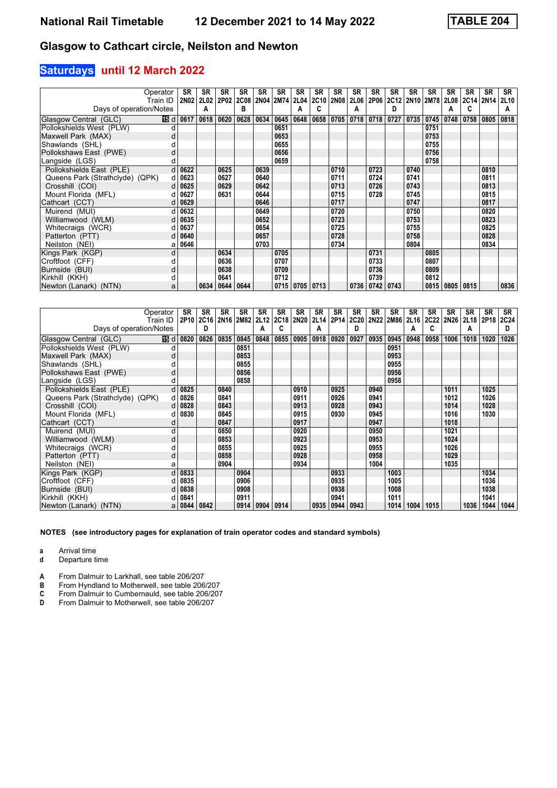## **Saturdays until 12 March 2022**

|                                 | Operator | <b>SR</b> | <b>SR</b> | <b>SR</b>          | <b>SR</b> | SR   | <b>SR</b> | <b>SR</b>            | SR   | SR   | SR          | <b>SR</b>        | SR   | <b>SR</b>      | SR   | <b>SR</b>      | <b>SR</b>      | <b>SR</b> | SR          |
|---------------------------------|----------|-----------|-----------|--------------------|-----------|------|-----------|----------------------|------|------|-------------|------------------|------|----------------|------|----------------|----------------|-----------|-------------|
|                                 | Train ID | 2N02      | 2L02      | 2P02               | 2C08      |      | 2N04 2M74 | <b>2L04</b>          | 2C10 | 2N08 | <b>2L06</b> | 2P06             |      | 2C12 2N10 2M78 |      |                | 2L08 2C14 2N14 |           | <b>2L10</b> |
| Days of operation/Notes         |          |           | A         |                    | в         |      |           |                      |      |      | А           |                  | D    |                |      | А              | c              |           | А           |
| Glasgow Central (GLC)           |          | 15 d 0617 | 0618      | 0620               | 0628      | 0634 | 0645      | 0648                 | 0658 | 0705 | 0718        | 0718             | 0727 | 0735           | 0745 | 0748           | 0758           | 0805      | 0818        |
| Pollokshields West (PLW)        |          |           |           |                    |           |      | 0651      |                      |      |      |             |                  |      |                | 0751 |                |                |           |             |
| Maxwell Park (MAX)              | d        |           |           |                    |           |      | 0653      |                      |      |      |             |                  |      |                | 0753 |                |                |           |             |
| Shawlands (SHL)                 |          |           |           |                    |           |      | 0655      |                      |      |      |             |                  |      |                | 0755 |                |                |           |             |
| Pollokshaws East (PWE)          | d        |           |           |                    |           |      | 0656      |                      |      |      |             |                  |      |                | 0756 |                |                |           |             |
| Langside (LGS)                  |          |           |           |                    |           |      | 0659      |                      |      |      |             |                  |      |                | 0758 |                |                |           |             |
| Pollokshields East (PLE)        | d        | 0622      |           | 0625               |           | 0639 |           |                      |      | 0710 |             | 0723             |      | 0740           |      |                |                | 0810      |             |
| Queens Park (Strathclyde) (QPK) | d        | 0623      |           | 0627               |           | 0640 |           |                      |      | 0711 |             | 0724             |      | 0741           |      |                |                | 0811      |             |
| Crosshill (COI)                 |          | 0625      |           | 0629               |           | 0642 |           |                      |      | 0713 |             | 0726             |      | 0743           |      |                |                | 0813      |             |
| Mount Florida (MFL)             |          | 0627      |           | 0631               |           | 0644 |           |                      |      | 0715 |             | 0728             |      | 0745           |      |                |                | 0815      |             |
| Cathcart (CCT)                  |          | 0629      |           |                    |           | 0646 |           |                      |      | 0717 |             |                  |      | 0747           |      |                |                | 0817      |             |
| Muirend (MUI)                   |          | 0632      |           |                    |           | 0649 |           |                      |      | 0720 |             |                  |      | 0750           |      |                |                | 0820      |             |
| Williamwood (WLM)               |          | 0635      |           |                    |           | 0652 |           |                      |      | 0723 |             |                  |      | 0753           |      |                |                | 0823      |             |
| Whitecraigs (WCR)               |          | 0637      |           |                    |           | 0654 |           |                      |      | 0725 |             |                  |      | 0755           |      |                |                | 0825      |             |
| Patterton (PTT)                 |          | 0640      |           |                    |           | 0657 |           |                      |      | 0728 |             |                  |      | 0758           |      |                |                | 0828      |             |
| Neilston (NEI)                  | а        | 0646      |           |                    |           | 0703 |           |                      |      | 0734 |             |                  |      | 0804           |      |                |                | 0834      |             |
| Kings Park (KGP)                | d        |           |           | 0634               |           |      | 0705      |                      |      |      |             | 0731             |      |                | 0805 |                |                |           |             |
| Croftfoot (CFF)                 |          |           |           | 0636               |           |      | 0707      |                      |      |      |             | 0733             |      |                | 0807 |                |                |           |             |
| Burnside (BUI)                  | d        |           |           | 0638               |           |      | 0709      |                      |      |      |             | 0736             |      |                | 0809 |                |                |           |             |
| Kirkhill (KKH)                  |          |           |           | 0641               |           |      | 0712      |                      |      |      |             | 0739             |      |                | 0812 |                |                |           |             |
| Newton (Lanark) (NTN)           | a        |           |           | 0634   0644   0644 |           |      |           | $0715$   0705   0713 |      |      |             | $0736$ 0742 0743 |      |                |      | 0815 0805 0815 |                |           | 0836        |

|                                 | Operator         | SR          | <b>SR</b> | SR   | <b>SR</b> | <b>SR</b>      | <b>SR</b> | <b>SR</b>   | SR   | SR   | SR          | <b>SR</b> | <b>SR</b>      | <b>SR</b> | <b>SR</b> | <b>SR</b> | <b>SR</b>      | SR   | SR   |
|---------------------------------|------------------|-------------|-----------|------|-----------|----------------|-----------|-------------|------|------|-------------|-----------|----------------|-----------|-----------|-----------|----------------|------|------|
|                                 | Train ID         | 2P10   2C16 |           |      |           | 2N16 2M82 2L12 | 2C18      | <b>2N20</b> | 2L14 | 2P14 | <b>2C20</b> |           | 2N22 2M86 2L16 |           | 2C22      |           | 2N26 2L18 2P18 |      | 2C24 |
| Days of operation/Notes         |                  |             | D         |      |           | А              |           |             | A    |      | D           |           |                | Α         | C         |           | A              |      | D    |
| Glasgow Central (GLC)           | <b>15</b> d 0820 |             | 0826      | 0835 | 0845      | 0848           | 0855      | 0905        | 0918 | 0920 | 0927        | 0935      | 0945           | 0948      | 0958      | 1006      | 1018           | 1020 | 1026 |
| Pollokshields West (PLW)        |                  |             |           |      | 0851      |                |           |             |      |      |             |           | 0951           |           |           |           |                |      |      |
| Maxwell Park (MAX)              | d                |             |           |      | 0853      |                |           |             |      |      |             |           | 0953           |           |           |           |                |      |      |
| Shawlands (SHL)                 |                  |             |           |      | 0855      |                |           |             |      |      |             |           | 0955           |           |           |           |                |      |      |
| Pollokshaws East (PWE)          | d                |             |           |      | 0856      |                |           |             |      |      |             |           | 0956           |           |           |           |                |      |      |
| Langside (LGS)                  |                  |             |           |      | 0858      |                |           |             |      |      |             |           | 0958           |           |           |           |                |      |      |
| Pollokshields East (PLE)        | d                | 0825        |           | 0840 |           |                |           | 0910        |      | 0925 |             | 0940      |                |           |           | 1011      |                | 1025 |      |
| Queens Park (Strathclyde) (QPK) |                  | 0826        |           | 0841 |           |                |           | 0911        |      | 0926 |             | 0941      |                |           |           | 1012      |                | 1026 |      |
| Crosshill (COI)                 |                  | 0828        |           | 0843 |           |                |           | 0913        |      | 0928 |             | 0943      |                |           |           | 1014      |                | 1028 |      |
| Mount Florida (MFL)             |                  | 0830        |           | 0845 |           |                |           | 0915        |      | 0930 |             | 0945      |                |           |           | 1016      |                | 1030 |      |
| Cathcart (CCT)                  |                  |             |           | 0847 |           |                |           | 0917        |      |      |             | 0947      |                |           |           | 1018      |                |      |      |
| Muirend (MUI)                   | d                |             |           | 0850 |           |                |           | 0920        |      |      |             | 0950      |                |           |           | 1021      |                |      |      |
| Williamwood (WLM)               | d                |             |           | 0853 |           |                |           | 0923        |      |      |             | 0953      |                |           |           | 1024      |                |      |      |
| Whitecraigs (WCR)               | d                |             |           | 0855 |           |                |           | 0925        |      |      |             | 0955      |                |           |           | 1026      |                |      |      |
| Patterton (PTT)                 | d                |             |           | 0858 |           |                |           | 0928        |      |      |             | 0958      |                |           |           | 1029      |                |      |      |
| Neilston (NEI)                  | a                |             |           | 0904 |           |                |           | 0934        |      |      |             | 1004      |                |           |           | 1035      |                |      |      |
| Kings Park (KGP)                | d                | 0833        |           |      | 0904      |                |           |             |      | 0933 |             |           | 1003           |           |           |           |                | 1034 |      |
| Croftfoot (CFF)                 |                  | 0835        |           |      | 0906      |                |           |             |      | 0935 |             |           | 1005           |           |           |           |                | 1036 |      |
| Burnside (BUI)                  |                  | 0838        |           |      | 0908      |                |           |             |      | 0938 |             |           | 1008           |           |           |           |                | 1038 |      |
| Kirkhill (KKH)                  |                  | 0841        |           |      | 0911      |                |           |             |      | 0941 |             |           | 1011           |           |           |           |                | 1041 |      |
| Newton (Lanark) (NTN)           |                  | a   0844    | 0842      |      | 0914      | 0904           | 0914      |             | 0935 | 0944 | 0943        |           | 1014           | 1004      | 1015      |           | 1036           | 1044 | 1044 |

**NOTES (see introductory pages for explanation of train operator codes and standard symbols)**

**a** Arrival time<br>**d** Departure t

**d** Departure time

**A** From Dalmuir to Larkhall, see table 206/207<br>**B** From Hyndland to Motherwell, see table 206

**B** From Hyndland to Motherwell, see table 206/207<br>**C** From Dalmuir to Cumbernauld, see table 206/207<br>**D** From Dalmuir to Motherwell, see table 206/207 From Dalmuir to Cumbernauld, see table 206/207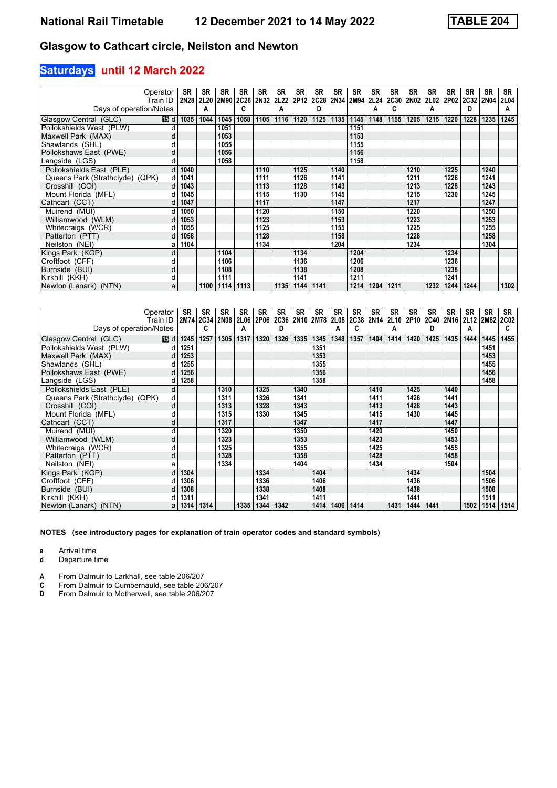## **Saturdays until 12 March 2022**

|                                 | Operator | <b>SR</b> | <b>SR</b> | <b>SR</b>     | <b>SR</b>                | <b>SR</b> | <b>SR</b> | <b>SR</b>        | <b>SR</b> | SR   | SR             | SR   | SR   | SR   | SR   | <b>SR</b> | <b>SR</b> | <b>SR</b> | <b>SR</b>   |
|---------------------------------|----------|-----------|-----------|---------------|--------------------------|-----------|-----------|------------------|-----------|------|----------------|------|------|------|------|-----------|-----------|-----------|-------------|
|                                 | Train ID | 2N28      |           |               | 2L20 2M90 2C26 2N32 2L22 |           |           | 2P <sub>12</sub> | 2C28      |      | 2N34 2M94 2L24 |      | 2C30 | 2N02 |      | 2L02 2P02 | 2C32      | 2N04      | <b>2L04</b> |
| Days of operation/Notes         |          |           | A         |               | C                        |           | Α         |                  | D         |      |                | А    | C    |      | Α    |           | D         |           | A           |
| Glasgow Central (GLC)           | 16 d     | 1035      | 1044      | 1045          | 1058                     | 1105      | 1116      | 1120             | 1125      | 1135 | 1145           | 1148 | 1155 | 1205 | 1215 | 1220      | 1228      | 1235      | 1245        |
| Pollokshields West (PLW)        |          |           |           | 1051          |                          |           |           |                  |           |      | 1151           |      |      |      |      |           |           |           |             |
| Maxwell Park (MAX)              |          |           |           | 1053          |                          |           |           |                  |           |      | 1153           |      |      |      |      |           |           |           |             |
| Shawlands (SHL)                 |          |           |           | 1055          |                          |           |           |                  |           |      | 1155           |      |      |      |      |           |           |           |             |
| Pollokshaws East (PWE)          | d        |           |           | 1056          |                          |           |           |                  |           |      | 1156           |      |      |      |      |           |           |           |             |
| Langside (LGS)                  |          |           |           | 1058          |                          |           |           |                  |           |      | 1158           |      |      |      |      |           |           |           |             |
| Pollokshields East (PLE)        | d        | 1040      |           |               |                          | 1110      |           | 1125             |           | 1140 |                |      |      | 1210 |      | 1225      |           | 1240      |             |
| Queens Park (Strathclyde) (QPK) | d        | 1041      |           |               |                          | 1111      |           | 1126             |           | 1141 |                |      |      | 1211 |      | 1226      |           | 1241      |             |
| Crosshill (COI)                 |          | 1043      |           |               |                          | 1113      |           | 1128             |           | 1143 |                |      |      | 1213 |      | 1228      |           | 1243      |             |
| Mount Florida (MFL)             |          | 1045      |           |               |                          | 1115      |           | 1130             |           | 1145 |                |      |      | 1215 |      | 1230      |           | 1245      |             |
| Cathcart (CCT)                  |          | 1047      |           |               |                          | 1117      |           |                  |           | 1147 |                |      |      | 1217 |      |           |           | 1247      |             |
| Muirend (MUI)                   |          | 1050      |           |               |                          | 1120      |           |                  |           | 1150 |                |      |      | 1220 |      |           |           | 1250      |             |
| Williamwood (WLM)               |          | 1053      |           |               |                          | 1123      |           |                  |           | 1153 |                |      |      | 1223 |      |           |           | 1253      |             |
| Whitecraigs (WCR)               |          | 1055      |           |               |                          | 1125      |           |                  |           | 1155 |                |      |      | 1225 |      |           |           | 1255      |             |
| Patterton (PTT)                 |          | 1058      |           |               |                          | 1128      |           |                  |           | 1158 |                |      |      | 1228 |      |           |           | 1258      |             |
| Neilston (NEI)                  | а        | 1104      |           |               |                          | 1134      |           |                  |           | 1204 |                |      |      | 1234 |      |           |           | 1304      |             |
| Kings Park (KGP)                | d        |           |           | 1104          |                          |           |           | 1134             |           |      | 1204           |      |      |      |      | 1234      |           |           |             |
| Croftfoot (CFF)                 |          |           |           | 1106          |                          |           |           | 1136             |           |      | 1206           |      |      |      |      | 1236      |           |           |             |
| Burnside (BUI)                  | d        |           |           | 1108          |                          |           |           | 1138             |           |      | 1208           |      |      |      |      | 1238      |           |           |             |
| Kirkhill (KKH)                  |          |           |           | 1111          |                          |           |           | 1141             |           |      | 1211           |      |      |      |      | 1241      |           |           |             |
| Newton (Lanark) (NTN)           | a        |           | 1100      | $1114$   1113 |                          |           | 1135      | 1144             | 1141      |      | 1214           | 1204 | 1211 |      | 1232 | 1244      | 1244      |           | 1302        |

|                                 | Operator | SR   | SR        | <b>SR</b> | <b>SR</b> | <b>SR</b> | <b>SR</b>           | <b>SR</b> | <b>SR</b> | SR   | SR        | SR               | SR   | SR        | SR   | <b>SR</b> | <b>SR</b>           | <b>SR</b> | <b>SR</b>   |
|---------------------------------|----------|------|-----------|-----------|-----------|-----------|---------------------|-----------|-----------|------|-----------|------------------|------|-----------|------|-----------|---------------------|-----------|-------------|
|                                 | Train ID |      | 2M74 2C34 | 2N08      | 2L06      |           | 2P06 2C36 2N10 2M78 |           |           |      | 2L08 2C38 | 2N <sub>14</sub> |      | 2L10 2P10 |      |           | 2C40 2N16 2L12 2M82 |           | <b>2C02</b> |
| Days of operation/Notes         |          |      | C         |           | А         |           | D                   |           |           | А    |           |                  | A    |           | D    |           | А                   |           | C           |
| Glasgow Central (GLC)           | 19 di    | 1245 | 1257      | 1305      | 1317      | 1320      | 1326                | 1335      | 1345      | 1348 | 1357      | 1404             | 1414 | 1420      | 1425 | 1435      | 1444                | 1445      | 1455        |
| Pollokshields West (PLW)        | $d \mid$ | 1251 |           |           |           |           |                     |           | 1351      |      |           |                  |      |           |      |           |                     | 1451      |             |
| Maxwell Park (MAX)              | d        | 1253 |           |           |           |           |                     |           | 1353      |      |           |                  |      |           |      |           |                     | 1453      |             |
| Shawlands (SHL)                 |          | 1255 |           |           |           |           |                     |           | 1355      |      |           |                  |      |           |      |           |                     | 1455      |             |
| Pollokshaws East (PWE)          | d        | 1256 |           |           |           |           |                     |           | 1356      |      |           |                  |      |           |      |           |                     | 1456      |             |
| Langside (LGS)                  |          | 1258 |           |           |           |           |                     |           | 1358      |      |           |                  |      |           |      |           |                     | 1458      |             |
| Pollokshields East (PLE)        | d        |      |           | 1310      |           | 1325      |                     | 1340      |           |      |           | 1410             |      | 1425      |      | 1440      |                     |           |             |
| Queens Park (Strathclyde) (QPK) | d        |      |           | 1311      |           | 1326      |                     | 1341      |           |      |           | 1411             |      | 1426      |      | 1441      |                     |           |             |
| Crosshill (COI)                 | d        |      |           | 1313      |           | 1328      |                     | 1343      |           |      |           | 1413             |      | 1428      |      | 1443      |                     |           |             |
| Mount Florida (MFL)             |          |      |           | 1315      |           | 1330      |                     | 1345      |           |      |           | 1415             |      | 1430      |      | 1445      |                     |           |             |
| Cathcart (CCT)                  | d        |      |           | 1317      |           |           |                     | 1347      |           |      |           | 1417             |      |           |      | 1447      |                     |           |             |
| Muirend (MUI)                   | d        |      |           | 1320      |           |           |                     | 1350      |           |      |           | 1420             |      |           |      | 1450      |                     |           |             |
| Williamwood (WLM)               | d        |      |           | 1323      |           |           |                     | 1353      |           |      |           | 1423             |      |           |      | 1453      |                     |           |             |
| Whitecraigs (WCR)               |          |      |           | 1325      |           |           |                     | 1355      |           |      |           | 1425             |      |           |      | 1455      |                     |           |             |
| Patterton (PTT)                 | d        |      |           | 1328      |           |           |                     | 1358      |           |      |           | 1428             |      |           |      | 1458      |                     |           |             |
| Neilston (NEI)                  | а        |      |           | 1334      |           |           |                     | 1404      |           |      |           | 1434             |      |           |      | 1504      |                     |           |             |
| Kings Park (KGP)                | d        | 1304 |           |           |           | 1334      |                     |           | 1404      |      |           |                  |      | 1434      |      |           |                     | 1504      |             |
| Croftfoot (CFF)                 |          | 1306 |           |           |           | 1336      |                     |           | 1406      |      |           |                  |      | 1436      |      |           |                     | 1506      |             |
| Burnside (BUI)                  |          | 1308 |           |           |           | 1338      |                     |           | 1408      |      |           |                  |      | 1438      |      |           |                     | 1508      |             |
| Kirkhill (KKH)                  |          | 1311 |           |           |           | 1341      |                     |           | 1411      |      |           |                  |      | 1441      |      |           |                     | 1511      |             |
| Newton (Lanark) (NTN)           | a        | 1314 | 1314      |           | 1335      | 1344      | 1342                |           | 1414      | 1406 | 1414      |                  | 1431 | 1444      | 1441 |           | 1502                | 1514      | 1514        |

**NOTES (see introductory pages for explanation of train operator codes and standard symbols)**

**a** Arrival time<br>**d** Departure t

**d** Departure time

**A** From Dalmuir to Larkhall, see table 206/207<br>**C** From Dalmuir to Cumbernauld, see table 200<br>**D** From Dalmuir to Motherwell, see table 206/2 From Dalmuir to Cumbernauld, see table 206/207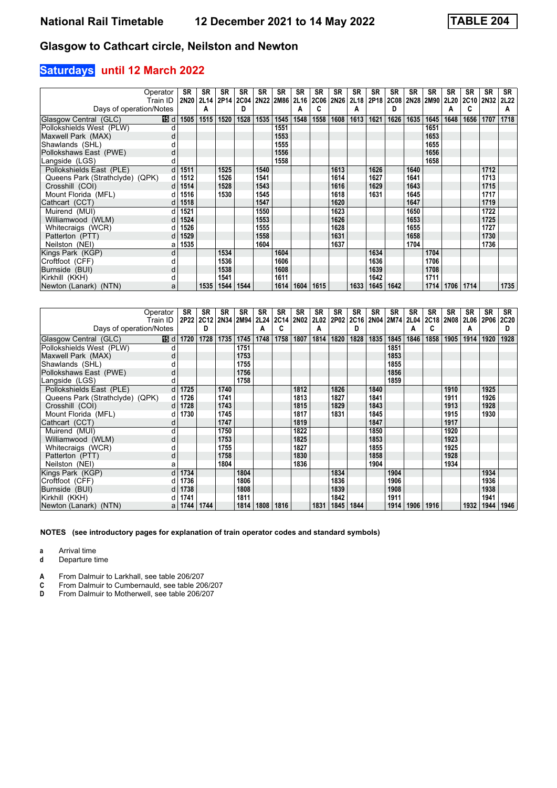## **Saturdays until 12 March 2022**

|                                 | Operator<br>Train ID | <b>SR</b><br>2N20 | <b>SR</b><br>2L14 | <b>SR</b> | <b>SR</b>                        | SR   | <b>SR</b> | <b>SR</b><br><b>2L16</b> | <b>SR</b>        | SR<br>2N26 | SR   | SR<br>2P18 | SR<br>2C08 | SR   | SR        | <b>SR</b><br>2L20 | <b>SR</b><br>2C10 2N32 | <b>SR</b> | <b>SR</b><br><b>2L22</b> |
|---------------------------------|----------------------|-------------------|-------------------|-----------|----------------------------------|------|-----------|--------------------------|------------------|------------|------|------------|------------|------|-----------|-------------------|------------------------|-----------|--------------------------|
| Days of operation/Notes         |                      |                   |                   |           | 2P14   2C04   2N22   2M86  <br>D |      |           |                          | <b>2C06</b><br>C |            | 2L18 |            | D          |      | 2N28 2M90 |                   | c                      |           | A                        |
|                                 |                      |                   | А                 |           |                                  |      |           |                          |                  |            | A    |            |            |      |           | А                 |                        |           |                          |
| Glasgow Central (GLC)           | 16 d                 | 1505              | 1515              | 1520      | 1528                             | 1535 | 1545      | 1548                     | 1558             | 1608       | 1613 | 1621       | 1626       | 1635 | 1645      | 1648              | 1656                   | 1707      | 1718                     |
| Pollokshields West (PLW)        |                      |                   |                   |           |                                  |      | 1551      |                          |                  |            |      |            |            |      | 1651      |                   |                        |           |                          |
| Maxwell Park (MAX)              |                      |                   |                   |           |                                  |      | 1553      |                          |                  |            |      |            |            |      | 1653      |                   |                        |           |                          |
| Shawlands (SHL)                 |                      |                   |                   |           |                                  |      | 1555      |                          |                  |            |      |            |            |      | 1655      |                   |                        |           |                          |
| Pollokshaws East (PWE)          | d                    |                   |                   |           |                                  |      | 1556      |                          |                  |            |      |            |            |      | 1656      |                   |                        |           |                          |
| Langside (LGS)                  |                      |                   |                   |           |                                  |      | 1558      |                          |                  |            |      |            |            |      | 1658      |                   |                        |           |                          |
| Pollokshields East (PLE)        | d                    | 1511              |                   | 1525      |                                  | 1540 |           |                          |                  | 1613       |      | 1626       |            | 1640 |           |                   |                        | 1712      |                          |
| Queens Park (Strathclyde) (QPK) | d                    | 1512              |                   | 1526      |                                  | 1541 |           |                          |                  | 1614       |      | 1627       |            | 1641 |           |                   |                        | 1713      |                          |
| Crosshill (COI)                 |                      | 1514              |                   | 1528      |                                  | 1543 |           |                          |                  | 1616       |      | 1629       |            | 1643 |           |                   |                        | 1715      |                          |
| Mount Florida (MFL)             |                      | 1516              |                   | 1530      |                                  | 1545 |           |                          |                  | 1618       |      | 1631       |            | 1645 |           |                   |                        | 1717      |                          |
| Cathcart (CCT)                  |                      | 1518              |                   |           |                                  | 1547 |           |                          |                  | 1620       |      |            |            | 1647 |           |                   |                        | 1719      |                          |
| Muirend (MUI)                   |                      | 1521              |                   |           |                                  | 1550 |           |                          |                  | 1623       |      |            |            | 1650 |           |                   |                        | 1722      |                          |
| Williamwood (WLM)               | d                    | 1524              |                   |           |                                  | 1553 |           |                          |                  | 1626       |      |            |            | 1653 |           |                   |                        | 1725      |                          |
| Whitecraigs (WCR)               |                      | 1526              |                   |           |                                  | 1555 |           |                          |                  | 1628       |      |            |            | 1655 |           |                   |                        | 1727      |                          |
| Patterton (PTT)                 |                      | 1529              |                   |           |                                  | 1558 |           |                          |                  | 1631       |      |            |            | 1658 |           |                   |                        | 1730      |                          |
| Neilston (NEI)                  | а                    | 1535              |                   |           |                                  | 1604 |           |                          |                  | 1637       |      |            |            | 1704 |           |                   |                        | 1736      |                          |
| Kings Park (KGP)                | d                    |                   |                   | 1534      |                                  |      | 1604      |                          |                  |            |      | 1634       |            |      | 1704      |                   |                        |           |                          |
| Croftfoot (CFF)                 |                      |                   |                   | 1536      |                                  |      | 1606      |                          |                  |            |      | 1636       |            |      | 1706      |                   |                        |           |                          |
| Burnside (BUI)                  | d                    |                   |                   | 1538      |                                  |      | 1608      |                          |                  |            |      | 1639       |            |      | 1708      |                   |                        |           |                          |
| Kirkhill (KKH)                  |                      |                   |                   | 1541      |                                  |      | 1611      |                          |                  |            |      | 1642       |            |      | 1711      |                   |                        |           |                          |
| Newton (Lanark) (NTN)           | a                    |                   | 1535              |           | 1544   1544                      |      | 1614      | 1604                     | 1615             |            | 1633 | 1645       | 1642       |      | 1714      |                   | 1706   1714            |           | 1735                     |

|                                 | Operator | SR   | <b>SR</b><br>2P22 2C12 | SR   | <b>SR</b>      | <b>SR</b> | <b>SR</b> | <b>SR</b>   | SR        | SR   | SR        | <b>SR</b> | <b>SR</b> | <b>SR</b> | <b>SR</b><br>2N04 2M74 2L04 2C18 2N08 | <b>SR</b> | <b>SR</b>      | SR   | SR        |
|---------------------------------|----------|------|------------------------|------|----------------|-----------|-----------|-------------|-----------|------|-----------|-----------|-----------|-----------|---------------------------------------|-----------|----------------|------|-----------|
| Days of operation/Notes         | Train ID |      | D                      |      | 2N34 2M94 2L24 | А         | 2C14      | <b>2N02</b> | 2L02<br>A | 2P02 | 2C16<br>D |           |           | А         | c                                     |           | 2L06 2P06<br>А |      | 2C20<br>D |
|                                 |          |      |                        |      |                |           |           |             |           |      |           |           |           |           |                                       |           |                |      |           |
| Glasgow Central (GLC)           | 19 d     | 1720 | 1728                   | 1735 | 1745           | 1748      | 1758      | 1807        | 1814      | 1820 | 1828      | 1835      | 1845      | 1846      | 1858                                  | 1905      | 1914           | 1920 | 1928      |
| Pollokshields West (PLW)        |          |      |                        |      | 1751           |           |           |             |           |      |           |           | 1851      |           |                                       |           |                |      |           |
| Maxwell Park (MAX)              | d        |      |                        |      | 1753           |           |           |             |           |      |           |           | 1853      |           |                                       |           |                |      |           |
| Shawlands (SHL)                 |          |      |                        |      | 1755           |           |           |             |           |      |           |           | 1855      |           |                                       |           |                |      |           |
| Pollokshaws East (PWE)          | d        |      |                        |      | 1756           |           |           |             |           |      |           |           | 1856      |           |                                       |           |                |      |           |
| Langside (LGS)                  |          |      |                        |      | 1758           |           |           |             |           |      |           |           | 1859      |           |                                       |           |                |      |           |
| Pollokshields East (PLE)        | d        | 1725 |                        | 1740 |                |           |           | 1812        |           | 1826 |           | 1840      |           |           |                                       | 1910      |                | 1925 |           |
| Queens Park (Strathclyde) (QPK) |          | 1726 |                        | 1741 |                |           |           | 1813        |           | 1827 |           | 1841      |           |           |                                       | 1911      |                | 1926 |           |
| Crosshill (COI)                 |          | 1728 |                        | 1743 |                |           |           | 1815        |           | 1829 |           | 1843      |           |           |                                       | 1913      |                | 1928 |           |
| Mount Florida (MFL)             |          | 1730 |                        | 1745 |                |           |           | 1817        |           | 1831 |           | 1845      |           |           |                                       | 1915      |                | 1930 |           |
| Cathcart (CCT)                  |          |      |                        | 1747 |                |           |           | 1819        |           |      |           | 1847      |           |           |                                       | 1917      |                |      |           |
| Muirend (MUI)                   | d        |      |                        | 1750 |                |           |           | 1822        |           |      |           | 1850      |           |           |                                       | 1920      |                |      |           |
| Williamwood (WLM)               | d        |      |                        | 1753 |                |           |           | 1825        |           |      |           | 1853      |           |           |                                       | 1923      |                |      |           |
| Whitecraigs (WCR)               |          |      |                        | 1755 |                |           |           | 1827        |           |      |           | 1855      |           |           |                                       | 1925      |                |      |           |
| Patterton (PTT)                 | d        |      |                        | 1758 |                |           |           | 1830        |           |      |           | 1858      |           |           |                                       | 1928      |                |      |           |
| Neilston (NEI)                  | а        |      |                        | 1804 |                |           |           | 1836        |           |      |           | 1904      |           |           |                                       | 1934      |                |      |           |
| Kings Park (KGP)                | d        | 1734 |                        |      | 1804           |           |           |             |           | 1834 |           |           | 1904      |           |                                       |           |                | 1934 |           |
| Croftfoot (CFF)                 |          | 1736 |                        |      | 1806           |           |           |             |           | 1836 |           |           | 1906      |           |                                       |           |                | 1936 |           |
| Burnside (BUI)                  |          | 1738 |                        |      | 1808           |           |           |             |           | 1839 |           |           | 1908      |           |                                       |           |                | 1938 |           |
| Kirkhill (KKH)                  |          | 1741 |                        |      | 1811           |           |           |             |           | 1842 |           |           | 1911      |           |                                       |           |                | 1941 |           |
| Newton (Lanark) (NTN)           | a        | 1744 | 1744                   |      | 1814           | 1808      | 1816      |             | 1831      | 1845 | 1844      |           | 1914      | 1906      | 1916                                  |           | 1932           | 1944 | 1946      |

**NOTES (see introductory pages for explanation of train operator codes and standard symbols)**

**a** Arrival time<br>**d** Departure t

**d** Departure time

**A** From Dalmuir to Larkhall, see table 206/207<br>**C** From Dalmuir to Cumbernauld, see table 200<br>**D** From Dalmuir to Motherwell, see table 206/2

From Dalmuir to Cumbernauld, see table 206/207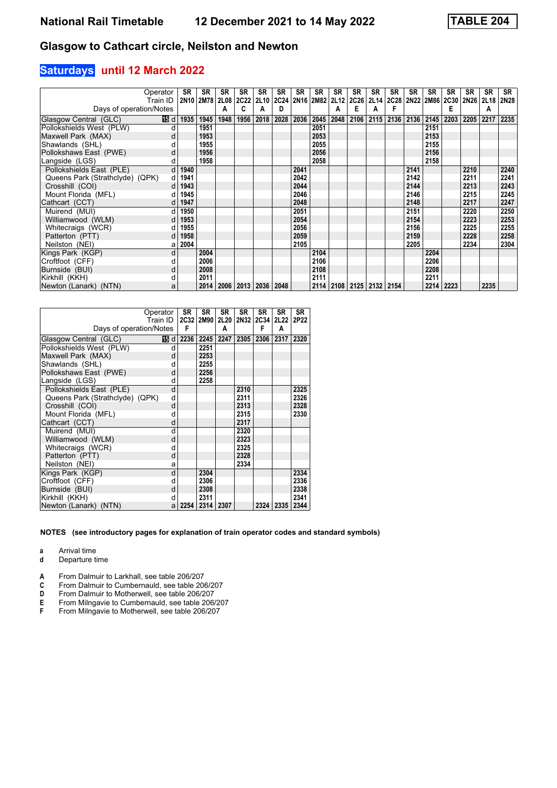## **Saturdays until 12 March 2022**

|                                 | Operator     | SR   | <b>SR</b> | <b>SR</b>                        | <b>SR</b>           | <b>SR</b> | <b>SR</b> | <b>SR</b> | <b>SR</b> | SR   | SR                               | SR   | SR   | <b>SR</b> | SR        | <b>SR</b> | <b>SR</b> | <b>SR</b> | <b>SR</b>   |
|---------------------------------|--------------|------|-----------|----------------------------------|---------------------|-----------|-----------|-----------|-----------|------|----------------------------------|------|------|-----------|-----------|-----------|-----------|-----------|-------------|
|                                 | Train ID     |      | 2N10 2M78 |                                  | 2L08 2C22 2L10 2C24 |           |           |           | 2N16 2M82 | 2L12 | 2C26 2L14                        |      | 2C28 |           | 2N22 2M86 |           | 2C30 2N26 | 2L18      | <b>2N28</b> |
| Days of operation/Notes         |              |      |           | А                                | C                   | А         | D         |           |           | A    | Е                                | А    |      |           |           | E         |           | A         |             |
| Glasgow Central (GLC)           | 16 d         | 1935 | 1945      | 1948                             | 1956                | 2018      | 2028      | 2036      | 2045      | 2048 | 2106                             | 2115 | 2136 | 2136      | 2145      | 2203      | 2205      | 2217      | 2235        |
| Pollokshields West (PLW)        | d            |      | 1951      |                                  |                     |           |           |           | 2051      |      |                                  |      |      |           | 2151      |           |           |           |             |
| Maxwell Park (MAX)              | d            |      | 1953      |                                  |                     |           |           |           | 2053      |      |                                  |      |      |           | 2153      |           |           |           |             |
| Shawlands (SHL)                 |              |      | 1955      |                                  |                     |           |           |           | 2055      |      |                                  |      |      |           | 2155      |           |           |           |             |
| Pollokshaws East (PWE)          | d            |      | 1956      |                                  |                     |           |           |           | 2056      |      |                                  |      |      |           | 2156      |           |           |           |             |
| Langside (LGS)                  | d            |      | 1958      |                                  |                     |           |           |           | 2058      |      |                                  |      |      |           | 2158      |           |           |           |             |
| Pollokshields East (PLE)        | d            | 1940 |           |                                  |                     |           |           | 2041      |           |      |                                  |      |      | 2141      |           |           | 2210      |           | 2240        |
| Queens Park (Strathclyde) (QPK) | d            | 1941 |           |                                  |                     |           |           | 2042      |           |      |                                  |      |      | 2142      |           |           | 2211      |           | 2241        |
| Crosshill (COI)                 |              | 1943 |           |                                  |                     |           |           | 2044      |           |      |                                  |      |      | 2144      |           |           | 2213      |           | 2243        |
| Mount Florida (MFL)             | d            | 1945 |           |                                  |                     |           |           | 2046      |           |      |                                  |      |      | 2146      |           |           | 2215      |           | 2245        |
| Cathcart (CCT)                  |              | 1947 |           |                                  |                     |           |           | 2048      |           |      |                                  |      |      | 2148      |           |           | 2217      |           | 2247        |
| Muirend (MUI)                   | d            | 1950 |           |                                  |                     |           |           | 2051      |           |      |                                  |      |      | 2151      |           |           | 2220      |           | 2250        |
| Williamwood (WLM)               | <sub>d</sub> | 1953 |           |                                  |                     |           |           | 2054      |           |      |                                  |      |      | 2154      |           |           | 2223      |           | 2253        |
| Whitecraigs (WCR)               | d            | 1955 |           |                                  |                     |           |           | 2056      |           |      |                                  |      |      | 2156      |           |           | 2225      |           | 2255        |
| Patterton (PTT)                 | <sub>d</sub> | 1958 |           |                                  |                     |           |           | 2059      |           |      |                                  |      |      | 2159      |           |           | 2228      |           | 2258        |
| Neilston (NEI)                  | а            | 2004 |           |                                  |                     |           |           | 2105      |           |      |                                  |      |      | 2205      |           |           | 2234      |           | 2304        |
| Kings Park (KGP)                | d            |      | 2004      |                                  |                     |           |           |           | 2104      |      |                                  |      |      |           | 2204      |           |           |           |             |
| Croftfoot (CFF)                 |              |      | 2006      |                                  |                     |           |           |           | 2106      |      |                                  |      |      |           | 2206      |           |           |           |             |
| Burnside (BUI)                  | d            |      | 2008      |                                  |                     |           |           |           | 2108      |      |                                  |      |      |           | 2208      |           |           |           |             |
| Kirkhill (KKH)                  |              |      | 2011      |                                  |                     |           |           |           | 2111      |      |                                  |      |      |           | 2211      |           |           |           |             |
| Newton (Lanark) (NTN)           | a            |      |           | 2014   2006   2013   2036   2048 |                     |           |           |           |           |      | 2114   2108   2125   2132   2154 |      |      |           |           | 2214 2223 |           | 2235      |             |

|                                 | Operator<br>Train ID | SR   | SR   | SR.  | <b>SR</b> | <b>SR</b><br>2C32 2M90 2L20 2N32 2C34 | <b>SR</b><br>2L22 2P22 | SR.  |
|---------------------------------|----------------------|------|------|------|-----------|---------------------------------------|------------------------|------|
| Days of operation/Notes         |                      | F    |      | А    |           | F                                     | A                      |      |
| Glasgow Central (GLC)           | 115 d                | 2236 | 2245 | 2247 | 2305      | 2306                                  | 2317                   | 2320 |
| Pollokshields West (PLW)        | d                    |      | 2251 |      |           |                                       |                        |      |
| Maxwell Park (MAX)              | d                    |      | 2253 |      |           |                                       |                        |      |
| Shawlands (SHL)                 | d                    |      | 2255 |      |           |                                       |                        |      |
| Pollokshaws East (PWE)          | d                    |      | 2256 |      |           |                                       |                        |      |
| Langside (LGS)                  | d                    |      | 2258 |      |           |                                       |                        |      |
| Pollokshields East (PLE)        | d                    |      |      |      | 2310      |                                       |                        | 2325 |
| Queens Park (Strathclyde) (QPK) | d                    |      |      |      | 2311      |                                       |                        | 2326 |
| Crosshill (COI)                 | d                    |      |      |      | 2313      |                                       |                        | 2328 |
| Mount Florida (MFL)             | d                    |      |      |      | 2315      |                                       |                        | 2330 |
| Cathcart (CCT)                  | d                    |      |      |      | 2317      |                                       |                        |      |
| Muirend (MUI)                   | d                    |      |      |      | 2320      |                                       |                        |      |
| Williamwood (WLM)               | d                    |      |      |      | 2323      |                                       |                        |      |
| Whitecraigs (WCR)               | d                    |      |      |      | 2325      |                                       |                        |      |
| Patterton (PTT)                 | d                    |      |      |      | 2328      |                                       |                        |      |
| Neilston (NEI)                  | a                    |      |      |      | 2334      |                                       |                        |      |
| Kings Park (KGP)                | d                    |      | 2304 |      |           |                                       |                        | 2334 |
| Croftfoot (CFF)                 | d                    |      | 2306 |      |           |                                       |                        | 2336 |
| Burnside (BUI)                  | d                    |      | 2308 |      |           |                                       |                        | 2338 |
| Kirkhill (KKH)                  | d                    |      | 2311 |      |           |                                       |                        | 2341 |
| Newton (Lanark) (NTN)           | a                    | 2254 | 2314 | 2307 |           | 2324                                  | 2335                   | 2344 |

**NOTES (see introductory pages for explanation of train operator codes and standard symbols)**

**a** Arrival time<br>**d** Departure t

**d** Departure time

**A** From Dalmuir to Larkhall, see table 206/207<br>**C** From Dalmuir to Cumbernauld, see table 20

- **C** From Dalmuir to Cumbernauld, see table 206/207<br>**D** From Dalmuir to Motherwell, see table 206/207
- **D** From Dalmuir to Motherwell, see table 206/207<br>**E** From Milngavie to Cumbernauld, see table 206.
- **E** From Milngavie to Cumbernauld, see table 206/207<br>**F** From Milngavie to Motherwell, see table 206/207
- From Milngavie to Motherwell, see table 206/207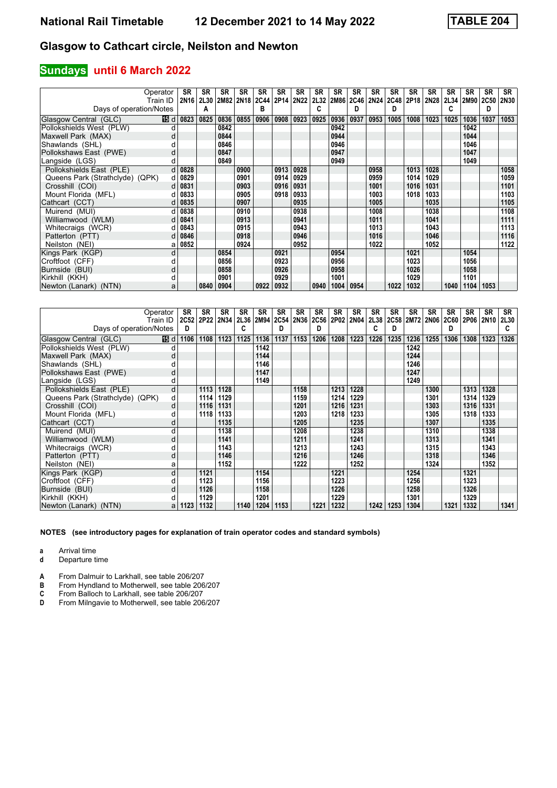#### **Sundays until 6 March 2022**

|                                 | Operator | <b>SR</b>        | <b>SR</b> | <b>SR</b> | <b>SR</b>                | <b>SR</b> | <b>SR</b> | <b>SR</b>   | <b>SR</b> | SR   | SR          | SR          | SR   | SR   | SR          | <b>SR</b> | <b>SR</b> | <b>SR</b>   | <b>SR</b>   |
|---------------------------------|----------|------------------|-----------|-----------|--------------------------|-----------|-----------|-------------|-----------|------|-------------|-------------|------|------|-------------|-----------|-----------|-------------|-------------|
|                                 | Train ID | 2N <sub>16</sub> |           |           | 2L30 2M82 2N18 2C44 2P14 |           |           | <b>2N22</b> | 2L32      | 2M86 | <b>2C46</b> | <b>2N24</b> | 2C48 | 2P18 | <b>2N28</b> |           | 2L34 2M90 | <b>2C50</b> | <b>2N30</b> |
| Days of operation/Notes         |          |                  | А         |           |                          | в         |           |             | C         |      | D           |             | D    |      |             | C         |           | D           |             |
| Glasgow Central (GLC)           | 16 d     | 0823             | 0825      | 0836      | 0855                     | 0906      | 0908      | 0923        | 0925      | 0936 | 0937        | 0953        | 1005 | 1008 | 1023        | 1025      | 1036      | 1037        | 1053        |
| Pollokshields West (PLW)        |          |                  |           | 0842      |                          |           |           |             |           | 0942 |             |             |      |      |             |           | 1042      |             |             |
| Maxwell Park (MAX)              |          |                  |           | 0844      |                          |           |           |             |           | 0944 |             |             |      |      |             |           | 1044      |             |             |
| Shawlands (SHL)                 |          |                  |           | 0846      |                          |           |           |             |           | 0946 |             |             |      |      |             |           | 1046      |             |             |
| Pollokshaws East (PWE)          | d        |                  |           | 0847      |                          |           |           |             |           | 0947 |             |             |      |      |             |           | 1047      |             |             |
| Langside (LGS)                  |          |                  |           | 0849      |                          |           |           |             |           | 0949 |             |             |      |      |             |           | 1049      |             |             |
| Pollokshields East (PLE)        | d        | 0828             |           |           | 0900                     |           | 0913      | 0928        |           |      |             | 0958        |      | 1013 | 1028        |           |           |             | 1058        |
| Queens Park (Strathclyde) (QPK) | d        | 0829             |           |           | 0901                     |           | 0914      | 0929        |           |      |             | 0959        |      | 1014 | 1029        |           |           |             | 1059        |
| Crosshill (COI)                 |          | 0831             |           |           | 0903                     |           | 0916      | 0931        |           |      |             | 1001        |      | 1016 | 1031        |           |           |             | 1101        |
| Mount Florida (MFL)             |          | 0833             |           |           | 0905                     |           | 0918      | 0933        |           |      |             | 1003        |      | 1018 | 1033        |           |           |             | 1103        |
| Cathcart (CCT)                  |          | 0835             |           |           | 0907                     |           |           | 0935        |           |      |             | 1005        |      |      | 1035        |           |           |             | 1105        |
| Muirend (MUI)                   |          | 0838             |           |           | 0910                     |           |           | 0938        |           |      |             | 1008        |      |      | 1038        |           |           |             | 1108        |
| Williamwood (WLM)               |          | 0841             |           |           | 0913                     |           |           | 0941        |           |      |             | 1011        |      |      | 1041        |           |           |             | 1111        |
| Whitecraigs (WCR)               |          | 0843             |           |           | 0915                     |           |           | 0943        |           |      |             | 1013        |      |      | 1043        |           |           |             | 1113        |
| Patterton (PTT)                 |          | 0846             |           |           | 0918                     |           |           | 0946        |           |      |             | 1016        |      |      | 1046        |           |           |             | 1116        |
| Neilston (NEI)                  | а        | 0852             |           |           | 0924                     |           |           | 0952        |           |      |             | 1022        |      |      | 1052        |           |           |             | 1122        |
| Kings Park (KGP)                | d        |                  |           | 0854      |                          |           | 0921      |             |           | 0954 |             |             |      | 1021 |             |           | 1054      |             |             |
| Croftfoot (CFF)                 |          |                  |           | 0856      |                          |           | 0923      |             |           | 0956 |             |             |      | 1023 |             |           | 1056      |             |             |
| Burnside (BUI)                  | d        |                  |           | 0858      |                          |           | 0926      |             |           | 0958 |             |             |      | 1026 |             |           | 1058      |             |             |
| Kirkhill (KKH)                  |          |                  |           | 0901      |                          |           | 0929      |             |           | 1001 |             |             |      | 1029 |             |           | 1101      |             |             |
| Newton (Lanark) (NTN)           | a        |                  | 0840      | 0904      |                          | 0922      | 0932      |             | 0940      | 1004 | 0954        |             | 1022 | 1032 |             | 1040      | 1104      | 1053        |             |

|                                 | Operator | SR        | <b>SR</b> | SR   | <b>SR</b>   | <b>SR</b> | <b>SR</b> | <b>SR</b>   | SR          | SR   | SR   | <b>SR</b> | <b>SR</b> | <b>SR</b> | <b>SR</b>      | <b>SR</b> | <b>SR</b> | SR   | SR   |
|---------------------------------|----------|-----------|-----------|------|-------------|-----------|-----------|-------------|-------------|------|------|-----------|-----------|-----------|----------------|-----------|-----------|------|------|
|                                 | Train ID | 2C52 2P22 |           | 2N34 | <b>2L36</b> | 2M94      | 2C54      | <b>2N36</b> | <b>2C56</b> | 2P02 | 2N04 | 2L38      |           |           | 2C58 2M72 2N06 | 2C60      | 2P06 2N10 |      | 2L30 |
| Days of operation/Notes         |          | D         |           |      | C           |           | D         |             | D           |      |      | C         | D         |           |                | D         |           |      | c    |
| Glasgow Central (GLC)           | 16B d    | 1106      | 1108      | 1123 | 1125        | 1136      | 1137      | 1153        | 1206        | 1208 | 1223 | 1226      | 1235      | 1236      | 1255           | 1306      | 1308      | 1323 | 1326 |
| Pollokshields West (PLW)        |          |           |           |      |             | 1142      |           |             |             |      |      |           |           | 1242      |                |           |           |      |      |
| Maxwell Park (MAX)              | d        |           |           |      |             | 1144      |           |             |             |      |      |           |           | 1244      |                |           |           |      |      |
| Shawlands (SHL)                 |          |           |           |      |             | 1146      |           |             |             |      |      |           |           | 1246      |                |           |           |      |      |
| Pollokshaws East (PWE)          | d        |           |           |      |             | 1147      |           |             |             |      |      |           |           | 1247      |                |           |           |      |      |
| Langside (LGS)                  |          |           |           |      |             | 1149      |           |             |             |      |      |           |           | 1249      |                |           |           |      |      |
| Pollokshields East (PLE)        | d        |           | 1113      | 1128 |             |           |           | 1158        |             | 1213 | 1228 |           |           |           | 1300           |           | 1313      | 1328 |      |
| Queens Park (Strathclyde) (QPK) | d        |           | 1114      | 1129 |             |           |           | 1159        |             | 1214 | 1229 |           |           |           | 1301           |           | 1314      | 1329 |      |
| Crosshill (COI)                 | d        |           | 1116      | 1131 |             |           |           | 1201        |             | 1216 | 1231 |           |           |           | 1303           |           | 1316      | 1331 |      |
| Mount Florida (MFL)             |          |           | 1118      | 1133 |             |           |           | 1203        |             | 1218 | 1233 |           |           |           | 1305           |           | 1318      | 1333 |      |
| Cathcart (CCT)                  |          |           |           | 1135 |             |           |           | 1205        |             |      | 1235 |           |           |           | 1307           |           |           | 1335 |      |
| Muirend (MUI)                   | d        |           |           | 1138 |             |           |           | 1208        |             |      | 1238 |           |           |           | 1310           |           |           | 1338 |      |
| Williamwood (WLM)               | d        |           |           | 1141 |             |           |           | 1211        |             |      | 1241 |           |           |           | 1313           |           |           | 1341 |      |
| Whitecraigs (WCR)               |          |           |           | 1143 |             |           |           | 1213        |             |      | 1243 |           |           |           | 1315           |           |           | 1343 |      |
| Patterton (PTT)                 | d        |           |           | 1146 |             |           |           | 1216        |             |      | 1246 |           |           |           | 1318           |           |           | 1346 |      |
| Neilston (NEI)                  | а        |           |           | 1152 |             |           |           | 1222        |             |      | 1252 |           |           |           | 1324           |           |           | 1352 |      |
| Kings Park (KGP)                | d        |           | 1121      |      |             | 1154      |           |             |             | 1221 |      |           |           | 1254      |                |           | 1321      |      |      |
| Croftfoot (CFF)                 |          |           | 1123      |      |             | 1156      |           |             |             | 1223 |      |           |           | 1256      |                |           | 1323      |      |      |
| Burnside (BUI)                  | d        |           | 1126      |      |             | 1158      |           |             |             | 1226 |      |           |           | 1258      |                |           | 1326      |      |      |
| Kirkhill (KKH)                  |          |           | 1129      |      |             | 1201      |           |             |             | 1229 |      |           |           | 1301      |                |           | 1329      |      |      |
| Newton (Lanark) (NTN)           | a        | 1123      | 1132      |      | 1140        | 1204      | 1153      |             | 1221        | 1232 |      | 1242      | 1253      | 1304      |                | 1321      | 1332      |      | 1341 |

**NOTES (see introductory pages for explanation of train operator codes and standard symbols)**

**a** Arrival time<br>**d** Departure t

**d** Departure time

**A** From Dalmuir to Larkhall, see table 206/207<br>**B** From Hyndland to Motherwell, see table 206

**B** From Hyndland to Motherwell, see table 206/207<br>**C** From Balloch to Larkhall, see table 206/207<br>**D** From Milnaavie to Motherwell, see table 206/207

From Balloch to Larkhall, see table 206/207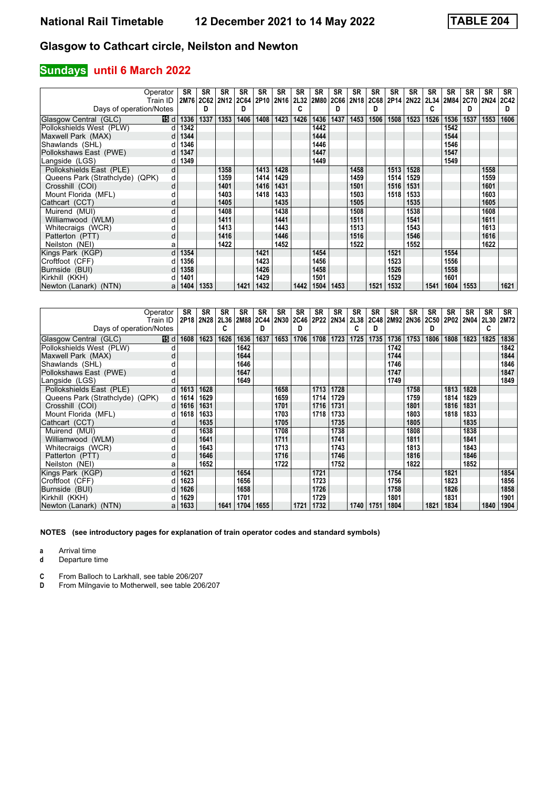## **Sundays until 6 March 2022**

|                                 | Operator<br>Train ID | <b>SR</b> | <b>SR</b><br>2M76 2C62 | <b>SR</b><br>2N12 2C64 2P10 2N16 | <b>SR</b> | <b>SR</b> | <b>SR</b> | <b>SR</b><br>2L32 | <b>SR</b><br>2M80 | <b>SR</b><br>2C66 | SR<br>2N18 2C68 | SR   | <b>SR</b> | <b>SR</b><br>2P14 2N22 | <b>SR</b> | <b>SR</b><br>2L34 2M84 2C70 2N24 | <b>SR</b> | <b>SR</b> | <b>SR</b><br><b>2C42</b> |
|---------------------------------|----------------------|-----------|------------------------|----------------------------------|-----------|-----------|-----------|-------------------|-------------------|-------------------|-----------------|------|-----------|------------------------|-----------|----------------------------------|-----------|-----------|--------------------------|
| Days of operation/Notes         |                      |           | D                      |                                  | D         |           |           |                   |                   | D                 |                 | D    |           |                        | C         |                                  | D         |           | D                        |
| Glasgow Central (GLC)           | 16 d                 | 1336      | 1337                   | 1353                             | 1406      | 1408      | 1423      | 1426              | 1436              | 1437              | 1453            | 1506 | 1508      | 1523                   | 1526      | 1536                             | 1537      | 1553      | 1606                     |
| Pollokshields West (PLW)        | d                    | 1342      |                        |                                  |           |           |           |                   | 1442              |                   |                 |      |           |                        |           | 1542                             |           |           |                          |
| Maxwell Park (MAX)              | d                    | 1344      |                        |                                  |           |           |           |                   | 1444              |                   |                 |      |           |                        |           | 1544                             |           |           |                          |
| Shawlands (SHL)                 |                      | 1346      |                        |                                  |           |           |           |                   | 1446              |                   |                 |      |           |                        |           | 1546                             |           |           |                          |
| Pollokshaws East (PWE)          | d                    | 1347      |                        |                                  |           |           |           |                   | 1447              |                   |                 |      |           |                        |           | 1547                             |           |           |                          |
| Langside (LGS)                  |                      | 1349      |                        |                                  |           |           |           |                   | 1449              |                   |                 |      |           |                        |           | 1549                             |           |           |                          |
| Pollokshields East (PLE)        | d                    |           |                        | 1358                             |           | 1413      | 1428      |                   |                   |                   | 1458            |      | 1513      | 1528                   |           |                                  |           | 1558      |                          |
| Queens Park (Strathclyde) (QPK) | d                    |           |                        | 1359                             |           | 1414      | 1429      |                   |                   |                   | 1459            |      | 1514      | 1529                   |           |                                  |           | 1559      |                          |
| Crosshill (COI)                 | d                    |           |                        | 1401                             |           | 1416      | 1431      |                   |                   |                   | 1501            |      | 1516      | 1531                   |           |                                  |           | 1601      |                          |
| Mount Florida (MFL)             |                      |           |                        | 1403                             |           | 1418      | 1433      |                   |                   |                   | 1503            |      | 1518      | 1533                   |           |                                  |           | 1603      |                          |
| Cathcart (CCT)                  | d                    |           |                        | 1405                             |           |           | 1435      |                   |                   |                   | 1505            |      |           | 1535                   |           |                                  |           | 1605      |                          |
| Muirend (MUI)                   |                      |           |                        | 1408                             |           |           | 1438      |                   |                   |                   | 1508            |      |           | 1538                   |           |                                  |           | 1608      |                          |
| Williamwood (WLM)               | d                    |           |                        | 1411                             |           |           | 1441      |                   |                   |                   | 1511            |      |           | 1541                   |           |                                  |           | 1611      |                          |
| Whitecraigs (WCR)               |                      |           |                        | 1413                             |           |           | 1443      |                   |                   |                   | 1513            |      |           | 1543                   |           |                                  |           | 1613      |                          |
| Patterton (PTT)                 | d                    |           |                        | 1416                             |           |           | 1446      |                   |                   |                   | 1516            |      |           | 1546                   |           |                                  |           | 1616      |                          |
| Neilston (NEI)                  | а                    |           |                        | 1422                             |           |           | 1452      |                   |                   |                   | 1522            |      |           | 1552                   |           |                                  |           | 1622      |                          |
| Kings Park (KGP)                | d                    | 1354      |                        |                                  |           | 1421      |           |                   | 1454              |                   |                 |      | 1521      |                        |           | 1554                             |           |           |                          |
| Croftfoot (CFF)                 |                      | 1356      |                        |                                  |           | 1423      |           |                   | 1456              |                   |                 |      | 1523      |                        |           | 1556                             |           |           |                          |
| Burnside (BUI)                  |                      | 1358      |                        |                                  |           | 1426      |           |                   | 1458              |                   |                 |      | 1526      |                        |           | 1558                             |           |           |                          |
| Kirkhill (KKH)                  |                      | 1401      |                        |                                  |           | 1429      |           |                   | 1501              |                   |                 |      | 1529      |                        |           | 1601                             |           |           |                          |
| Newton (Lanark) (NTN)           | a                    | 1404      | 1353                   |                                  | 1421      | 1432      |           | 1442              | 1504              | 1453              |                 | 1521 | 1532      |                        | 1541      | 1604                             | 1553      |           | 1621                     |

|                                 | Operator       | SR   | <b>SR</b> | <b>SR</b> | <b>SR</b> | <b>SR</b> | <b>SR</b> | <b>SR</b> | <b>SR</b> | SR        | <b>SR</b> | <b>SR</b> | <b>SR</b>      | <b>SR</b> | <b>SR</b>   | <b>SR</b> | <b>SR</b> | <b>SR</b>   | SR   |
|---------------------------------|----------------|------|-----------|-----------|-----------|-----------|-----------|-----------|-----------|-----------|-----------|-----------|----------------|-----------|-------------|-----------|-----------|-------------|------|
|                                 | Train ID       |      | 2P18 2N28 |           | 2L36 2M88 | 2C44 2N30 |           | 2C46      |           | 2P22 2N34 | 2L38      |           | 2C48 2M92 2N36 |           | <b>2C50</b> | 2P02      | 2N04      | <b>2L30</b> | 2M72 |
| Days of operation/Notes         |                |      |           | C         |           | D         |           | D         |           |           | c         | D         |                |           | D           |           |           | c           |      |
| Glasgow Central (GLC)           | 16 d           | 1608 | 1623      | 1626      | 1636      | 1637      | 1653      | 1706      | 1708      | 1723      | 1725      | 1735      | 1736           | 1753      | 1806        | 1808      | 1823      | 1825        | 1836 |
| Pollokshields West (PLW)        |                |      |           |           | 1642      |           |           |           |           |           |           |           | 1742           |           |             |           |           |             | 1842 |
| Maxwell Park (MAX)              | d              |      |           |           | 1644      |           |           |           |           |           |           |           | 1744           |           |             |           |           |             | 1844 |
| Shawlands (SHL)                 |                |      |           |           | 1646      |           |           |           |           |           |           |           | 1746           |           |             |           |           |             | 1846 |
| Pollokshaws East (PWE)          | d              |      |           |           | 1647      |           |           |           |           |           |           |           | 1747           |           |             |           |           |             | 1847 |
| Langside (LGS)                  |                |      |           |           | 1649      |           |           |           |           |           |           |           | 1749           |           |             |           |           |             | 1849 |
| Pollokshields East (PLE)        | d              | 1613 | 1628      |           |           |           | 1658      |           | 1713      | 1728      |           |           |                | 1758      |             | 1813      | 1828      |             |      |
| Queens Park (Strathclyde) (QPK) | d <sub>1</sub> | 1614 | 1629      |           |           |           | 1659      |           | 1714      | 1729      |           |           |                | 1759      |             | 1814      | 1829      |             |      |
| Crosshill (COI)                 | d.             | 1616 | 1631      |           |           |           | 1701      |           | 1716      | 1731      |           |           |                | 1801      |             | 1816      | 1831      |             |      |
| Mount Florida (MFL)             |                | 1618 | 1633      |           |           |           | 1703      |           | 1718      | 1733      |           |           |                | 1803      |             | 1818      | 1833      |             |      |
| Cathcart (CCT)                  |                |      | 1635      |           |           |           | 1705      |           |           | 1735      |           |           |                | 1805      |             |           | 1835      |             |      |
| Muirend (MUI)                   | d              |      | 1638      |           |           |           | 1708      |           |           | 1738      |           |           |                | 1808      |             |           | 1838      |             |      |
| Williamwood (WLM)               | d              |      | 1641      |           |           |           | 1711      |           |           | 1741      |           |           |                | 1811      |             |           | 1841      |             |      |
| Whitecraigs (WCR)               |                |      | 1643      |           |           |           | 1713      |           |           | 1743      |           |           |                | 1813      |             |           | 1843      |             |      |
| Patterton (PTT)                 | d              |      | 1646      |           |           |           | 1716      |           |           | 1746      |           |           |                | 1816      |             |           | 1846      |             |      |
| Neilston (NEI)                  | a              |      | 1652      |           |           |           | 1722      |           |           | 1752      |           |           |                | 1822      |             |           | 1852      |             |      |
| Kings Park (KGP)                | d              | 1621 |           |           | 1654      |           |           |           | 1721      |           |           |           | 1754           |           |             | 1821      |           |             | 1854 |
| Croftfoot (CFF)                 |                | 1623 |           |           | 1656      |           |           |           | 1723      |           |           |           | 1756           |           |             | 1823      |           |             | 1856 |
| Burnside (BUI)                  |                | 1626 |           |           | 1658      |           |           |           | 1726      |           |           |           | 1758           |           |             | 1826      |           |             | 1858 |
| Kirkhill (KKH)                  |                | 1629 |           |           | 1701      |           |           |           | 1729      |           |           |           | 1801           |           |             | 1831      |           |             | 1901 |
| Newton (Lanark) (NTN)           |                | 1633 |           | 1641      | 1704      | 1655      |           | 1721      | 1732      |           | 1740      | 1751      | 1804           |           | 1821        | 1834      |           | 1840        | 1904 |

**NOTES (see introductory pages for explanation of train operator codes and standard symbols)**

**a** Arrival time<br>**d** Departure t

**d** Departure time

**C** From Balloch to Larkhall, see table 206/207<br>**D** From Milngavie to Motherwell, see table 206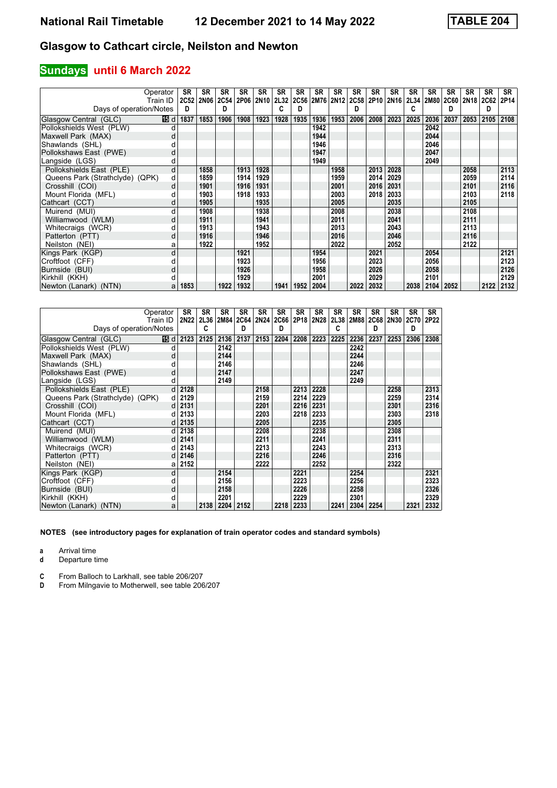## **Sundays until 6 March 2022**

| Operator                        |      | SR   | <b>SR</b> | <b>SR</b> | <b>SR</b>      | <b>SR</b> | <b>SR</b> | <b>SR</b> | <b>SR</b> | <b>SR</b> | SR                       | <b>SR</b> | SR          | <b>SR</b> | SR        | <b>SR</b> | <b>SR</b>   | <b>SR</b>   | <b>SR</b> |
|---------------------------------|------|------|-----------|-----------|----------------|-----------|-----------|-----------|-----------|-----------|--------------------------|-----------|-------------|-----------|-----------|-----------|-------------|-------------|-----------|
| Train ID                        |      |      | 2C52 2N06 |           | 2C54 2P06 2N10 |           | 2L32      |           |           |           | 2C56 2M76 2N12 2C58 2P10 |           | <b>2N16</b> |           | 2L34 2M80 |           | 2C60   2N18 | <b>2C62</b> | 2P14      |
| Days of operation/Notes         |      | D    |           | D         |                |           |           | D         |           |           | D                        |           |             | C         |           | D         |             | D           |           |
| Glasgow Central (GLC)           | 19 d | 1837 | 1853      | 1906      | 1908           | 1923      | 1928      | 1935      | 1936      | 1953      | 2006                     | 2008      | 2023        | 2025      | 2036      | 2037      | 2053        | 2105        | 2108      |
| Pollokshields West (PLW)        |      |      |           |           |                |           |           |           | 1942      |           |                          |           |             |           | 2042      |           |             |             |           |
| Maxwell Park (MAX)              |      |      |           |           |                |           |           |           | 1944      |           |                          |           |             |           | 2044      |           |             |             |           |
| Shawlands (SHL)                 |      |      |           |           |                |           |           |           | 1946      |           |                          |           |             |           | 2046      |           |             |             |           |
| Pollokshaws East (PWE)          | d    |      |           |           |                |           |           |           | 1947      |           |                          |           |             |           | 2047      |           |             |             |           |
| Langside (LGS)                  |      |      |           |           |                |           |           |           | 1949      |           |                          |           |             |           | 2049      |           |             |             |           |
| Pollokshields East (PLE)        | d    |      | 1858      |           | 1913           | 1928      |           |           |           | 1958      |                          | 2013      | 2028        |           |           |           | 2058        |             | 2113      |
| Queens Park (Strathclyde) (QPK) | d    |      | 1859      |           | 1914           | 1929      |           |           |           | 1959      |                          | 2014      | 2029        |           |           |           | 2059        |             | 2114      |
| Crosshill (COI)                 | d    |      | 1901      |           | 1916           | 1931      |           |           |           | 2001      |                          | 2016      | 2031        |           |           |           | 2101        |             | 2116      |
| Mount Florida (MFL)             |      |      | 1903      |           | 1918           | 1933      |           |           |           | 2003      |                          | 2018      | 2033        |           |           |           | 2103        |             | 2118      |
| Cathcart (CCT)                  | d    |      | 1905      |           |                | 1935      |           |           |           | 2005      |                          |           | 2035        |           |           |           | 2105        |             |           |
| Muirend (MUI)                   | d    |      | 1908      |           |                | 1938      |           |           |           | 2008      |                          |           | 2038        |           |           |           | 2108        |             |           |
| Williamwood (WLM)               | d    |      | 1911      |           |                | 1941      |           |           |           | 2011      |                          |           | 2041        |           |           |           | 2111        |             |           |
| Whitecraigs (WCR)               |      |      | 1913      |           |                | 1943      |           |           |           | 2013      |                          |           | 2043        |           |           |           | 2113        |             |           |
| Patterton (PTT)                 | d    |      | 1916      |           |                | 1946      |           |           |           | 2016      |                          |           | 2046        |           |           |           | 2116        |             |           |
| Neilston (NEI)                  | a    |      | 1922      |           |                | 1952      |           |           |           | 2022      |                          |           | 2052        |           |           |           | 2122        |             |           |
| Kings Park (KGP)                | d    |      |           |           | 1921           |           |           |           | 1954      |           |                          | 2021      |             |           | 2054      |           |             |             | 2121      |
| Croftfoot (CFF)                 |      |      |           |           | 1923           |           |           |           | 1956      |           |                          | 2023      |             |           | 2056      |           |             |             | 2123      |
| Burnside (BUI)                  | d    |      |           |           | 1926           |           |           |           | 1958      |           |                          | 2026      |             |           | 2058      |           |             |             | 2126      |
| Kirkhill (KKH)                  |      |      |           |           | 1929           |           |           |           | 2001      |           |                          | 2029      |             |           | 2101      |           |             |             | 2129      |
| Newton (Lanark) (NTN)           | a    | 1853 |           | 1922      | 1932           |           | 1941      | 1952      | 2004      |           | 2022                     | 2032      |             | 2038      |           | 2104 2052 |             | 2122        | 2132      |

|                                 | Operator     | SR   | <b>SR</b> | SR        | SR   | <b>SR</b> | <b>SR</b>                | <b>SR</b> | SR   | <b>SR</b> | SR        | <b>SR</b> | SR   | <b>SR</b> | <b>SR</b> |
|---------------------------------|--------------|------|-----------|-----------|------|-----------|--------------------------|-----------|------|-----------|-----------|-----------|------|-----------|-----------|
|                                 | Train ID     | 2N22 |           | 2L36 2M84 |      |           | 2C64 2N24 2C66 2P18 2N28 |           |      |           | 2L38 2M88 | 2C68      | 2N30 | 2C70      | 2P22      |
| Days of operation/Notes         |              |      | C         |           | D    |           | D                        |           |      | c         |           | D         |      | D         |           |
| Glasgow Central (GLC)           | 15 d         | 2123 | 2125      | 2136      | 2137 | 2153      | 2204                     | 2208      | 2223 | 2225      | 2236      | 2237      | 2253 | 2306      | 2308      |
| Pollokshields West (PLW)        | d            |      |           | 2142      |      |           |                          |           |      |           | 2242      |           |      |           |           |
| Maxwell Park (MAX)              | d            |      |           | 2144      |      |           |                          |           |      |           | 2244      |           |      |           |           |
| Shawlands (SHL)                 |              |      |           | 2146      |      |           |                          |           |      |           | 2246      |           |      |           |           |
| Pollokshaws East (PWE)          | d            |      |           | 2147      |      |           |                          |           |      |           | 2247      |           |      |           |           |
| Langside (LGS)                  | d            |      |           | 2149      |      |           |                          |           |      |           | 2249      |           |      |           |           |
| Pollokshields East (PLE)        | $\mathsf{d}$ | 2128 |           |           |      | 2158      |                          | 2213      | 2228 |           |           |           | 2258 |           | 2313      |
| Queens Park (Strathclyde) (QPK) | d l          | 2129 |           |           |      | 2159      |                          | 2214      | 2229 |           |           |           | 2259 |           | 2314      |
| Crosshill (COI)                 | d            | 2131 |           |           |      | 2201      |                          | 2216      | 2231 |           |           |           | 2301 |           | 2316      |
| Mount Florida (MFL)             |              | 2133 |           |           |      | 2203      |                          | 2218      | 2233 |           |           |           | 2303 |           | 2318      |
| Cathcart (CCT)                  | d            | 2135 |           |           |      | 2205      |                          |           | 2235 |           |           |           | 2305 |           |           |
| Muirend (MUI)                   | d.           | 2138 |           |           |      | 2208      |                          |           | 2238 |           |           |           | 2308 |           |           |
| Williamwood (WLM)               | d            | 2141 |           |           |      | 2211      |                          |           | 2241 |           |           |           | 2311 |           |           |
| Whitecraigs (WCR)               | d            | 2143 |           |           |      | 2213      |                          |           | 2243 |           |           |           | 2313 |           |           |
| Patterton (PTT)                 | d            | 2146 |           |           |      | 2216      |                          |           | 2246 |           |           |           | 2316 |           |           |
| Neilston (NEI)                  | a            | 2152 |           |           |      | 2222      |                          |           | 2252 |           |           |           | 2322 |           |           |
| Kings Park (KGP)                | d            |      |           | 2154      |      |           |                          | 2221      |      |           | 2254      |           |      |           | 2321      |
| Croftfoot (CFF)                 | d            |      |           | 2156      |      |           |                          | 2223      |      |           | 2256      |           |      |           | 2323      |
| Burnside (BUI)                  | d            |      |           | 2158      |      |           |                          | 2226      |      |           | 2258      |           |      |           | 2326      |
| Kirkhill (KKH)                  | d            |      |           | 2201      |      |           |                          | 2229      |      |           | 2301      |           |      |           | 2329      |
| Newton (Lanark) (NTN)           | a            |      | 2138      | 2204      | 2152 |           | 2218                     | 2233      |      | 2241      | 2304      | 2254      |      | 2321      | 2332      |

**NOTES (see introductory pages for explanation of train operator codes and standard symbols)**

**a** Arrival time<br>**d** Departure t

**d** Departure time

**C** From Balloch to Larkhall, see table 206/207<br>**D** From Milngavie to Motherwell, see table 206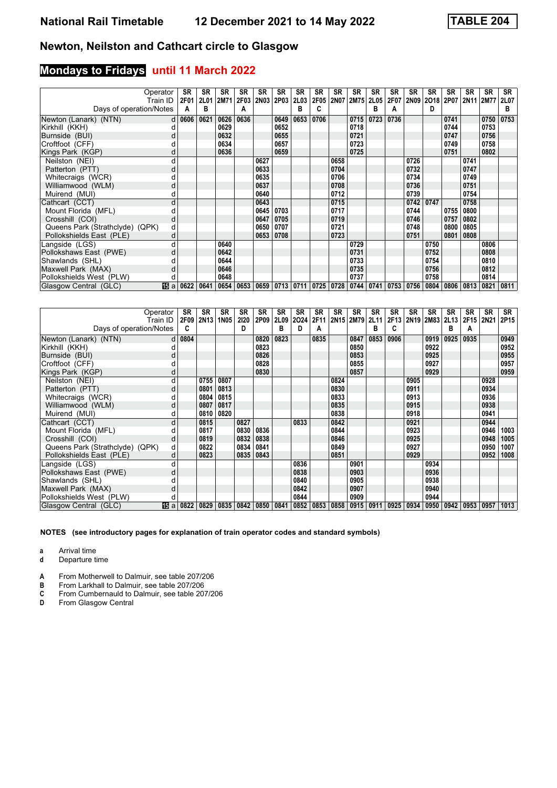# **Mondays to Fridays until 11 March 2022**

|                                 | Operator | <b>SR</b>        | <b>SR</b>   | <b>SR</b> | <b>SR</b>                          | <b>SR</b> | <b>SR</b> | <b>SR</b> | <b>SR</b> | SR          | <b>SR</b> | <b>SR</b>   | SR   | <b>SR</b>   | <b>SR</b> | <b>SR</b> | <b>SR</b>           | <b>SR</b> | SR          |
|---------------------------------|----------|------------------|-------------|-----------|------------------------------------|-----------|-----------|-----------|-----------|-------------|-----------|-------------|------|-------------|-----------|-----------|---------------------|-----------|-------------|
|                                 | Train ID | 2F01             | <b>2L01</b> | 2M71      | 2F03                               |           | 2N03 2P03 | 2L03      | 2F05      | <b>2N07</b> | 2M75      | <b>2L05</b> | 2F07 | 2N09        |           |           | 2018 2P07 2N11 2M77 |           | <b>2L07</b> |
| Days of operation/Notes         |          | А                | в           |           | А                                  |           |           | в         |           |             |           | в           | А    |             | D         |           |                     |           | в           |
| Newton (Lanark) (NTN)           |          | $d \mid 0606$    | 0621        | 0626      | 0636                               |           | 0649      | 0653      | 0706      |             | 0715      | 0723        | 0736 |             |           | 0741      |                     | 0750      | 0753        |
| Kirkhill (KKH)                  |          |                  |             | 0629      |                                    |           | 0652      |           |           |             | 0718      |             |      |             |           | 0744      |                     | 0753      |             |
| Burnside (BUI)                  |          |                  |             | 0632      |                                    |           | 0655      |           |           |             | 0721      |             |      |             |           | 0747      |                     | 0756      |             |
| Croftfoot (CFF)                 |          |                  |             | 0634      |                                    |           | 0657      |           |           |             | 0723      |             |      |             |           | 0749      |                     | 0758      |             |
| Kings Park (KGP)                |          |                  |             | 0636      |                                    |           | 0659      |           |           |             | 0725      |             |      |             |           | 0751      |                     | 0802      |             |
| Neilston (NEI)                  | d        |                  |             |           |                                    | 0627      |           |           |           | 0658        |           |             |      | 0726        |           |           | 0741                |           |             |
| Patterton (PTT)                 | d        |                  |             |           |                                    | 0633      |           |           |           | 0704        |           |             |      | 0732        |           |           | 0747                |           |             |
| Whitecraigs (WCR)               |          |                  |             |           |                                    | 0635      |           |           |           | 0706        |           |             |      | 0734        |           |           | 0749                |           |             |
| Williamwood (WLM)               | d        |                  |             |           |                                    | 0637      |           |           |           | 0708        |           |             |      | 0736        |           |           | 0751                |           |             |
| Muirend (MUI)                   | d        |                  |             |           |                                    | 0640      |           |           |           | 0712        |           |             |      | 0739        |           |           | 0754                |           |             |
| Cathcart (CCT)                  | d        |                  |             |           |                                    | 0643      |           |           |           | 0715        |           |             |      | 0742        | 0747      |           | 0758                |           |             |
| Mount Florida (MFL)             |          |                  |             |           |                                    | 0645      | 0703      |           |           | 0717        |           |             |      | 0744        |           | 0755      | 0800                |           |             |
| Crosshill (COI)                 | d        |                  |             |           |                                    | 0647      | 0705      |           |           | 0719        |           |             |      | 0746        |           | 0757      | 0802                |           |             |
| Queens Park (Strathclyde) (QPK) | d        |                  |             |           |                                    | 0650      | 0707      |           |           | 0721        |           |             |      | 0748        |           | 0800      | 0805                |           |             |
| Pollokshields East (PLE)        | d        |                  |             |           |                                    | 0653      | 0708      |           |           | 0723        |           |             |      | 0751        |           | 0801      | 0808                |           |             |
| Langside (LGS)                  | d        |                  |             | 0640      |                                    |           |           |           |           |             | 0729      |             |      |             | 0750      |           |                     | 0806      |             |
| Pollokshaws East (PWE)          | d        |                  |             | 0642      |                                    |           |           |           |           |             | 0731      |             |      |             | 0752      |           |                     | 0808      |             |
| Shawlands (SHL)                 |          |                  |             | 0644      |                                    |           |           |           |           |             | 0733      |             |      |             | 0754      |           |                     | 0810      |             |
| Maxwell Park (MAX)              | d        |                  |             | 0646      |                                    |           |           |           |           |             | 0735      |             |      |             | 0756      |           |                     | 0812      |             |
| Pollokshields West (PLW)        |          |                  |             | 0648      |                                    |           |           |           |           |             | 0737      |             |      |             | 0758      |           |                     | 0814      |             |
| Glasgow Central (GLC)           |          | <b>15</b> a 0622 | 0641        |           | 0654 0653 0659 0713 0711 0725 0728 |           |           |           |           |             | 0744      | 0741        |      | 0753   0756 | 0804      | 0806      | 0813                | 0821      | 0811        |

| Operator                        |          | SR          | <b>SR</b>        | SR          | <b>SR</b> | <b>SR</b> | <b>SR</b> | <b>SR</b> | SR   | SR   | SR        | <b>SR</b> | <b>SR</b> | <b>SR</b> | <b>SR</b> | <b>SR</b> | <b>SR</b>      | <b>SR</b> | SR   |
|---------------------------------|----------|-------------|------------------|-------------|-----------|-----------|-----------|-----------|------|------|-----------|-----------|-----------|-----------|-----------|-----------|----------------|-----------|------|
|                                 | Train ID | <b>2F09</b> | 2N <sub>13</sub> | <b>1N05</b> | 2120      | 2P09      | 2L09      | 2024      | 2F11 |      | 2N15 2M79 | 2L11      | 2F13      |           | 2N19 2M83 |           | 2L13 2F15 2N21 |           | 2P15 |
| Days of operation/Notes         |          | c           |                  |             | D         |           | в         | D         | A    |      |           | в         | C         |           |           | в         | A              |           |      |
| Newton (Lanark) (NTN)           |          | $d$ 0804    |                  |             |           | 0820      | 0823      |           | 0835 |      | 0847      | 0853      | 0906      |           | 0919      | 0925      | 0935           |           | 0949 |
| Kirkhill (KKH)                  |          |             |                  |             |           | 0823      |           |           |      |      | 0850      |           |           |           | 0922      |           |                |           | 0952 |
| Burnside (BUI)                  | d        |             |                  |             |           | 0826      |           |           |      |      | 0853      |           |           |           | 0925      |           |                |           | 0955 |
| Croftfoot (CFF)                 |          |             |                  |             |           | 0828      |           |           |      |      | 0855      |           |           |           | 0927      |           |                |           | 0957 |
| Kings Park (KGP)                |          |             |                  |             |           | 0830      |           |           |      |      | 0857      |           |           |           | 0929      |           |                |           | 0959 |
| Neilston (NEI)                  |          |             | 0755             | 0807        |           |           |           |           |      | 0824 |           |           |           | 0905      |           |           |                | 0928      |      |
| Patterton (PTT)                 | d        |             | 0801             | 0813        |           |           |           |           |      | 0830 |           |           |           | 0911      |           |           |                | 0934      |      |
| Whitecraigs (WCR)               |          |             | 0804             | 0815        |           |           |           |           |      | 0833 |           |           |           | 0913      |           |           |                | 0936      |      |
| Williamwood (WLM)               | d        |             | 0807             | 0817        |           |           |           |           |      | 0835 |           |           |           | 0915      |           |           |                | 0938      |      |
| Muirend (MUI)                   |          |             | 0810             | 0820        |           |           |           |           |      | 0838 |           |           |           | 0918      |           |           |                | 0941      |      |
| Cathcart (CCT)                  | d        |             | 0815             |             | 0827      |           |           | 0833      |      | 0842 |           |           |           | 0921      |           |           |                | 0944      |      |
| Mount Florida (MFL)             |          |             | 0817             |             | 0830      | 0836      |           |           |      | 0844 |           |           |           | 0923      |           |           |                | 0946      | 1003 |
| Crosshill (COI)                 | d        |             | 0819             |             | 0832      | 0838      |           |           |      | 0846 |           |           |           | 0925      |           |           |                | 0948      | 1005 |
| Queens Park (Strathclyde) (QPK) | d        |             | 0822             |             | 0834      | 0841      |           |           |      | 0849 |           |           |           | 0927      |           |           |                | 0950      | 1007 |
| Pollokshields East (PLE)        | d        |             | 0823             |             | 0835      | 0843      |           |           |      | 0851 |           |           |           | 0929      |           |           |                | 0952      | 1008 |
| Langside (LGS)                  |          |             |                  |             |           |           |           | 0836      |      |      | 0901      |           |           |           | 0934      |           |                |           |      |
| Pollokshaws East (PWE)          | d        |             |                  |             |           |           |           | 0838      |      |      | 0903      |           |           |           | 0936      |           |                |           |      |
| Shawlands (SHL)                 |          |             |                  |             |           |           |           | 0840      |      |      | 0905      |           |           |           | 0938      |           |                |           |      |
| Maxwell Park (MAX)              |          |             |                  |             |           |           |           | 0842      |      |      | 0907      |           |           |           | 0940      |           |                |           |      |
| Pollokshields West (PLW)        |          |             |                  |             |           |           |           | 0844      |      |      | 0909      |           |           |           | 0944      |           |                |           |      |
| Glasgow Central (GLC)           | 阳a       | 0822        | 0829             | 0835        | 0842      | 0850      | 0841      | 0852      | 0853 | 0858 | 0915      | 0911      | 0925      | 0934      | 0950      | 0942      | 0953           | 0957      | 1013 |

**NOTES (see introductory pages for explanation of train operator codes and standard symbols)**

**a** Arrival time<br>**d** Departure t

**d** Departure time

**A** From Motherwell to Dalmuir, see table 207/206<br>**B** From Larkhall to Dalmuir, see table 207/206

**B** From Larkhall to Dalmuir, see table 207/206<br>**C** From Cumbernauld to Dalmuir, see table 207<br>**D** From Glasgow Central

- From Cumbernauld to Dalmuir, see table 207/206
- **'** From Glasgow Central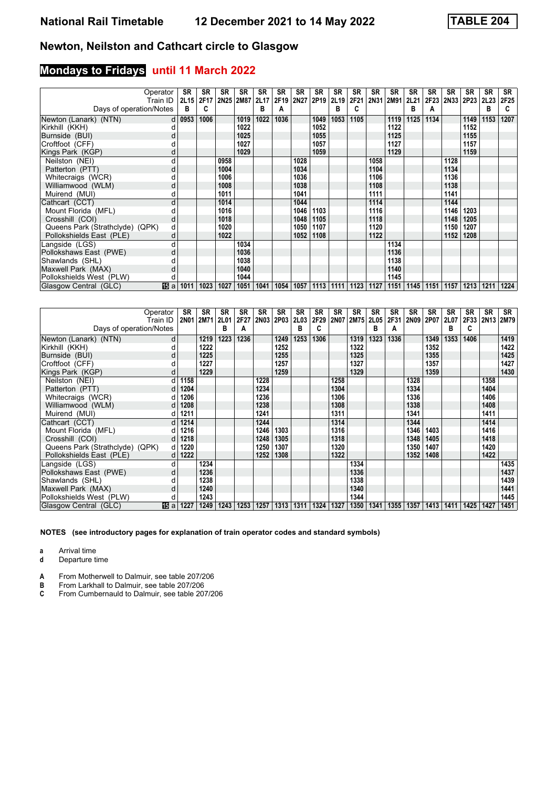# **Mondays to Fridays until 11 March 2022**

| Operator                        | Train ID   | <b>SR</b><br><b>2L15</b> | <b>SR</b><br>2F17 | <b>SR</b><br>2N25 2M87 | <b>SR</b> | <b>SR</b><br>2L17 | <b>SR</b><br>2F19 | <b>SR</b><br>2N27 | SR<br>2P <sub>19</sub> | SR<br>2L19 | <b>SR</b><br>2F21 | <b>SR</b><br>2N31 | SR<br>2M91 | <b>SR</b><br>2L21 | <b>SR</b><br>2F23 L | <b>SR</b> | <b>SR</b><br>2N33 2P23 | <b>SR</b><br>2L23 | <b>SR</b><br>2F25 |
|---------------------------------|------------|--------------------------|-------------------|------------------------|-----------|-------------------|-------------------|-------------------|------------------------|------------|-------------------|-------------------|------------|-------------------|---------------------|-----------|------------------------|-------------------|-------------------|
| Days of operation/Notes         |            | в                        | C                 |                        |           | в                 |                   |                   |                        | в          |                   |                   |            | в                 | А                   |           |                        | в                 | C                 |
| Newton (Lanark) (NTN)           |            | $d$ 0953                 | 1006              |                        | 1019      | 1022              | 1036              |                   | 1049                   | 1053       | 1105              |                   | 1119       | 1125              | 1134                |           | 1149                   | 1153              | 1207              |
| Kirkhill (KKH)                  |            |                          |                   |                        | 1022      |                   |                   |                   | 1052                   |            |                   |                   | 1122       |                   |                     |           | 1152                   |                   |                   |
| Burnside (BUI)                  | d          |                          |                   |                        | 1025      |                   |                   |                   | 1055                   |            |                   |                   | 1125       |                   |                     |           | 1155                   |                   |                   |
| Croftfoot (CFF)                 |            |                          |                   |                        | 1027      |                   |                   |                   | 1057                   |            |                   |                   | 1127       |                   |                     |           | 1157                   |                   |                   |
| Kings Park (KGP)                |            |                          |                   |                        | 1029      |                   |                   |                   | 1059                   |            |                   |                   | 1129       |                   |                     |           | 1159                   |                   |                   |
| Neilston (NEI)                  |            |                          |                   | 0958                   |           |                   |                   | 1028              |                        |            |                   | 1058              |            |                   |                     | 1128      |                        |                   |                   |
| Patterton (PTT)                 | d          |                          |                   | 1004                   |           |                   |                   | 1034              |                        |            |                   | 1104              |            |                   |                     | 1134      |                        |                   |                   |
| Whitecraigs (WCR)               |            |                          |                   | 1006                   |           |                   |                   | 1036              |                        |            |                   | 1106              |            |                   |                     | 1136      |                        |                   |                   |
| Williamwood (WLM)               | d          |                          |                   | 1008                   |           |                   |                   | 1038              |                        |            |                   | 1108              |            |                   |                     | 1138      |                        |                   |                   |
| Muirend (MUI)                   | d          |                          |                   | 1011                   |           |                   |                   | 1041              |                        |            |                   | 1111              |            |                   |                     | 1141      |                        |                   |                   |
| Cathcart (CCT)                  | d          |                          |                   | 1014                   |           |                   |                   | 1044              |                        |            |                   | 1114              |            |                   |                     | 1144      |                        |                   |                   |
| Mount Florida (MFL)             |            |                          |                   | 1016                   |           |                   |                   | 1046              | 1103                   |            |                   | 1116              |            |                   |                     | 1146      | 1203                   |                   |                   |
| Crosshill (COI)                 | d          |                          |                   | 1018                   |           |                   |                   | 1048              | 1105                   |            |                   | 1118              |            |                   |                     | 1148      | 1205                   |                   |                   |
| Queens Park (Strathclyde) (QPK) | d          |                          |                   | 1020                   |           |                   |                   | 1050              | 1107                   |            |                   | 1120              |            |                   |                     | 1150      | 1207                   |                   |                   |
| Pollokshields East (PLE)        | d          |                          |                   | 1022                   |           |                   |                   | 1052              | 1108                   |            |                   | 1122              |            |                   |                     | 1152      | 1208                   |                   |                   |
| Langside (LGS)                  |            |                          |                   |                        | 1034      |                   |                   |                   |                        |            |                   |                   | 1134       |                   |                     |           |                        |                   |                   |
| Pollokshaws East (PWE)          | d          |                          |                   |                        | 1036      |                   |                   |                   |                        |            |                   |                   | 1136       |                   |                     |           |                        |                   |                   |
| Shawlands (SHL)                 |            |                          |                   |                        | 1038      |                   |                   |                   |                        |            |                   |                   | 1138       |                   |                     |           |                        |                   |                   |
| Maxwell Park (MAX)              | d          |                          |                   |                        | 1040      |                   |                   |                   |                        |            |                   |                   | 1140       |                   |                     |           |                        |                   |                   |
| Pollokshields West (PLW)        |            |                          |                   |                        | 1044      |                   |                   |                   |                        |            |                   |                   | 1145       |                   |                     |           |                        |                   |                   |
| Glasgow Central (GLC)           | <b>旧</b> a | 1011                     | 1023              | 1027                   | 1051      | 1041              | 1054              | 1057              | 1113                   | 1111       | 1123              | 1127              | 1151       | 1145              | 1151                | 1157      | 1213                   | 1211              | 1224              |

| Operator                        |      | SR        | <b>SR</b> | SR          | <b>SR</b> | <b>SR</b>   | <b>SR</b> | <b>SR</b> | <b>SR</b> | <b>SR</b>   | <b>SR</b>   | <b>SR</b> | <b>SR</b> | <b>SR</b> | <b>SR</b>      | <b>SR</b> | <b>SR</b> | <b>SR</b> | SR             |
|---------------------------------|------|-----------|-----------|-------------|-----------|-------------|-----------|-----------|-----------|-------------|-------------|-----------|-----------|-----------|----------------|-----------|-----------|-----------|----------------|
| Train ID                        |      | 2N01 2M71 |           | <b>2L01</b> | 2F27      | <b>2N03</b> | 2P03      | 2L03      | 2F29      | <b>2N07</b> | <b>2M75</b> | 2L05      |           |           | 2F31 2N09 2P07 | 2L07      |           |           | 2F33 2N13 2M79 |
| Days of operation/Notes         |      |           |           | в           | А         |             |           | в         | c         |             |             | в         | A         |           |                | в         | c         |           |                |
| Newton (Lanark) (NTN)           | d    |           | 1219      | 1223        | 1236      |             | 1249      | 1253      | 1306      |             | 1319        | 1323      | 1336      |           | 1349           | 1353      | 1406      |           | 1419           |
| Kirkhill (KKH)                  |      |           | 1222      |             |           |             | 1252      |           |           |             | 1322        |           |           |           | 1352           |           |           |           | 1422           |
| Burnside (BUI)                  | d    |           | 1225      |             |           |             | 1255      |           |           |             | 1325        |           |           |           | 1355           |           |           |           | 1425           |
| Croftfoot (CFF)                 |      |           | 1227      |             |           |             | 1257      |           |           |             | 1327        |           |           |           | 1357           |           |           |           | 1427           |
| Kings Park (KGP)                | d    |           | 1229      |             |           |             | 1259      |           |           |             | 1329        |           |           |           | 1359           |           |           |           | 1430           |
| Neilston (NEI)                  |      | 1158      |           |             |           | 1228        |           |           |           | 1258        |             |           |           | 1328      |                |           |           | 1358      |                |
| Patterton (PTT)                 | d    | 1204      |           |             |           | 1234        |           |           |           | 1304        |             |           |           | 1334      |                |           |           | 1404      |                |
| Whitecraigs (WCR)               |      | 1206      |           |             |           | 1236        |           |           |           | 1306        |             |           |           | 1336      |                |           |           | 1406      |                |
| Williamwood (WLM)               | d    | 1208      |           |             |           | 1238        |           |           |           | 1308        |             |           |           | 1338      |                |           |           | 1408      |                |
| Muirend (MUI)                   | d    | 1211      |           |             |           | 1241        |           |           |           | 1311        |             |           |           | 1341      |                |           |           | 1411      |                |
| Cathcart (CCT)                  | d    | 1214      |           |             |           | 1244        |           |           |           | 1314        |             |           |           | 1344      |                |           |           | 1414      |                |
| Mount Florida (MFL)             |      | 1216      |           |             |           | 1246        | 1303      |           |           | 1316        |             |           |           | 1346      | 1403           |           |           | 1416      |                |
| Crosshill (COI)                 | d    | 1218      |           |             |           | 1248        | 1305      |           |           | 1318        |             |           |           | 1348      | 1405           |           |           | 1418      |                |
| Queens Park (Strathclyde) (QPK) | dl   | 1220      |           |             |           | 1250        | 1307      |           |           | 1320        |             |           |           | 1350      | 1407           |           |           | 1420      |                |
| Pollokshields East (PLE)        | d    | 1222      |           |             |           | 1252        | 1308      |           |           | 1322        |             |           |           | 1352      | 1408           |           |           | 1422      |                |
| Langside (LGS)                  | d    |           | 1234      |             |           |             |           |           |           |             | 1334        |           |           |           |                |           |           |           | 1435           |
| Pollokshaws East (PWE)          | d    |           | 1236      |             |           |             |           |           |           |             | 1336        |           |           |           |                |           |           |           | 1437           |
| Shawlands (SHL)                 |      |           | 1238      |             |           |             |           |           |           |             | 1338        |           |           |           |                |           |           |           | 1439           |
| Maxwell Park (MAX)              | d    |           | 1240      |             |           |             |           |           |           |             | 1340        |           |           |           |                |           |           |           | 1441           |
| Pollokshields West (PLW)        |      |           | 1243      |             |           |             |           |           |           |             | 1344        |           |           |           |                |           |           |           | 1445           |
| Glasgow Central (GLC)           | 16 a | 1227      | 1249      | 1243        | 1253      | 1257        | 1313      | 1311      | 1324      | 1327        | 1350        | 1341      | 1355      | 1357      | 1413           | 1411      | 1425      | 1427      | 1451           |

**NOTES (see introductory pages for explanation of train operator codes and standard symbols)**

**a** Arrival time<br>**d** Departure t

**d** Departure time

**A** From Motherwell to Dalmuir, see table 207/206<br>**B** From Larkhall to Dalmuir, see table 207/206

**B** From Larkhall to Dalmuir, see table 207/206<br>**C** From Cumbernauld to Dalmuir, see table 207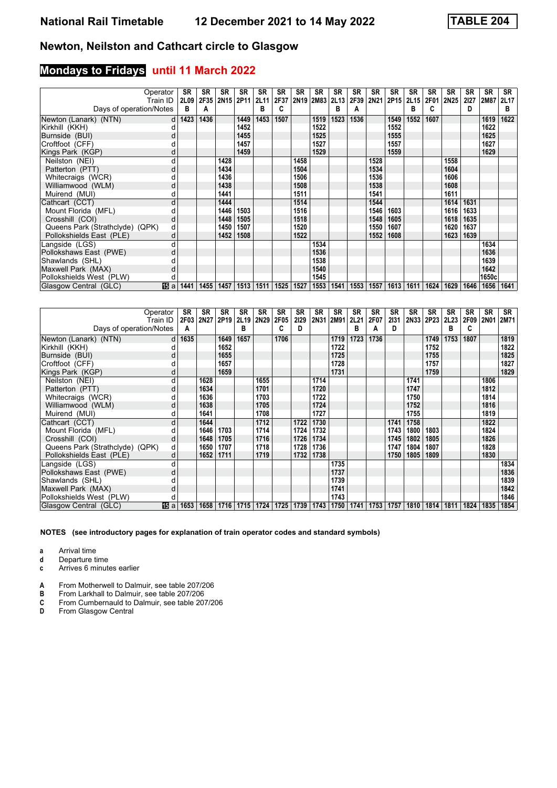#### **Mondays to Fridays until 11 March 2022**

| Days of operation/Notes         | Operator<br>Train ID | SR<br><b>2L09</b><br>в | <b>SR</b><br>2F35<br>А | <b>SR</b><br>2N15 2P11 | SR   | <b>SR</b><br>2L11<br>в | <b>SR</b><br>2F37 | <b>SR</b> | <b>SR</b><br>2N19 2M83 | SR<br>2L13<br>в | <b>SR</b><br>2F39<br>A | <b>SR</b><br>2N21 | <b>SR</b><br>2P15 | <b>SR</b><br>2L15<br>в | <b>SR</b><br>2F01<br>C | <b>SR</b><br><b>2N25</b> | <b>SR</b><br>2127<br>D | <b>SR</b><br>2M87 | <b>SR</b><br>2L17<br>в |
|---------------------------------|----------------------|------------------------|------------------------|------------------------|------|------------------------|-------------------|-----------|------------------------|-----------------|------------------------|-------------------|-------------------|------------------------|------------------------|--------------------------|------------------------|-------------------|------------------------|
|                                 |                      |                        |                        |                        |      |                        |                   |           |                        |                 |                        |                   |                   |                        |                        |                          |                        |                   |                        |
| Newton (Lanark) (NTN)           | d                    | 1423                   | 1436                   |                        | 1449 | 1453                   | 1507              |           | 1519                   | 1523            | 1536                   |                   | 1549              | 1552                   | 1607                   |                          |                        | 1619              | 1622                   |
| Kirkhill (KKH)                  |                      |                        |                        |                        | 1452 |                        |                   |           | 1522                   |                 |                        |                   | 1552              |                        |                        |                          |                        | 1622              |                        |
| Burnside (BUI)                  |                      |                        |                        |                        | 1455 |                        |                   |           | 1525                   |                 |                        |                   | 1555              |                        |                        |                          |                        | 1625              |                        |
| Croftfoot (CFF)                 |                      |                        |                        |                        | 1457 |                        |                   |           | 1527                   |                 |                        |                   | 1557              |                        |                        |                          |                        | 1627              |                        |
| Kings Park (KGP)                |                      |                        |                        |                        | 1459 |                        |                   |           | 1529                   |                 |                        |                   | 1559              |                        |                        |                          |                        | 1629              |                        |
| Neilston (NEI)                  | d                    |                        |                        | 1428                   |      |                        |                   | 1458      |                        |                 |                        | 1528              |                   |                        |                        | 1558                     |                        |                   |                        |
| Patterton (PTT)                 | d                    |                        |                        | 1434                   |      |                        |                   | 1504      |                        |                 |                        | 1534              |                   |                        |                        | 1604                     |                        |                   |                        |
| Whitecraigs (WCR)               |                      |                        |                        | 1436                   |      |                        |                   | 1506      |                        |                 |                        | 1536              |                   |                        |                        | 1606                     |                        |                   |                        |
| Williamwood (WLM)               | d                    |                        |                        | 1438                   |      |                        |                   | 1508      |                        |                 |                        | 1538              |                   |                        |                        | 1608                     |                        |                   |                        |
| Muirend (MUI)                   | d                    |                        |                        | 1441                   |      |                        |                   | 1511      |                        |                 |                        | 1541              |                   |                        |                        | 1611                     |                        |                   |                        |
| Cathcart (CCT)                  | d                    |                        |                        | 1444                   |      |                        |                   | 1514      |                        |                 |                        | 1544              |                   |                        |                        | 1614                     | 1631                   |                   |                        |
| Mount Florida (MFL)             |                      |                        |                        | 1446                   | 1503 |                        |                   | 1516      |                        |                 |                        | 1546              | 1603              |                        |                        | 1616                     | 1633                   |                   |                        |
| Crosshill (COI)                 | d                    |                        |                        | 1448                   | 1505 |                        |                   | 1518      |                        |                 |                        | 1548              | 1605              |                        |                        | 1618                     | 1635                   |                   |                        |
| Queens Park (Strathclyde) (QPK) | d                    |                        |                        | 1450                   | 1507 |                        |                   | 1520      |                        |                 |                        | 1550              | 1607              |                        |                        | 1620                     | 1637                   |                   |                        |
| Pollokshields East (PLE)        | d                    |                        |                        | 1452                   | 1508 |                        |                   | 1522      |                        |                 |                        | 1552              | 1608              |                        |                        | 1623                     | 1639                   |                   |                        |
| Langside (LGS)                  |                      |                        |                        |                        |      |                        |                   |           | 1534                   |                 |                        |                   |                   |                        |                        |                          |                        | 1634              |                        |
| Pollokshaws East (PWE)          |                      |                        |                        |                        |      |                        |                   |           | 1536                   |                 |                        |                   |                   |                        |                        |                          |                        | 1636              |                        |
| Shawlands (SHL)                 |                      |                        |                        |                        |      |                        |                   |           | 1538                   |                 |                        |                   |                   |                        |                        |                          |                        | 1639              |                        |
| Maxwell Park (MAX)              |                      |                        |                        |                        |      |                        |                   |           | 1540                   |                 |                        |                   |                   |                        |                        |                          |                        | 1642              |                        |
| Pollokshields West (PLW)        |                      |                        |                        |                        |      |                        |                   |           | 1545                   |                 |                        |                   |                   |                        |                        |                          |                        | 1650c             |                        |
| Glasgow Central (GLC)           | <b>15</b> a 1441     |                        | 1455                   | 1457                   | 1513 | 1511                   | 1525              | 1527      | 1553                   | 1541            | 1553                   | 1557              |                   | $1613$   1611          | 1624                   | 1629                     | 1646                   | 1656              | 1641                   |

| Operator                        | Train ID   | SR<br>2F03 | <b>SR</b> | <b>SR</b><br>2N27 2P19 | <b>SR</b><br>2L19 | <b>SR</b><br>2N29 | SR<br>2F05 | <b>SR</b><br>2129 | SR<br>2N31 | SR<br>2M91 | SR<br>2L21 | <b>SR</b><br>2F07 | SR<br>2131 | SR<br>2N33 | <b>SR</b><br>2P23 | <b>SR</b><br><b>2L23</b> | <b>SR</b><br>2F09 | <b>SR</b><br><b>2N01</b> | <b>SR</b><br>2M71 |
|---------------------------------|------------|------------|-----------|------------------------|-------------------|-------------------|------------|-------------------|------------|------------|------------|-------------------|------------|------------|-------------------|--------------------------|-------------------|--------------------------|-------------------|
| Days of operation/Notes         |            | A          |           |                        | в                 |                   |            | n                 |            |            | в          | А                 | D          |            |                   | в                        | c                 |                          |                   |
| Newton (Lanark) (NTN)           | d          | 1635       |           | 1649                   | 1657              |                   | 1706       |                   |            | 1719       | 1723       | 1736              |            |            | 1749              | 1753                     | 1807              |                          | 1819              |
| Kirkhill (KKH)                  |            |            |           | 1652                   |                   |                   |            |                   |            | 1722       |            |                   |            |            | 1752              |                          |                   |                          | 1822              |
| Burnside (BUI)                  | d          |            |           | 1655                   |                   |                   |            |                   |            | 1725       |            |                   |            |            | 1755              |                          |                   |                          | 1825              |
| Croftfoot (CFF)                 |            |            |           | 1657                   |                   |                   |            |                   |            | 1728       |            |                   |            |            | 1757              |                          |                   |                          | 1827              |
| Kings Park (KGP)                | d          |            |           | 1659                   |                   |                   |            |                   |            | 1731       |            |                   |            |            | 1759              |                          |                   |                          | 1829              |
| Neilston (NEI)                  | d          |            | 1628      |                        |                   | 1655              |            |                   | 1714       |            |            |                   |            | 1741       |                   |                          |                   | 1806                     |                   |
| Patterton (PTT)                 | d          |            | 1634      |                        |                   | 1701              |            |                   | 1720       |            |            |                   |            | 1747       |                   |                          |                   | 1812                     |                   |
| Whitecraigs (WCR)               |            |            | 1636      |                        |                   | 1703              |            |                   | 1722       |            |            |                   |            | 1750       |                   |                          |                   | 1814                     |                   |
| Williamwood (WLM)               | d          |            | 1638      |                        |                   | 1705              |            |                   | 1724       |            |            |                   |            | 1752       |                   |                          |                   | 1816                     |                   |
| Muirend (MUI)                   | d          |            | 1641      |                        |                   | 1708              |            |                   | 1727       |            |            |                   |            | 1755       |                   |                          |                   | 1819                     |                   |
| Cathcart (CCT)                  | d          |            | 1644      |                        |                   | 1712              |            | 1722              | 1730       |            |            |                   | 1741       | 1758       |                   |                          |                   | 1822                     |                   |
| Mount Florida (MFL)             | d          |            | 1646      | 1703                   |                   | 1714              |            | 1724              | 1732       |            |            |                   | 1743       | 1800       | 1803              |                          |                   | 1824                     |                   |
| Crosshill (COI)                 | d          |            | 1648      | 1705                   |                   | 1716              |            | 1726              | 1734       |            |            |                   | 1745       | 1802       | 1805              |                          |                   | 1826                     |                   |
| Queens Park (Strathclyde) (QPK) | d          |            | 1650      | 1707                   |                   | 1718              |            | 1728              | 1736       |            |            |                   | 1747       | 1804       | 1807              |                          |                   | 1828                     |                   |
| Pollokshields East (PLE)        | d          |            | 1652      | 1711                   |                   | 1719              |            | 1732              | 1738       |            |            |                   | 1750       | 1805       | 1809              |                          |                   | 1830                     |                   |
| Langside (LGS)                  | d          |            |           |                        |                   |                   |            |                   |            | 1735       |            |                   |            |            |                   |                          |                   |                          | 1834              |
| Pollokshaws East (PWE)          | d          |            |           |                        |                   |                   |            |                   |            | 1737       |            |                   |            |            |                   |                          |                   |                          | 1836              |
| Shawlands (SHL)                 |            |            |           |                        |                   |                   |            |                   |            | 1739       |            |                   |            |            |                   |                          |                   |                          | 1839              |
| Maxwell Park (MAX)              | d          |            |           |                        |                   |                   |            |                   |            | 1741       |            |                   |            |            |                   |                          |                   |                          | 1842              |
| Pollokshields West (PLW)        |            |            |           |                        |                   |                   |            |                   |            | 1743       |            |                   |            |            |                   |                          |                   |                          | 1846              |
| Glasgow Central (GLC)           | <b>個</b> a | 1653       | 1658      | 1716                   | 1715              | 1724              | 1725       | 1739              | 1743       | 1750       | 1741       | 1753              | 1757       | 1810       | 1814              | 1811                     | 1824              | 1835                     | 1854              |

**NOTES (see introductory pages for explanation of train operator codes and standard symbols)**

**a** Arrival time<br>**d** Departure t

**d** Departure time

**c** Arrives 6 minutes earlier

**A** From Motherwell to Dalmuir, see table 207/206<br>**B** From Larkhall to Dalmuir, see table 207/206

**B** From Larkhall to Dalmuir, see table 207/206<br>**C** From Cumbernauld to Dalmuir, see table 20

**C** From Cumbernauld to Dalmuir, see table 207/206<br>**D** From Glasgow Central

**'** From Glasgow Central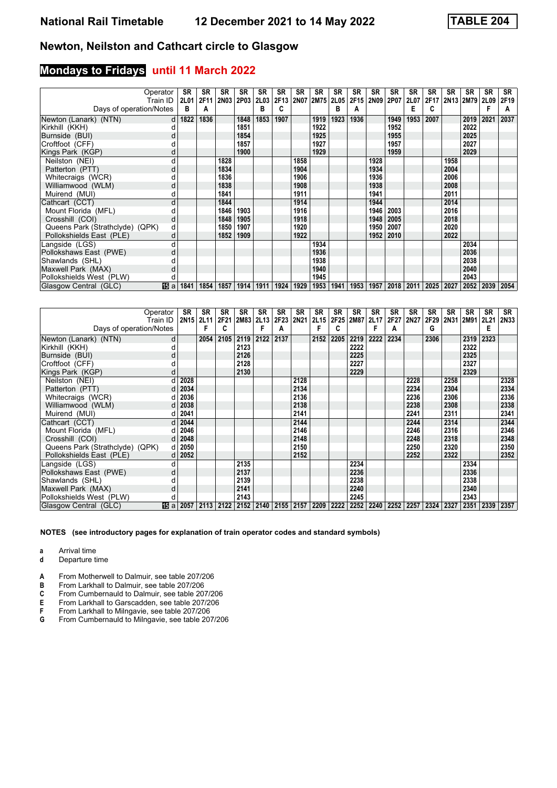#### **Mondays to Fridays until 11 March 2022**

|                                 | Operator | SR               | <b>SR</b> | <b>SR</b> | <b>SR</b>   | <b>SR</b> | SR   | <b>SR</b> | SR        | SR   | SR   | SR   | SR   | <b>SR</b>     | <b>SR</b> | <b>SR</b> | <b>SR</b>      | <b>SR</b> | <b>SR</b> |
|---------------------------------|----------|------------------|-----------|-----------|-------------|-----------|------|-----------|-----------|------|------|------|------|---------------|-----------|-----------|----------------|-----------|-----------|
|                                 | Train ID | 2L01             | 2F11      | 2N03 2P03 |             | 2L03      | 2F13 |           | 2N07 2M75 | 2L05 | 2F15 | 2N09 | 2P07 | 2L07          | 2F17      |           | 2N13 2M79 2L09 |           | 2F19      |
| Days of operation/Notes         |          | в                | A         |           |             | в         |      |           |           | R    | A    |      |      | Е             | C         |           |                |           | А         |
| Newton (Lanark) (NTN)           | d        | 1822             | 1836      |           | 1848        | 1853      | 1907 |           | 1919      | 1923 | 1936 |      | 1949 | 1953          | 2007      |           | 2019           | 2021      | 2037      |
| Kirkhill (KKH)                  |          |                  |           |           | 1851        |           |      |           | 1922      |      |      |      | 1952 |               |           |           | 2022           |           |           |
| Burnside (BUI)                  | d        |                  |           |           | 1854        |           |      |           | 1925      |      |      |      | 1955 |               |           |           | 2025           |           |           |
| Croftfoot (CFF)                 |          |                  |           |           | 1857        |           |      |           | 1927      |      |      |      | 1957 |               |           |           | 2027           |           |           |
| Kings Park (KGP)                |          |                  |           |           | 1900        |           |      |           | 1929      |      |      |      | 1959 |               |           |           | 2029           |           |           |
| Neilston (NEI)                  | d        |                  |           | 1828      |             |           |      | 1858      |           |      |      | 1928 |      |               |           | 1958      |                |           |           |
| Patterton (PTT)                 | d        |                  |           | 1834      |             |           |      | 1904      |           |      |      | 1934 |      |               |           | 2004      |                |           |           |
| Whitecraigs (WCR)               |          |                  |           | 1836      |             |           |      | 1906      |           |      |      | 1936 |      |               |           | 2006      |                |           |           |
| Williamwood (WLM)               | d        |                  |           | 1838      |             |           |      | 1908      |           |      |      | 1938 |      |               |           | 2008      |                |           |           |
| Muirend (MUI)                   | d        |                  |           | 1841      |             |           |      | 1911      |           |      |      | 1941 |      |               |           | 2011      |                |           |           |
| Cathcart (CCT)                  | d        |                  |           | 1844      |             |           |      | 1914      |           |      |      | 1944 |      |               |           | 2014      |                |           |           |
| Mount Florida (MFL)             | d        |                  |           | 1846      | 1903        |           |      | 1916      |           |      |      | 1946 | 2003 |               |           | 2016      |                |           |           |
| Crosshill (COI)                 | d        |                  |           | 1848      | 1905        |           |      | 1918      |           |      |      | 1948 | 2005 |               |           | 2018      |                |           |           |
| Queens Park (Strathclyde) (QPK) | d        |                  |           | 1850      | 1907        |           |      | 1920      |           |      |      | 1950 | 2007 |               |           | 2020      |                |           |           |
| Pollokshields East (PLE)        | d        |                  |           | 1852      | 1909        |           |      | 1922      |           |      |      | 1952 | 2010 |               |           | 2022      |                |           |           |
| Langside (LGS)                  | d        |                  |           |           |             |           |      |           | 1934      |      |      |      |      |               |           |           | 2034           |           |           |
| Pollokshaws East (PWE)          | d        |                  |           |           |             |           |      |           | 1936      |      |      |      |      |               |           |           | 2036           |           |           |
| Shawlands (SHL)                 |          |                  |           |           |             |           |      |           | 1938      |      |      |      |      |               |           |           | 2038           |           |           |
| Maxwell Park (MAX)              | d        |                  |           |           |             |           |      |           | 1940      |      |      |      |      |               |           |           | 2040           |           |           |
| Pollokshields West (PLW)        |          |                  |           |           |             |           |      |           | 1945      |      |      |      |      |               |           |           | 2043           |           |           |
| Glasgow Central (GLC)           |          | <b>15</b> a 1841 | 1854      | 1857      | 1914   1911 |           | 1924 | 1929      | 1953      | 1941 | 1953 | 1957 |      | $2018$   2011 | 2025 2027 |           | 2052           | 2039      | 2054      |

| Operator                        |                          | SR        | <b>SR</b> | <b>SR</b> | <b>SR</b>   | <b>SR</b> | <b>SR</b> | SR   | SR   | SR   | SR   | SR   | <b>SR</b> | <b>SR</b> | <b>SR</b> | <b>SR</b> | <b>SR</b> | SR   | SR          |
|---------------------------------|--------------------------|-----------|-----------|-----------|-------------|-----------|-----------|------|------|------|------|------|-----------|-----------|-----------|-----------|-----------|------|-------------|
|                                 | Train ID                 | 2N15 2L11 |           | 2F21      | 2M83   2L13 |           | 2F23      | 2N21 | 2L15 | 2F25 | 2M87 | 2L17 | 2F27      | 2N27      | 2F29      | 2N31      | 2M91      | 2L21 | <b>2N33</b> |
| Days of operation/Notes         |                          |           | F         | C         |             | F         | А         |      |      | c    |      | F    | A         |           | G         |           |           | Е    |             |
| Newton (Lanark) (NTN)           | d                        |           | 2054      | 2105      | 2119        | 2122      | 2137      |      | 2152 | 2205 | 2219 | 2222 | 2234      |           | 2306      |           | 2319      | 2323 |             |
| Kirkhill (KKH)                  |                          |           |           |           | 2123        |           |           |      |      |      | 2222 |      |           |           |           |           | 2322      |      |             |
| Burnside (BUI)                  |                          |           |           |           | 2126        |           |           |      |      |      | 2225 |      |           |           |           |           | 2325      |      |             |
| Croftfoot (CFF)                 |                          |           |           |           | 2128        |           |           |      |      |      | 2227 |      |           |           |           |           | 2327      |      |             |
| Kings Park (KGP)                |                          |           |           |           | 2130        |           |           |      |      |      | 2229 |      |           |           |           |           | 2329      |      |             |
| Neilston (NEI)                  |                          | 2028      |           |           |             |           |           | 2128 |      |      |      |      |           | 2228      |           | 2258      |           |      | 2328        |
| Patterton (PTT)                 |                          | 2034      |           |           |             |           |           | 2134 |      |      |      |      |           | 2234      |           | 2304      |           |      | 2334        |
| Whitecraigs (WCR)               |                          | 2036      |           |           |             |           |           | 2136 |      |      |      |      |           | 2236      |           | 2306      |           |      | 2336        |
| Williamwood (WLM)               | d                        | 2038      |           |           |             |           |           | 2138 |      |      |      |      |           | 2238      |           | 2308      |           |      | 2338        |
| Muirend (MUI)                   |                          | 2041      |           |           |             |           |           | 2141 |      |      |      |      |           | 2241      |           | 2311      |           |      | 2341        |
| Cathcart (CCT)                  | d                        | 2044      |           |           |             |           |           | 2144 |      |      |      |      |           | 2244      |           | 2314      |           |      | 2344        |
| Mount Florida (MFL)             |                          | 2046      |           |           |             |           |           | 2146 |      |      |      |      |           | 2246      |           | 2316      |           |      | 2346        |
| Crosshill (COI)                 |                          | 2048      |           |           |             |           |           | 2148 |      |      |      |      |           | 2248      |           | 2318      |           |      | 2348        |
| Queens Park (Strathclyde) (QPK) |                          | 2050      |           |           |             |           |           | 2150 |      |      |      |      |           | 2250      |           | 2320      |           |      | 2350        |
| Pollokshields East (PLE)        |                          | 2052      |           |           |             |           |           | 2152 |      |      |      |      |           | 2252      |           | 2322      |           |      | 2352        |
| Langside (LGS)                  |                          |           |           |           | 2135        |           |           |      |      |      | 2234 |      |           |           |           |           | 2334      |      |             |
| Pollokshaws East (PWE)          | d                        |           |           |           | 2137        |           |           |      |      |      | 2236 |      |           |           |           |           | 2336      |      |             |
| Shawlands (SHL)                 |                          |           |           |           | 2139        |           |           |      |      |      | 2238 |      |           |           |           |           | 2338      |      |             |
| Maxwell Park (MAX)              | d                        |           |           |           | 2141        |           |           |      |      |      | 2240 |      |           |           |           |           | 2340      |      |             |
| Pollokshields West (PLW)        |                          |           |           |           | 2143        |           |           |      |      |      | 2245 |      |           |           |           |           | 2343      |      |             |
| Glasgow Central (GLC)           | $\overline{15}$ a $2057$ |           | 2113      | 2122      |             | 2152 2140 | 2155      | 2157 | 2209 | 2222 | 2252 | 2240 | 2252      | 2257      | 2324      | 2327      | 2351      | 2339 | 2357        |

**NOTES (see introductory pages for explanation of train operator codes and standard symbols)**

**a** Arrival time<br>**d** Departure t

**d** Departure time

**A** From Motherwell to Dalmuir, see table 207/206<br>**B** From Larkhall to Dalmuir, see table 207/206

**B** From Larkhall to Dalmuir, see table 207/206<br>**C** From Cumbernauld to Dalmuir, see table 20

**C** From Cumbernauld to Dalmuir, see table 207/206<br>**E** From Larkhall to Garscadden, see table 207/206

**(** From Larkhall to Garscadden, see table 207/20

**F** From Larkhall to Milngavie, see table 207/206<br>**G** From Cumbernauld to Milngavie, see table 20

**\*** From Cumbernauld to Milngavie, see table 207/20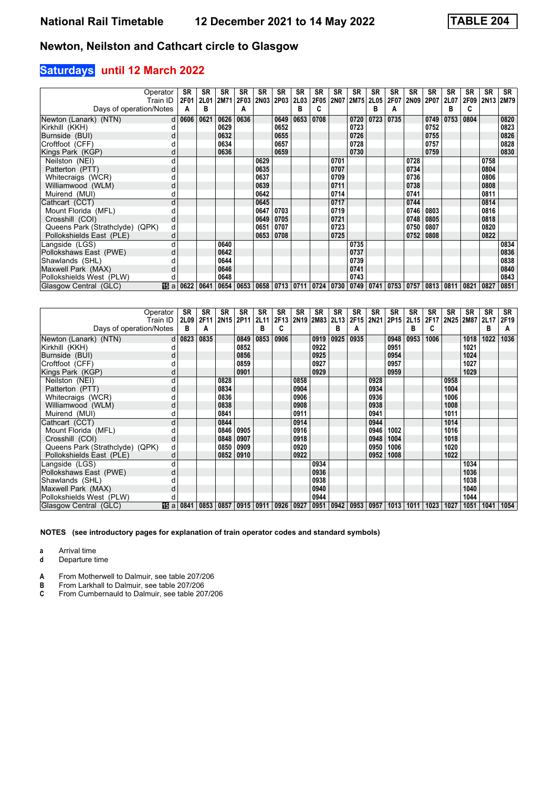## **Saturdays until 12 March 2022**

| Operator                        | Train ID | <b>SR</b><br><b>2F01</b> | <b>SR</b> | <b>SR</b><br>2L01 2M71                         | <b>SR</b><br><b>2F03</b> | <b>SR</b> | <b>SR</b><br>2N03 2P03 | <b>SR</b><br><b>2L03</b> | <b>SR</b><br>2F05 | <b>SR</b><br>2N07 | SR<br><b>2M75</b> | SR<br><b>2L05</b> | <b>SR</b><br>2F07 | <b>SR</b><br>2N09                               | <b>SR</b><br>2P07 | <b>SR</b><br>2L07 | <b>SR</b><br>2F09 | <b>SR</b><br>2N <sub>13</sub> | <b>SR</b><br>2M79 |
|---------------------------------|----------|--------------------------|-----------|------------------------------------------------|--------------------------|-----------|------------------------|--------------------------|-------------------|-------------------|-------------------|-------------------|-------------------|-------------------------------------------------|-------------------|-------------------|-------------------|-------------------------------|-------------------|
| Days of operation/Notes         |          | A                        | в         |                                                | А                        |           |                        | В                        |                   |                   |                   | в                 | А                 |                                                 |                   | в                 | c                 |                               |                   |
| Newton (Lanark) (NTN)           |          | $d \mid 0606$            | 0621      | 0626                                           | 0636                     |           | 0649                   | 0653                     | 0708              |                   | 0720              | 0723              | 0735              |                                                 | 0749              | 0753              | 0804              |                               | 0820              |
| Kirkhill (KKH)                  |          |                          |           | 0629                                           |                          |           | 0652                   |                          |                   |                   | 0723              |                   |                   |                                                 | 0752              |                   |                   |                               | 0823              |
| Burnside (BUI)                  |          |                          |           | 0632                                           |                          |           | 0655                   |                          |                   |                   | 0726              |                   |                   |                                                 | 0755              |                   |                   |                               | 0826              |
| Croftfoot (CFF)                 |          |                          |           | 0634                                           |                          |           | 0657                   |                          |                   |                   | 0728              |                   |                   |                                                 | 0757              |                   |                   |                               | 0828              |
| Kings Park (KGP)                |          |                          |           | 0636                                           |                          |           | 0659                   |                          |                   |                   | 0730              |                   |                   |                                                 | 0759              |                   |                   |                               | 0830              |
| Neilston (NEI)                  |          |                          |           |                                                |                          | 0629      |                        |                          |                   | 0701              |                   |                   |                   | 0728                                            |                   |                   |                   | 0758                          |                   |
| Patterton (PTT)                 | d        |                          |           |                                                |                          | 0635      |                        |                          |                   | 0707              |                   |                   |                   | 0734                                            |                   |                   |                   | 0804                          |                   |
| Whitecraigs (WCR)               |          |                          |           |                                                |                          | 0637      |                        |                          |                   | 0709              |                   |                   |                   | 0736                                            |                   |                   |                   | 0806                          |                   |
| Williamwood (WLM)               | d        |                          |           |                                                |                          | 0639      |                        |                          |                   | 0711              |                   |                   |                   | 0738                                            |                   |                   |                   | 0808                          |                   |
| Muirend (MUI)                   |          |                          |           |                                                |                          | 0642      |                        |                          |                   | 0714              |                   |                   |                   | 0741                                            |                   |                   |                   | 0811                          |                   |
| Cathcart (CCT)                  | d        |                          |           |                                                |                          | 0645      |                        |                          |                   | 0717              |                   |                   |                   | 0744                                            |                   |                   |                   | 0814                          |                   |
| Mount Florida (MFL)             |          |                          |           |                                                |                          | 0647      | 0703                   |                          |                   | 0719              |                   |                   |                   | 0746                                            | 0803              |                   |                   | 0816                          |                   |
| Crosshill (COI)                 | d        |                          |           |                                                |                          | 0649      | 0705                   |                          |                   | 0721              |                   |                   |                   | 0748                                            | 0805              |                   |                   | 0818                          |                   |
| Queens Park (Strathclyde) (QPK) | d        |                          |           |                                                |                          | 0651      | 0707                   |                          |                   | 0723              |                   |                   |                   | 0750                                            | 0807              |                   |                   | 0820                          |                   |
| Pollokshields East (PLE)        | d        |                          |           |                                                |                          | 0653      | 0708                   |                          |                   | 0725              |                   |                   |                   | 0752                                            | 0808              |                   |                   | 0822                          |                   |
| Langside (LGS)                  | d        |                          |           | 0640                                           |                          |           |                        |                          |                   |                   | 0735              |                   |                   |                                                 |                   |                   |                   |                               | 0834              |
| Pollokshaws East (PWE)          | d        |                          |           | 0642                                           |                          |           |                        |                          |                   |                   | 0737              |                   |                   |                                                 |                   |                   |                   |                               | 0836              |
| Shawlands (SHL)                 |          |                          |           | 0644                                           |                          |           |                        |                          |                   |                   | 0739              |                   |                   |                                                 |                   |                   |                   |                               | 0838              |
| Maxwell Park (MAX)              |          |                          |           | 0646                                           |                          |           |                        |                          |                   |                   | 0741              |                   |                   |                                                 |                   |                   |                   |                               | 0840              |
| Pollokshields West (PLW)        |          |                          |           | 0648                                           |                          |           |                        |                          |                   |                   | 0743              |                   |                   |                                                 |                   |                   |                   |                               | 0843              |
| Glasgow Central (GLC)           |          | <b>15</b> a 0622         | 0641      | 0654   0653   0658   0713   0711   0724   0730 |                          |           |                        |                          |                   |                   | 0749              | 0741              |                   | $\mid$ 0753 $\mid$ 0757 $\mid$ 0813 $\mid$ 0811 |                   |                   | 0821              | 0827                          | 0851              |

| Operator                        |                  | SR            | <b>SR</b> | SR        | SR   | <b>SR</b>   | <b>SR</b> | <b>SR</b> | SR        | SR   | SR   | <b>SR</b> | <b>SR</b> | <b>SR</b> | <b>SR</b> | <b>SR</b> | <b>SR</b>                               | <b>SR</b> | SR   |
|---------------------------------|------------------|---------------|-----------|-----------|------|-------------|-----------|-----------|-----------|------|------|-----------|-----------|-----------|-----------|-----------|-----------------------------------------|-----------|------|
|                                 | Train ID         | 2L09          | 2F11      | 2N15 2P11 |      | <b>2L11</b> | 2F13      |           | 2N19 2M83 | 2L13 |      |           |           |           |           |           | 2F15 2N21 2P15 2L15 2F17 2N25 2M87 2L17 |           | 2F19 |
| Days of operation/Notes         |                  | в             | A         |           |      | в           |           |           |           | в    | A    |           |           | в         | C         |           |                                         | в         | A    |
| Newton (Lanark) (NTN)           |                  | $d \mid 0823$ | 0835      |           | 0849 | 0853        | 0906      |           | 0919      | 0925 | 0935 |           | 0948      | 0953      | 1006      |           | 1018                                    | 1022      | 1036 |
| Kirkhill (KKH)                  |                  |               |           |           | 0852 |             |           |           | 0922      |      |      |           | 0951      |           |           |           | 1021                                    |           |      |
| Burnside (BUI)                  | d                |               |           |           | 0856 |             |           |           | 0925      |      |      |           | 0954      |           |           |           | 1024                                    |           |      |
| Croftfoot (CFF)                 |                  |               |           |           | 0859 |             |           |           | 0927      |      |      |           | 0957      |           |           |           | 1027                                    |           |      |
| Kings Park (KGP)                |                  |               |           |           | 0901 |             |           |           | 0929      |      |      |           | 0959      |           |           |           | 1029                                    |           |      |
| Neilston (NEI)                  |                  |               |           | 0828      |      |             |           | 0858      |           |      |      | 0928      |           |           |           | 0958      |                                         |           |      |
| Patterton (PTT)                 | d                |               |           | 0834      |      |             |           | 0904      |           |      |      | 0934      |           |           |           | 1004      |                                         |           |      |
| Whitecraigs (WCR)               |                  |               |           | 0836      |      |             |           | 0906      |           |      |      | 0936      |           |           |           | 1006      |                                         |           |      |
| Williamwood (WLM)               | d                |               |           | 0838      |      |             |           | 0908      |           |      |      | 0938      |           |           |           | 1008      |                                         |           |      |
| Muirend (MUI)                   |                  |               |           | 0841      |      |             |           | 0911      |           |      |      | 0941      |           |           |           | 1011      |                                         |           |      |
| Cathcart (CCT)                  | d                |               |           | 0844      |      |             |           | 0914      |           |      |      | 0944      |           |           |           | 1014      |                                         |           |      |
| Mount Florida (MFL)             |                  |               |           | 0846      | 0905 |             |           | 0916      |           |      |      | 0946      | 1002      |           |           | 1016      |                                         |           |      |
| Crosshill (COI)                 | d                |               |           | 0848      | 0907 |             |           | 0918      |           |      |      | 0948      | 1004      |           |           | 1018      |                                         |           |      |
| Queens Park (Strathclyde) (QPK) | d                |               |           | 0850      | 0909 |             |           | 0920      |           |      |      | 0950      | 1006      |           |           | 1020      |                                         |           |      |
| Pollokshields East (PLE)        | d                |               |           | 0852      | 0910 |             |           | 0922      |           |      |      | 0952      | 1008      |           |           | 1022      |                                         |           |      |
| Langside (LGS)                  |                  |               |           |           |      |             |           |           | 0934      |      |      |           |           |           |           |           | 1034                                    |           |      |
| Pollokshaws East (PWE)          | d                |               |           |           |      |             |           |           | 0936      |      |      |           |           |           |           |           | 1036                                    |           |      |
| Shawlands (SHL)                 |                  |               |           |           |      |             |           |           | 0938      |      |      |           |           |           |           |           | 1038                                    |           |      |
| Maxwell Park (MAX)              | d                |               |           |           |      |             |           |           | 0940      |      |      |           |           |           |           |           | 1040                                    |           |      |
| Pollokshields West (PLW)        |                  |               |           |           |      |             |           |           | 0944      |      |      |           |           |           |           |           | 1044                                    |           |      |
| Glasgow Central (GLC)           | <b>15</b> a 0841 |               | 0853      | 0857      | 0915 | 0911        | 0926      | 0927      | 0951      | 0942 | 0953 | 0957      | 1013      | 1011      | 1023      | 1027      | 1051                                    | 1041      | 1054 |

**NOTES (see introductory pages for explanation of train operator codes and standard symbols)**

**a** Arrival time<br>**d** Departure t

**d** Departure time

**A** From Motherwell to Dalmuir, see table 207/206<br>**B** From Larkhall to Dalmuir, see table 207/206

**B** From Larkhall to Dalmuir, see table 207/206<br>**C** From Cumbernauld to Dalmuir, see table 207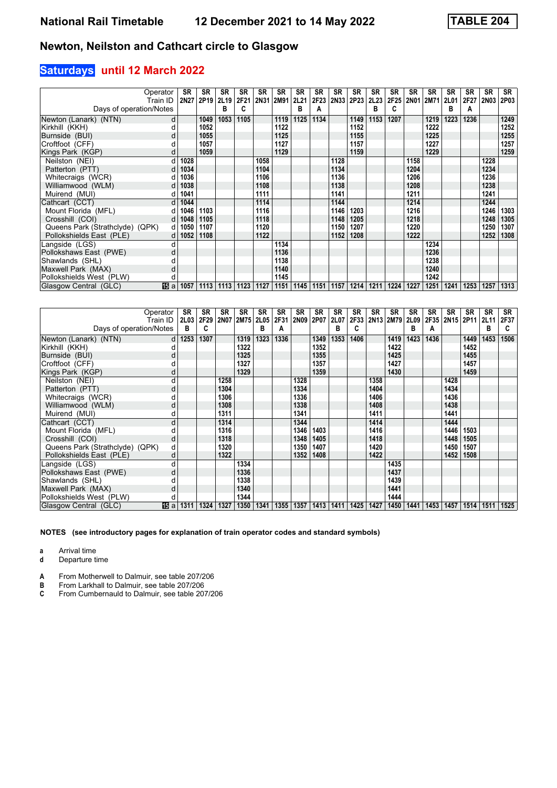## **Saturdays until 12 March 2022**

| Operator<br>Train ID            |     | SR<br>2N27       | SR<br>2P <sub>19</sub> | <b>SR</b><br>2L19 | <b>SR</b><br>2F21 | <b>SR</b><br>2N31 | <b>SR</b><br>2M91 | <b>SR</b><br><b>2L21</b> | <b>SR</b> | SR<br>2F23 2N33 2P23 | SR   | SR<br><b>2L23</b> | <b>SR</b><br>2F25 | <b>SR</b> | <b>SR</b><br>2N01 2M71 | <b>SR</b><br>2L01 | <b>SR</b><br>2F27 | <b>SR</b><br><b>2N03</b> | <b>SR</b><br>2P03 |
|---------------------------------|-----|------------------|------------------------|-------------------|-------------------|-------------------|-------------------|--------------------------|-----------|----------------------|------|-------------------|-------------------|-----------|------------------------|-------------------|-------------------|--------------------------|-------------------|
| Days of operation/Notes         |     |                  |                        | в                 | C                 |                   |                   | в                        | A         |                      |      | в                 | C                 |           |                        | в                 | A                 |                          |                   |
| Newton (Lanark) (NTN)           | d   |                  | 1049                   | 1053              | 1105              |                   | 1119              | 1125                     | 1134      |                      | 1149 | 1153              | 1207              |           | 1219                   | 1223              | 1236              |                          | 1249              |
| Kirkhill (KKH)                  |     |                  | 1052                   |                   |                   |                   | 1122              |                          |           |                      | 1152 |                   |                   |           | 1222                   |                   |                   |                          | 1252              |
| Burnside (BUI)                  | d   |                  | 1055                   |                   |                   |                   | 1125              |                          |           |                      | 1155 |                   |                   |           | 1225                   |                   |                   |                          | 1255              |
| Croftfoot (CFF)                 |     |                  | 1057                   |                   |                   |                   | 1127              |                          |           |                      | 1157 |                   |                   |           | 1227                   |                   |                   |                          | 1257              |
| Kings Park (KGP)                | d   |                  | 1059                   |                   |                   |                   | 1129              |                          |           |                      | 1159 |                   |                   |           | 1229                   |                   |                   |                          | 1259              |
| Neilston (NEI)                  |     | 1028             |                        |                   |                   | 1058              |                   |                          |           | 1128                 |      |                   |                   | 1158      |                        |                   |                   | 1228                     |                   |
| Patterton (PTT)                 | d   | 1034             |                        |                   |                   | 1104              |                   |                          |           | 1134                 |      |                   |                   | 1204      |                        |                   |                   | 1234                     |                   |
| Whitecraigs (WCR)               |     | 1036             |                        |                   |                   | 1106              |                   |                          |           | 1136                 |      |                   |                   | 1206      |                        |                   |                   | 1236                     |                   |
| Williamwood (WLM)               | d   | 1038             |                        |                   |                   | 1108              |                   |                          |           | 1138                 |      |                   |                   | 1208      |                        |                   |                   | 1238                     |                   |
| Muirend (MUI)                   |     | 1041             |                        |                   |                   | 1111              |                   |                          |           | 1141                 |      |                   |                   | 1211      |                        |                   |                   | 1241                     |                   |
| Cathcart (CCT)                  | d   | 1044             |                        |                   |                   | 1114              |                   |                          |           | 1144                 |      |                   |                   | 1214      |                        |                   |                   | 1244                     |                   |
| Mount Florida (MFL)             |     | 1046             | 1103                   |                   |                   | 1116              |                   |                          |           | 1146                 | 1203 |                   |                   | 1216      |                        |                   |                   | 1246                     | 1303              |
| Crosshill (COI)                 | dl  | 1048             | 1105                   |                   |                   | 1118              |                   |                          |           | 1148                 | 1205 |                   |                   | 1218      |                        |                   |                   | 1248                     | 1305              |
| Queens Park (Strathclyde) (QPK) | d l | 1050             | 1107                   |                   |                   | 1120              |                   |                          |           | 1150                 | 1207 |                   |                   | 1220      |                        |                   |                   | 1250                     | 1307              |
| Pollokshields East (PLE)        | d   | 1052             | 1108                   |                   |                   | 1122              |                   |                          |           | 1152                 | 1208 |                   |                   | 1222      |                        |                   |                   | 1252                     | 1308              |
| Langside (LGS)                  |     |                  |                        |                   |                   |                   | 1134              |                          |           |                      |      |                   |                   |           | 1234                   |                   |                   |                          |                   |
| Pollokshaws East (PWE)          | d   |                  |                        |                   |                   |                   | 1136              |                          |           |                      |      |                   |                   |           | 1236                   |                   |                   |                          |                   |
| Shawlands (SHL)                 |     |                  |                        |                   |                   |                   | 1138              |                          |           |                      |      |                   |                   |           | 1238                   |                   |                   |                          |                   |
| Maxwell Park (MAX)              | d   |                  |                        |                   |                   |                   | 1140              |                          |           |                      |      |                   |                   |           | 1240                   |                   |                   |                          |                   |
| Pollokshields West (PLW)        |     |                  |                        |                   |                   |                   | 1145              |                          |           |                      |      |                   |                   |           | 1242                   |                   |                   |                          |                   |
| Glasgow Central (GLC)           |     | <b>15</b> a 1057 | 1113                   | 1113              | 1123              | 1127              | 1151              | 1145                     | 1151      | 1157                 | 1214 | 1211              | 1224              | 1227      | 1251                   | 1241              | 1253              | 1257                     | 1313              |

| Operator                        |     | SR       | <b>SR</b> | <b>SR</b>      | <b>SR</b> | <b>SR</b> | <b>SR</b> | <b>SR</b> | <b>SR</b> | SR   | SR   | <b>SR</b> | <b>SR</b>           | <b>SR</b> | <b>SR</b> | <b>SR</b>      | SR.  | <b>SR</b> | SR   |
|---------------------------------|-----|----------|-----------|----------------|-----------|-----------|-----------|-----------|-----------|------|------|-----------|---------------------|-----------|-----------|----------------|------|-----------|------|
| Train ID                        |     | 2L03     | 2F29      | 2N07 2M75 2L05 |           |           | 2F31      | 2N09 2P07 |           | 2L07 |      |           | 2F33 2N13 2M79 2L09 |           |           | 2F35 2N15 2P11 |      | 2L11      | 2F37 |
| Days of operation/Notes         |     | в        | C         |                |           | в         | А         |           |           | в    | C    |           |                     | в         | A         |                |      | в         | c    |
| Newton (Lanark) (NTN)           |     | $d$ 1253 | 1307      |                | 1319      | 1323      | 1336      |           | 1349      | 1353 | 1406 |           | 1419                | 1423      | 1436      |                | 1449 | 1453      | 1506 |
| Kirkhill (KKH)                  |     |          |           |                | 1322      |           |           |           | 1352      |      |      |           | 1422                |           |           |                | 1452 |           |      |
| Burnside (BUI)                  |     |          |           |                | 1325      |           |           |           | 1355      |      |      |           | 1425                |           |           |                | 1455 |           |      |
| Croftfoot (CFF)                 |     |          |           |                | 1327      |           |           |           | 1357      |      |      |           | 1427                |           |           |                | 1457 |           |      |
| Kings Park (KGP)                |     |          |           |                | 1329      |           |           |           | 1359      |      |      |           | 1430                |           |           |                | 1459 |           |      |
| Neilston (NEI)                  |     |          |           | 1258           |           |           |           | 1328      |           |      |      | 1358      |                     |           |           | 1428           |      |           |      |
| Patterton (PTT)                 | d   |          |           | 1304           |           |           |           | 1334      |           |      |      | 1404      |                     |           |           | 1434           |      |           |      |
| Whitecraigs (WCR)               |     |          |           | 1306           |           |           |           | 1336      |           |      |      | 1406      |                     |           |           | 1436           |      |           |      |
| Williamwood (WLM)               | d   |          |           | 1308           |           |           |           | 1338      |           |      |      | 1408      |                     |           |           | 1438           |      |           |      |
| Muirend (MUI)                   |     |          |           | 1311           |           |           |           | 1341      |           |      |      | 1411      |                     |           |           | 1441           |      |           |      |
| Cathcart (CCT)                  | d   |          |           | 1314           |           |           |           | 1344      |           |      |      | 1414      |                     |           |           | 1444           |      |           |      |
| Mount Florida (MFL)             |     |          |           | 1316           |           |           |           | 1346      | 1403      |      |      | 1416      |                     |           |           | 1446           | 1503 |           |      |
| Crosshill (COI)                 | d   |          |           | 1318           |           |           |           | 1348      | 1405      |      |      | 1418      |                     |           |           | 1448           | 1505 |           |      |
| Queens Park (Strathclyde) (QPK) | d   |          |           | 1320           |           |           |           | 1350      | 1407      |      |      | 1420      |                     |           |           | 1450           | 1507 |           |      |
| Pollokshields East (PLE)        | d   |          |           | 1322           |           |           |           | 1352      | 1408      |      |      | 1422      |                     |           |           | 1452           | 1508 |           |      |
| Langside (LGS)                  |     |          |           |                | 1334      |           |           |           |           |      |      |           | 1435                |           |           |                |      |           |      |
| Pollokshaws East (PWE)          | d   |          |           |                | 1336      |           |           |           |           |      |      |           | 1437                |           |           |                |      |           |      |
| Shawlands (SHL)                 |     |          |           |                | 1338      |           |           |           |           |      |      |           | 1439                |           |           |                |      |           |      |
| Maxwell Park (MAX)              | d   |          |           |                | 1340      |           |           |           |           |      |      |           | 1441                |           |           |                |      |           |      |
| Pollokshields West (PLW)        |     |          |           |                | 1344      |           |           |           |           |      |      |           | 1444                |           |           |                |      |           |      |
| Glasgow Central (GLC)           | 间 a | 1311     | 1324      | 1327           | 1350      | 1341      | 1355      | 1357      | 1413      | 1411 | 1425 | 1427      | 1450                | 1441      | 1453      | 1457           | 1514 | 1511      | 1525 |

**NOTES (see introductory pages for explanation of train operator codes and standard symbols)**

**a** Arrival time<br>**d** Departure t

**d** Departure time

**A** From Motherwell to Dalmuir, see table 207/206<br>**B** From Larkhall to Dalmuir, see table 207/206

**B** From Larkhall to Dalmuir, see table 207/206<br>**C** From Cumbernauld to Dalmuir, see table 207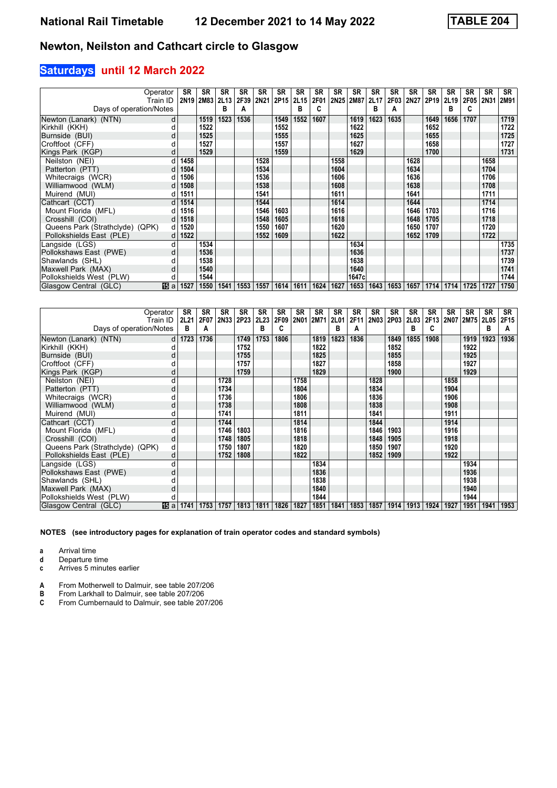## **Saturdays until 12 March 2022**

| Operator<br>Train ID            |     | SR   | SR<br>2N19 2M83 | <b>SR</b><br><b>2L13</b> | <b>SR</b><br>2F39 | <b>SR</b><br>2N21 | <b>SR</b><br>2P15 2L15 | <b>SR</b>   | <b>SR</b><br>2F01 | <b>SR</b> | SR<br>2N25 2M87 | <b>SR</b><br>2L17 | SR<br>2F03 | SR<br>2N27 | <b>SR</b><br>2P <sub>19</sub> | <b>SR</b><br>2L19 | <b>SR</b><br>2F05 2N31 | <b>SR</b> | SR<br><b>2M91</b> |
|---------------------------------|-----|------|-----------------|--------------------------|-------------------|-------------------|------------------------|-------------|-------------------|-----------|-----------------|-------------------|------------|------------|-------------------------------|-------------------|------------------------|-----------|-------------------|
| Days of operation/Notes         |     |      |                 | в                        | А                 |                   |                        | в           | C                 |           |                 | в                 | A          |            |                               | в                 | C                      |           |                   |
| Newton (Lanark) (NTN)           | d   |      | 1519            | 1523                     | 1536              |                   | 1549                   | 1552        | 1607              |           | 1619            | 1623              | 1635       |            | 1649                          | 1656              | 1707                   |           | 1719              |
| Kirkhill (KKH)                  |     |      | 1522            |                          |                   |                   | 1552                   |             |                   |           | 1622            |                   |            |            | 1652                          |                   |                        |           | 1722              |
| Burnside (BUI)                  | d   |      | 1525            |                          |                   |                   | 1555                   |             |                   |           | 1625            |                   |            |            | 1655                          |                   |                        |           | 1725              |
| Croftfoot (CFF)                 |     |      | 1527            |                          |                   |                   | 1557                   |             |                   |           | 1627            |                   |            |            | 1658                          |                   |                        |           | 1727              |
| Kings Park (KGP)                | d   |      | 1529            |                          |                   |                   | 1559                   |             |                   |           | 1629            |                   |            |            | 1700                          |                   |                        |           | 1731              |
| Neilston (NEI)                  | d   | 1458 |                 |                          |                   | 1528              |                        |             |                   | 1558      |                 |                   |            | 1628       |                               |                   |                        | 1658      |                   |
| Patterton (PTT)                 | d   | 1504 |                 |                          |                   | 1534              |                        |             |                   | 1604      |                 |                   |            | 1634       |                               |                   |                        | 1704      |                   |
| Whitecraigs (WCR)               |     | 1506 |                 |                          |                   | 1536              |                        |             |                   | 1606      |                 |                   |            | 1636       |                               |                   |                        | 1706      |                   |
| Williamwood (WLM)               | d   | 1508 |                 |                          |                   | 1538              |                        |             |                   | 1608      |                 |                   |            | 1638       |                               |                   |                        | 1708      |                   |
| Muirend (MUI)                   | d   | 1511 |                 |                          |                   | 1541              |                        |             |                   | 1611      |                 |                   |            | 1641       |                               |                   |                        | 1711      |                   |
| Cathcart (CCT)                  | d   | 1514 |                 |                          |                   | 1544              |                        |             |                   | 1614      |                 |                   |            | 1644       |                               |                   |                        | 1714      |                   |
| Mount Florida (MFL)             |     | 1516 |                 |                          |                   | 1546              | 1603                   |             |                   | 1616      |                 |                   |            | 1646       | 1703                          |                   |                        | 1716      |                   |
| Crosshill (COI)                 |     | 1518 |                 |                          |                   | 1548              | 1605                   |             |                   | 1618      |                 |                   |            | 1648       | 1705                          |                   |                        | 1718      |                   |
| Queens Park (Strathclyde) (QPK) | d   | 1520 |                 |                          |                   | 1550              | 1607                   |             |                   | 1620      |                 |                   |            | 1650       | 1707                          |                   |                        | 1720      |                   |
| Pollokshields East (PLE)        | d   | 1522 |                 |                          |                   | 1552              | 1609                   |             |                   | 1622      |                 |                   |            | 1652       | 1709                          |                   |                        | 1722      |                   |
| Langside (LGS)                  | d   |      | 1534            |                          |                   |                   |                        |             |                   |           | 1634            |                   |            |            |                               |                   |                        |           | 1735              |
| Pollokshaws East (PWE)          | d   |      | 1536            |                          |                   |                   |                        |             |                   |           | 1636            |                   |            |            |                               |                   |                        |           | 1737              |
| Shawlands (SHL)                 |     |      | 1538            |                          |                   |                   |                        |             |                   |           | 1638            |                   |            |            |                               |                   |                        |           | 1739              |
| Maxwell Park (MAX)              | d   |      | 1540            |                          |                   |                   |                        |             |                   |           | 1640            |                   |            |            |                               |                   |                        |           | 1741              |
| Pollokshields West (PLW)        |     |      | 1544            |                          |                   |                   |                        |             |                   |           | 1647c           |                   |            |            |                               |                   |                        |           | 1744              |
| Glasgow Central (GLC)           | 围al | 1527 | 1550            | 1541                     | 1553              | 1557              |                        | 1614   1611 | 1624              | 1627      | 1653            | 1643              | 1653       | 1657       |                               | 1714 1714         | 1725                   | 1727      | 1750              |

| Operator                        |          | SR   | SR   | SR        | SR   | <b>SR</b>        | <b>SR</b> | <b>SR</b>   | SR          | <b>SR</b>   | <b>SR</b> | <b>SR</b> | <b>SR</b> | <b>SR</b> | <b>SR</b> | <b>SR</b> | <b>SR</b>           | <b>SR</b> | SR   |
|---------------------------------|----------|------|------|-----------|------|------------------|-----------|-------------|-------------|-------------|-----------|-----------|-----------|-----------|-----------|-----------|---------------------|-----------|------|
|                                 | Train ID | 2L21 | 2F07 | 2N33 2P23 |      | 2L <sub>23</sub> | 2F09      | <b>2N01</b> | <b>2M71</b> | <b>2L01</b> | 2F11      | 2N03      | 2P03      | 2L03      |           |           | 2F13 2N07 2M75 2L05 |           | 2F15 |
| Days of operation/Notes         |          | в    | А    |           |      | в                |           |             |             | в           | A         |           |           | в         | c         |           |                     | в         | A    |
| Newton (Lanark) (NTN)           | $d \mid$ | 1723 | 1736 |           | 1749 | 1753             | 1806      |             | 1819        | 1823        | 1836      |           | 1849      | 1855      | 1908      |           | 1919                | 1923      | 1936 |
| Kirkhill (KKH)                  |          |      |      |           | 1752 |                  |           |             | 1822        |             |           |           | 1852      |           |           |           | 1922                |           |      |
| Burnside (BUI)                  | d        |      |      |           | 1755 |                  |           |             | 1825        |             |           |           | 1855      |           |           |           | 1925                |           |      |
| Croftfoot (CFF)                 |          |      |      |           | 1757 |                  |           |             | 1827        |             |           |           | 1858      |           |           |           | 1927                |           |      |
| Kings Park (KGP)                |          |      |      |           | 1759 |                  |           |             | 1829        |             |           |           | 1900      |           |           |           | 1929                |           |      |
| Neilston (NEI)                  | d        |      |      | 1728      |      |                  |           | 1758        |             |             |           | 1828      |           |           |           | 1858      |                     |           |      |
| Patterton (PTT)                 | d        |      |      | 1734      |      |                  |           | 1804        |             |             |           | 1834      |           |           |           | 1904      |                     |           |      |
| Whitecraigs (WCR)               |          |      |      | 1736      |      |                  |           | 1806        |             |             |           | 1836      |           |           |           | 1906      |                     |           |      |
| Williamwood (WLM)               | d        |      |      | 1738      |      |                  |           | 1808        |             |             |           | 1838      |           |           |           | 1908      |                     |           |      |
| Muirend (MUI)                   | d        |      |      | 1741      |      |                  |           | 1811        |             |             |           | 1841      |           |           |           | 1911      |                     |           |      |
| Cathcart (CCT)                  | d        |      |      | 1744      |      |                  |           | 1814        |             |             |           | 1844      |           |           |           | 1914      |                     |           |      |
| Mount Florida (MFL)             |          |      |      | 1746      | 1803 |                  |           | 1816        |             |             |           | 1846      | 1903      |           |           | 1916      |                     |           |      |
| Crosshill (COI)                 | d        |      |      | 1748      | 1805 |                  |           | 1818        |             |             |           | 1848      | 1905      |           |           | 1918      |                     |           |      |
| Queens Park (Strathclyde) (QPK) | d        |      |      | 1750      | 1807 |                  |           | 1820        |             |             |           | 1850      | 1907      |           |           | 1920      |                     |           |      |
| Pollokshields East (PLE)        | d        |      |      | 1752      | 1808 |                  |           | 1822        |             |             |           | 1852      | 1909      |           |           | 1922      |                     |           |      |
| Langside (LGS)                  |          |      |      |           |      |                  |           |             | 1834        |             |           |           |           |           |           |           | 1934                |           |      |
| Pollokshaws East (PWE)          | d        |      |      |           |      |                  |           |             | 1836        |             |           |           |           |           |           |           | 1936                |           |      |
| Shawlands (SHL)                 |          |      |      |           |      |                  |           |             | 1838        |             |           |           |           |           |           |           | 1938                |           |      |
| Maxwell Park (MAX)              | d        |      |      |           |      |                  |           |             | 1840        |             |           |           |           |           |           |           | 1940                |           |      |
| Pollokshields West (PLW)        |          |      |      |           |      |                  |           |             | 1844        |             |           |           |           |           |           |           | 1944                |           |      |
| Glasgow Central (GLC)           | 间 a      | 1741 | 1753 | 1757      | 1813 | 1811             | 1826      | 1827        | 1851        | 1841        | 1853      | 1857      | 1914      | 1913      | 1924      | 1927      | 1951                | 1941      | 1953 |

**NOTES (see introductory pages for explanation of train operator codes and standard symbols)**

**a** Arrival time<br>**d** Departure t

**d** Departure time

**c** Arrives 5 minutes earlier

**A** From Motherwell to Dalmuir, see table 207/206<br>**B** From Larkhall to Dalmuir, see table 207/206

**B** From Larkhall to Dalmuir, see table 207/206<br>**C** From Cumbernauld to Dalmuir, see table 207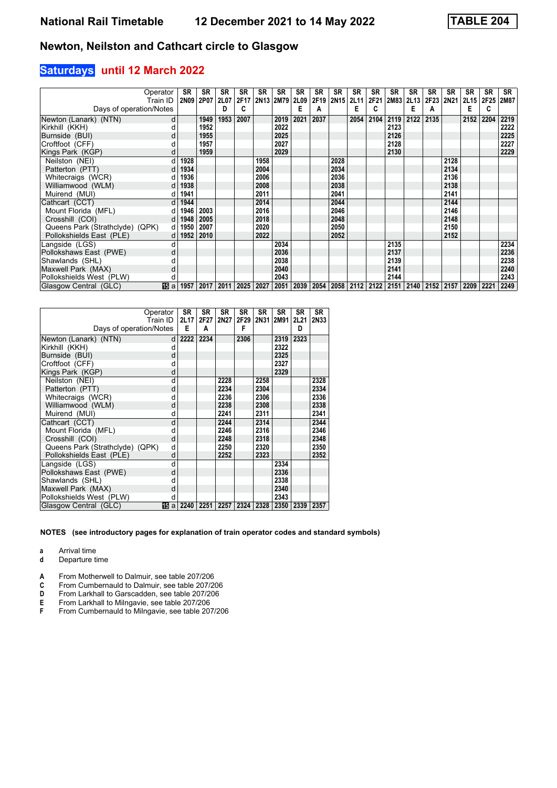#### **Saturdays until 12 March 2022**

|                                 | Operator  | <b>SR</b> | <b>SR</b> | <b>SR</b>   | <b>SR</b><br>2F17   | <b>SR</b> | <b>SR</b> | <b>SR</b>        | <b>SR</b> | <b>SR</b>      | <b>SR</b>                 | <b>SR</b> | SR   | <b>SR</b>           | <b>SR</b> | <b>SR</b> | <b>SR</b>                               | <b>SR</b>   | SR          |
|---------------------------------|-----------|-----------|-----------|-------------|---------------------|-----------|-----------|------------------|-----------|----------------|---------------------------|-----------|------|---------------------|-----------|-----------|-----------------------------------------|-------------|-------------|
|                                 | Train ID  | 2N09      | 2P07      | <b>2L07</b> | c                   |           | 2N13 2M79 | <b>2L09</b><br>Е |           | 2F19 2N15 2L11 | Е                         | c         |      | 2F21 2M83 2L13<br>Е |           |           | 2F23 2N21 2L15<br>Е                     | <b>2F25</b> | <b>2M87</b> |
| Days of operation/Notes         |           |           |           | D           |                     |           |           |                  | A         |                |                           |           |      |                     | А         |           |                                         | C           |             |
| Newton (Lanark) (NTN)           | d         |           | 1949      | 1953        | 2007                |           | 2019      | 2021             | 2037      |                | 2054                      | 2104      | 2119 | 2122                | 2135      |           | 2152                                    | 2204        | 2219        |
| Kirkhill (KKH)                  |           |           | 1952      |             |                     |           | 2022      |                  |           |                |                           |           | 2123 |                     |           |           |                                         |             | 2222        |
| Burnside (BUI)                  | d         |           | 1955      |             |                     |           | 2025      |                  |           |                |                           |           | 2126 |                     |           |           |                                         |             | 2225        |
| Croftfoot (CFF)                 |           |           | 1957      |             |                     |           | 2027      |                  |           |                |                           |           | 2128 |                     |           |           |                                         |             | 2227        |
| Kings Park (KGP)                | d         |           | 1959      |             |                     |           | 2029      |                  |           |                |                           |           | 2130 |                     |           |           |                                         |             | 2229        |
| Neilston (NEI)                  |           | 1928      |           |             |                     | 1958      |           |                  |           | 2028           |                           |           |      |                     |           | 2128      |                                         |             |             |
| Patterton (PTT)                 | d         | 1934      |           |             |                     | 2004      |           |                  |           | 2034           |                           |           |      |                     |           | 2134      |                                         |             |             |
| Whitecraigs (WCR)               |           | 1936      |           |             |                     | 2006      |           |                  |           | 2036           |                           |           |      |                     |           | 2136      |                                         |             |             |
| Williamwood (WLM)               | d         | 1938      |           |             |                     | 2008      |           |                  |           | 2038           |                           |           |      |                     |           | 2138      |                                         |             |             |
| Muirend (MUI)                   |           | 1941      |           |             |                     | 2011      |           |                  |           | 2041           |                           |           |      |                     |           | 2141      |                                         |             |             |
| Cathcart (CCT)                  | d         | 1944      |           |             |                     | 2014      |           |                  |           | 2044           |                           |           |      |                     |           | 2144      |                                         |             |             |
| Mount Florida (MFL)             | d l       | 1946      | 2003      |             |                     | 2016      |           |                  |           | 2046           |                           |           |      |                     |           | 2146      |                                         |             |             |
| Crosshill (COI)                 | dl        | 1948      | 2005      |             |                     | 2018      |           |                  |           | 2048           |                           |           |      |                     |           | 2148      |                                         |             |             |
| Queens Park (Strathclyde) (QPK) | $d \mid$  | 1950      | 2007      |             |                     | 2020      |           |                  |           | 2050           |                           |           |      |                     |           | 2150      |                                         |             |             |
| Pollokshields East (PLE)        | $d \mid$  | 1952      | 2010      |             |                     | 2022      |           |                  |           | 2052           |                           |           |      |                     |           | 2152      |                                         |             |             |
| Langside (LGS)                  |           |           |           |             |                     |           | 2034      |                  |           |                |                           |           | 2135 |                     |           |           |                                         |             | 2234        |
| Pollokshaws East (PWE)          |           |           |           |             |                     |           | 2036      |                  |           |                |                           |           | 2137 |                     |           |           |                                         |             | 2236        |
| Shawlands (SHL)                 |           |           |           |             |                     |           | 2038      |                  |           |                |                           |           | 2139 |                     |           |           |                                         |             | 2238        |
| Maxwell Park (MAX)              |           |           |           |             |                     |           | 2040      |                  |           |                |                           |           | 2141 |                     |           |           |                                         |             | 2240        |
| Pollokshields West (PLW)        | d         |           |           |             |                     |           | 2043      |                  |           |                |                           |           | 2144 |                     |           |           |                                         |             | 2243        |
| Glasgow Central (GLC)           | 15 a 1957 |           |           |             | 2017 2011 2025 2027 |           |           | 2051 2039        |           |                | 2054   2058   2112   2122 |           |      |                     |           |           | 2151   2140   2152   2157   2209   2221 |             | 2249        |

| Operator<br>Days of operation/Notes | Train ID | SR<br>2L17<br>Е | SR<br>2F27<br>A | SR<br>2N27 | SR<br>2F29<br>F | SR   | SR<br>2N31 2M91 | SR<br>2L21<br>D | <b>SR</b><br>2N33 |
|-------------------------------------|----------|-----------------|-----------------|------------|-----------------|------|-----------------|-----------------|-------------------|
| Newton (Lanark) (NTN)               | d        | 2222            | 2234            |            | 2306            |      | 2319            | 2323            |                   |
| Kirkhill (KKH)                      | d        |                 |                 |            |                 |      | 2322            |                 |                   |
| Burnside (BUI)                      | d        |                 |                 |            |                 |      | 2325            |                 |                   |
| Croftfoot (CFF)                     | d        |                 |                 |            |                 |      | 2327            |                 |                   |
| Kings Park (KGP)                    | d        |                 |                 |            |                 |      | 2329            |                 |                   |
| Neilston (NEI)                      | d        |                 |                 | 2228       |                 | 2258 |                 |                 | 2328              |
| Patterton (PTT)                     | d        |                 |                 | 2234       |                 | 2304 |                 |                 | 2334              |
| Whitecraigs (WCR)                   | d        |                 |                 | 2236       |                 | 2306 |                 |                 | 2336              |
| Williamwood (WLM)                   | d        |                 |                 | 2238       |                 | 2308 |                 |                 | 2338              |
| Muirend (MUI)                       | d        |                 |                 | 2241       |                 | 2311 |                 |                 | 2341              |
| Cathcart (CCT)                      | d        |                 |                 | 2244       |                 | 2314 |                 |                 | 2344              |
| Mount Florida (MFL)                 | d        |                 |                 | 2246       |                 | 2316 |                 |                 | 2346              |
| Crosshill (COI)                     | d        |                 |                 | 2248       |                 | 2318 |                 |                 | 2348              |
| Queens Park (Strathclyde) (QPK)     | d        |                 |                 | 2250       |                 | 2320 |                 |                 | 2350              |
| Pollokshields East (PLE)            | d        |                 |                 | 2252       |                 | 2323 |                 |                 | 2352              |
| Langside (LGS)                      | d        |                 |                 |            |                 |      | 2334            |                 |                   |
| Pollokshaws East (PWE)              | d        |                 |                 |            |                 |      | 2336            |                 |                   |
| Shawlands (SHL)                     | d        |                 |                 |            |                 |      | 2338            |                 |                   |
| Maxwell Park (MAX)                  | d        |                 |                 |            |                 |      | 2340            |                 |                   |
| Pollokshields West (PLW)            | d        |                 |                 |            |                 |      | 2343            |                 |                   |
| Glasgow Central (GLC)               | 阳a       | 2240            | 2251            | 2257       | 2324            | 2328 | 2350            | 2339            | 2357              |

**NOTES (see introductory pages for explanation of train operator codes and standard symbols)**

**a** Arrival time<br>**d** Departure t

**d** Departure time

**A** From Motherwell to Dalmuir, see table 207/206<br>**C** From Cumbernauld to Dalmuir, see table 207/20

**C** From Cumbernauld to Dalmuir, see table 207/206<br>**D** From Larkhall to Garscadden, see table 207/206

**D** From Larkhall to Garscadden, see table 207/206<br>**E** From Larkhall to Milngavie, see table 207/206

**E** From Larkhall to Milngavie, see table 207/206<br>**F** From Cumbernauld to Milngavie, see table 20 From Cumbernauld to Milngavie, see table 207/206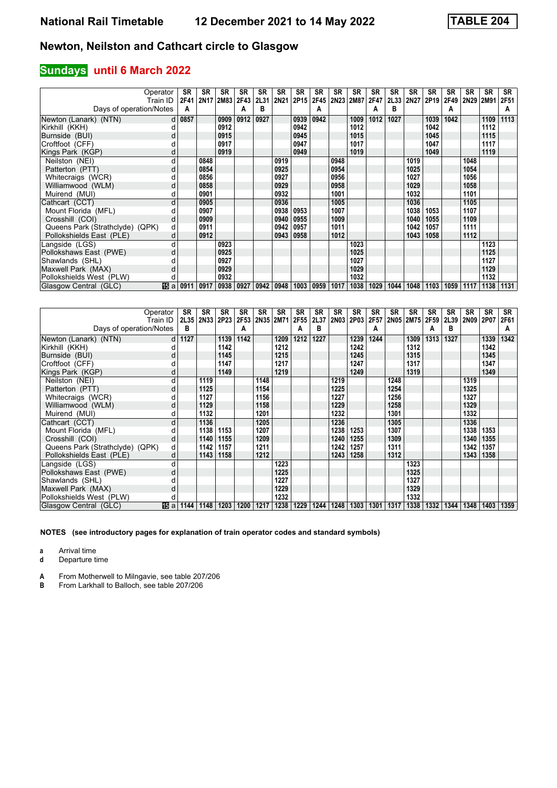## **Sundays until 6 March 2022**

|                                 | Operator<br>Train ID | <b>SR</b><br>2F41 | SR   | <b>SR</b><br>2N17 2M83 2F43 | <b>SR</b> | <b>SR</b><br>2L31 | <b>SR</b><br>2N21 | <b>SR</b><br>2P15 | <b>SR</b>   | <b>SR</b><br>2F45   2N23   2M87 | SR   | <b>SR</b><br>2F47 | <b>SR</b><br>2L33 | <b>SR</b><br>2N27 | <b>SR</b><br>2P <sub>19</sub> | <b>SR</b><br>2F49 | <b>SR</b><br>2N29 2M91 | <b>SR</b> | <b>SR</b><br>2F51 |
|---------------------------------|----------------------|-------------------|------|-----------------------------|-----------|-------------------|-------------------|-------------------|-------------|---------------------------------|------|-------------------|-------------------|-------------------|-------------------------------|-------------------|------------------------|-----------|-------------------|
| Days of operation/Notes         |                      | A                 |      |                             | А         | в                 |                   |                   | A           |                                 |      | A                 | в                 |                   |                               | А                 |                        |           | A                 |
| Newton (Lanark) (NTN)           |                      | $d$ 0857          |      | 0909                        | 0912      | 0927              |                   | 0939              | 0942        |                                 | 1009 | 1012              | 1027              |                   | 1039                          | 1042              |                        | 1109      | 1113              |
| Kirkhill (KKH)                  |                      |                   |      | 0912                        |           |                   |                   | 0942              |             |                                 | 1012 |                   |                   |                   | 1042                          |                   |                        | 1112      |                   |
| Burnside (BUI)                  | d                    |                   |      | 0915                        |           |                   |                   | 0945              |             |                                 | 1015 |                   |                   |                   | 1045                          |                   |                        | 1115      |                   |
| Croftfoot (CFF)                 |                      |                   |      | 0917                        |           |                   |                   | 0947              |             |                                 | 1017 |                   |                   |                   | 1047                          |                   |                        | 1117      |                   |
| Kings Park (KGP)                |                      |                   |      | 0919                        |           |                   |                   | 0949              |             |                                 | 1019 |                   |                   |                   | 1049                          |                   |                        | 1119      |                   |
| Neilston (NEI)                  | d                    |                   | 0848 |                             |           |                   | 0919              |                   |             | 0948                            |      |                   |                   | 1019              |                               |                   | 1048                   |           |                   |
| Patterton (PTT)                 | d                    |                   | 0854 |                             |           |                   | 0925              |                   |             | 0954                            |      |                   |                   | 1025              |                               |                   | 1054                   |           |                   |
| Whitecraigs (WCR)               |                      |                   | 0856 |                             |           |                   | 0927              |                   |             | 0956                            |      |                   |                   | 1027              |                               |                   | 1056                   |           |                   |
| Williamwood (WLM)               | d                    |                   | 0858 |                             |           |                   | 0929              |                   |             | 0958                            |      |                   |                   | 1029              |                               |                   | 1058                   |           |                   |
| Muirend (MUI)                   | d                    |                   | 0901 |                             |           |                   | 0932              |                   |             | 1001                            |      |                   |                   | 1032              |                               |                   | 1101                   |           |                   |
| Cathcart (CCT)                  | d                    |                   | 0905 |                             |           |                   | 0936              |                   |             | 1005                            |      |                   |                   | 1036              |                               |                   | 1105                   |           |                   |
| Mount Florida (MFL)             |                      |                   | 0907 |                             |           |                   | 0938              | 0953              |             | 1007                            |      |                   |                   | 1038              | 1053                          |                   | 1107                   |           |                   |
| Crosshill (COI)                 | d                    |                   | 0909 |                             |           |                   | 0940              | 0955              |             | 1009                            |      |                   |                   | 1040              | 1055                          |                   | 1109                   |           |                   |
| Queens Park (Strathclyde) (QPK) | d                    |                   | 0911 |                             |           |                   | 0942              | 0957              |             | 1011                            |      |                   |                   | 1042              | 1057                          |                   | 1111                   |           |                   |
| Pollokshields East (PLE)        | d                    |                   | 0912 |                             |           |                   | 0943              | 0958              |             | 1012                            |      |                   |                   | 1043              | 1058                          |                   | 1112                   |           |                   |
| Langside (LGS)                  |                      |                   |      | 0923                        |           |                   |                   |                   |             |                                 | 1023 |                   |                   |                   |                               |                   |                        | 1123      |                   |
| Pollokshaws East (PWE)          | d                    |                   |      | 0925                        |           |                   |                   |                   |             |                                 | 1025 |                   |                   |                   |                               |                   |                        | 1125      |                   |
| Shawlands (SHL)                 |                      |                   |      | 0927                        |           |                   |                   |                   |             |                                 | 1027 |                   |                   |                   |                               |                   |                        | 1127      |                   |
| Maxwell Park (MAX)              | d                    |                   |      | 0929                        |           |                   |                   |                   |             |                                 | 1029 |                   |                   |                   |                               |                   |                        | 1129      |                   |
| Pollokshields West (PLW)        |                      |                   |      | 0932                        |           |                   |                   |                   |             |                                 | 1032 |                   |                   |                   |                               |                   |                        | 1132      |                   |
| Glasgow Central (GLC)           | <b>囮 a 0911</b>      |                   | 0917 | 0938 0927                   |           |                   | $0942$ 0948       |                   | 1003   0959 | 1017                            | 1038 | 1029              | 1044              | 1048              | 1103                          | 1059              | 1117                   | 1138      | 1131              |

|                                 | Operator | SR   | <b>SR</b> | SR   | <b>SR</b> | <b>SR</b> | <b>SR</b> | <b>SR</b> | SR   | SR   | SR          | <b>SR</b> | <b>SR</b> | <b>SR</b> | <b>SR</b> | <b>SR</b> | <b>SR</b> | <b>SR</b> | <b>SR</b> |
|---------------------------------|----------|------|-----------|------|-----------|-----------|-----------|-----------|------|------|-------------|-----------|-----------|-----------|-----------|-----------|-----------|-----------|-----------|
|                                 | Train ID | 2L35 | 2N33 2P23 |      | 2F53      | 2N35 2M71 |           | 2F55      | 2L37 | 2N03 | <b>2P03</b> | 2F57      |           | 2N05 2M75 | 2F59      | 2L39      | 2N09 2P07 |           | 2F61      |
| Days of operation/Notes         |          | в    |           |      | А         |           |           | A         | в    |      |             | А         |           |           | A         | в         |           |           | A         |
| Newton (Lanark) (NTN)           | d        | 1127 |           | 1139 | 1142      |           | 1209      | 1212      | 1227 |      | 1239        | 1244      |           | 1309      | 1313      | 1327      |           | 1339      | 1342      |
| Kirkhill (KKH)                  |          |      |           | 1142 |           |           | 1212      |           |      |      | 1242        |           |           | 1312      |           |           |           | 1342      |           |
| Burnside (BUI)                  | d        |      |           | 1145 |           |           | 1215      |           |      |      | 1245        |           |           | 1315      |           |           |           | 1345      |           |
| Croftfoot (CFF)                 |          |      |           | 1147 |           |           | 1217      |           |      |      | 1247        |           |           | 1317      |           |           |           | 1347      |           |
| Kings Park (KGP)                | d        |      |           | 1149 |           |           | 1219      |           |      |      | 1249        |           |           | 1319      |           |           |           | 1349      |           |
| Neilston (NEI)                  | d        |      | 1119      |      |           | 1148      |           |           |      | 1219 |             |           | 1248      |           |           |           | 1319      |           |           |
| Patterton (PTT)                 | d        |      | 1125      |      |           | 1154      |           |           |      | 1225 |             |           | 1254      |           |           |           | 1325      |           |           |
| Whitecraigs (WCR)               |          |      | 1127      |      |           | 1156      |           |           |      | 1227 |             |           | 1256      |           |           |           | 1327      |           |           |
| Williamwood (WLM)               | d        |      | 1129      |      |           | 1158      |           |           |      | 1229 |             |           | 1258      |           |           |           | 1329      |           |           |
| Muirend (MUI)                   | d        |      | 1132      |      |           | 1201      |           |           |      | 1232 |             |           | 1301      |           |           |           | 1332      |           |           |
| Cathcart (CCT)                  | d        |      | 1136      |      |           | 1205      |           |           |      | 1236 |             |           | 1305      |           |           |           | 1336      |           |           |
| Mount Florida (MFL)             |          |      | 1138      | 1153 |           | 1207      |           |           |      | 1238 | 1253        |           | 1307      |           |           |           | 1338      | 1353      |           |
| Crosshill (COI)                 | d        |      | 1140      | 1155 |           | 1209      |           |           |      | 1240 | 1255        |           | 1309      |           |           |           | 1340      | 1355      |           |
| Queens Park (Strathclyde) (QPK) | d        |      | 1142      | 1157 |           | 1211      |           |           |      | 1242 | 1257        |           | 1311      |           |           |           | 1342      | 1357      |           |
| Pollokshields East (PLE)        | d        |      | 1143      | 1158 |           | 1212      |           |           |      | 1243 | 1258        |           | 1312      |           |           |           | 1343      | 1358      |           |
| Langside (LGS)                  | d        |      |           |      |           |           | 1223      |           |      |      |             |           |           | 1323      |           |           |           |           |           |
| Pollokshaws East (PWE)          | d        |      |           |      |           |           | 1225      |           |      |      |             |           |           | 1325      |           |           |           |           |           |
| Shawlands (SHL)                 |          |      |           |      |           |           | 1227      |           |      |      |             |           |           | 1327      |           |           |           |           |           |
| Maxwell Park (MAX)              | d        |      |           |      |           |           | 1229      |           |      |      |             |           |           | 1329      |           |           |           |           |           |
| Pollokshields West (PLW)        |          |      |           |      |           |           | 1232      |           |      |      |             |           |           | 1332      |           |           |           |           |           |
| Glasgow Central (GLC)           | 16 a     | 1144 | 1148      | 1203 | 1200      | 1217      | 1238      | 1229      | 1244 | 1248 | 1303        | 1301      | 1317      | 1338      | 1332      | 1344      | 1348      | 1403      | 1359      |

**NOTES (see introductory pages for explanation of train operator codes and standard symbols)**

**a** Arrival time<br>**d** Departure t

**d** Departure time

**A** From Motherwell to Milngavie, see table 207/206<br>**B** From Larkhall to Balloch, see table 207/206

From Larkhall to Balloch, see table 207/206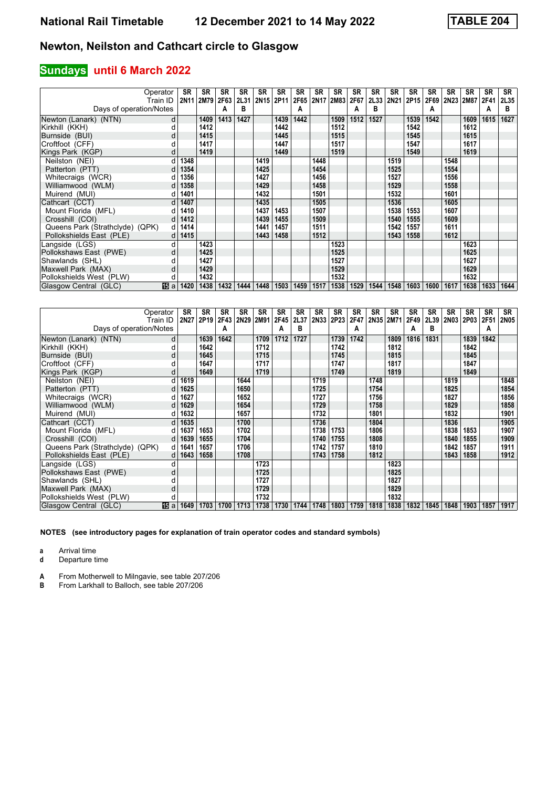## **Sundays until 6 March 2022**

| Operator<br>Train ID            |            | <b>SR</b><br>2N <sub>11</sub> | <b>SR</b><br>2M79 | <b>SR</b><br>2F63 | <b>SR</b><br>2L31 | SR<br>2N15 2P11 | <b>SR</b> | <b>SR</b><br>2F65 | <b>SR</b> | SR<br>2N17 2M83 | SR<br>2F67 | SR<br>2L33 | SR<br>2N21 | SR<br>2P <sub>15</sub> | SR<br>2F69 | <b>SR</b> | <b>SR</b><br>2N23 2M87 | <b>SR</b><br>2F41 | <b>SR</b><br><b>2L35</b> |
|---------------------------------|------------|-------------------------------|-------------------|-------------------|-------------------|-----------------|-----------|-------------------|-----------|-----------------|------------|------------|------------|------------------------|------------|-----------|------------------------|-------------------|--------------------------|
| Days of operation/Notes         |            |                               |                   | А                 | в                 |                 |           | А                 |           |                 | А          | в          |            |                        | Α          |           |                        | A                 | в                        |
| Newton (Lanark) (NTN)           | d          |                               | 1409              | 1413              | 1427              |                 | 1439      | 1442              |           | 1509            | 1512       | 1527       |            | 1539                   | 1542       |           | 1609                   | 1615              | 1627                     |
| Kirkhill (KKH)                  |            |                               | 1412              |                   |                   |                 | 1442      |                   |           | 1512            |            |            |            | 1542                   |            |           | 1612                   |                   |                          |
| Burnside (BUI)                  | d          |                               | 1415              |                   |                   |                 | 1445      |                   |           | 1515            |            |            |            | 1545                   |            |           | 1615                   |                   |                          |
| Croftfoot (CFF)                 |            |                               | 1417              |                   |                   |                 | 1447      |                   |           | 1517            |            |            |            | 1547                   |            |           | 1617                   |                   |                          |
| Kings Park (KGP)                | d          |                               | 1419              |                   |                   |                 | 1449      |                   |           | 1519            |            |            |            | 1549                   |            |           | 1619                   |                   |                          |
| Neilston (NEI)                  |            | 1348                          |                   |                   |                   | 1419            |           |                   | 1448      |                 |            |            | 1519       |                        |            | 1548      |                        |                   |                          |
| Patterton (PTT)                 |            | 1354                          |                   |                   |                   | 1425            |           |                   | 1454      |                 |            |            | 1525       |                        |            | 1554      |                        |                   |                          |
| Whitecraigs (WCR)               |            | 1356                          |                   |                   |                   | 1427            |           |                   | 1456      |                 |            |            | 1527       |                        |            | 1556      |                        |                   |                          |
| Williamwood (WLM)               | d          | 1358                          |                   |                   |                   | 1429            |           |                   | 1458      |                 |            |            | 1529       |                        |            | 1558      |                        |                   |                          |
| Muirend (MUI)                   |            | 1401                          |                   |                   |                   | 1432            |           |                   | 1501      |                 |            |            | 1532       |                        |            | 1601      |                        |                   |                          |
| Cathcart (CCT)                  | d          | 1407                          |                   |                   |                   | 1435            |           |                   | 1505      |                 |            |            | 1536       |                        |            | 1605      |                        |                   |                          |
| Mount Florida (MFL)             |            | 1410                          |                   |                   |                   | 1437            | 1453      |                   | 1507      |                 |            |            | 1538       | 1553                   |            | 1607      |                        |                   |                          |
| Crosshill (COI)                 |            | 1412                          |                   |                   |                   | 1439            | 1455      |                   | 1509      |                 |            |            | 1540       | 1555                   |            | 1609      |                        |                   |                          |
| Queens Park (Strathclyde) (QPK) | d          | 1414                          |                   |                   |                   | 1441            | 1457      |                   | 1511      |                 |            |            | 1542       | 1557                   |            | 1611      |                        |                   |                          |
| Pollokshields East (PLE)        |            | 1415                          |                   |                   |                   | 1443            | 1458      |                   | 1512      |                 |            |            | 1543       | 1558                   |            | 1612      |                        |                   |                          |
| Langside (LGS)                  | d          |                               | 1423              |                   |                   |                 |           |                   |           | 1523            |            |            |            |                        |            |           | 1623                   |                   |                          |
| Pollokshaws East (PWE)          | d          |                               | 1425              |                   |                   |                 |           |                   |           | 1525            |            |            |            |                        |            |           | 1625                   |                   |                          |
| Shawlands (SHL)                 |            |                               | 1427              |                   |                   |                 |           |                   |           | 1527            |            |            |            |                        |            |           | 1627                   |                   |                          |
| Maxwell Park (MAX)              | d          |                               | 1429              |                   |                   |                 |           |                   |           | 1529            |            |            |            |                        |            |           | 1629                   |                   |                          |
| Pollokshields West (PLW)        | d          |                               | 1432              |                   |                   |                 |           |                   |           | 1532            |            |            |            |                        |            |           | 1632                   |                   |                          |
| Glasgow Central (GLC)           | <b>旧</b> a | 1420                          | 1438              | 1432              | 1444              | 1448            | 1503      | 1459              | 1517      | 1538            | 1529       | 1544       | 1548       | 1603                   | 1600       | 1617      | 1638                   | 1633              | 1644                     |

|                                 | Operator     | SR          | <b>SR</b>        | <b>SR</b> | SR   | <b>SR</b> | <b>SR</b> | <b>SR</b> | SR   | <b>SR</b> | <b>SR</b> | <b>SR</b> | <b>SR</b> | <b>SR</b> | <b>SR</b> | <b>SR</b> | <b>SR</b> | <b>SR</b> | SR   |
|---------------------------------|--------------|-------------|------------------|-----------|------|-----------|-----------|-----------|------|-----------|-----------|-----------|-----------|-----------|-----------|-----------|-----------|-----------|------|
|                                 | Train ID     | <b>2N27</b> | 2P <sub>19</sub> | 2F43 2N29 |      | 2M91      | 2F45      | 2L37      | 2N33 | 2P23      | 2F47      |           | 2N35 2M71 | 2F49      | 2L39      | 2N03      | 2P03 2F51 |           | 2N05 |
| Days of operation/Notes         |              |             |                  | А         |      |           | А         | в         |      |           | A         |           |           | Α         | В         |           |           | Α         |      |
| Newton (Lanark) (NTN)           | d            |             | 1639             | 1642      |      | 1709      | 1712      | 1727      |      | 1739      | 1742      |           | 1809      | 1816      | 1831      |           | 1839      | 1842      |      |
| Kirkhill (KKH)                  |              |             | 1642             |           |      | 1712      |           |           |      | 1742      |           |           | 1812      |           |           |           | 1842      |           |      |
| Burnside (BUI)                  | d            |             | 1645             |           |      | 1715      |           |           |      | 1745      |           |           | 1815      |           |           |           | 1845      |           |      |
| Croftfoot (CFF)                 |              |             | 1647             |           |      | 1717      |           |           |      | 1747      |           |           | 1817      |           |           |           | 1847      |           |      |
| Kings Park (KGP)                | d            |             | 1649             |           |      | 1719      |           |           |      | 1749      |           |           | 1819      |           |           |           | 1849      |           |      |
| Neilston (NEI)                  |              | 1619        |                  |           | 1644 |           |           |           | 1719 |           |           | 1748      |           |           |           | 1819      |           |           | 1848 |
| Patterton (PTT)                 |              | 1625        |                  |           | 1650 |           |           |           | 1725 |           |           | 1754      |           |           |           | 1825      |           |           | 1854 |
| Whitecraigs (WCR)               |              | 1627        |                  |           | 1652 |           |           |           | 1727 |           |           | 1756      |           |           |           | 1827      |           |           | 1856 |
| Williamwood (WLM)               |              | 1629        |                  |           | 1654 |           |           |           | 1729 |           |           | 1758      |           |           |           | 1829      |           |           | 1858 |
| Muirend (MUI)                   |              | 1632        |                  |           | 1657 |           |           |           | 1732 |           |           | 1801      |           |           |           | 1832      |           |           | 1901 |
| Cathcart (CCT)                  | <sub>d</sub> | 1635        |                  |           | 1700 |           |           |           | 1736 |           |           | 1804      |           |           |           | 1836      |           |           | 1905 |
| Mount Florida (MFL)             |              | 1637        | 1653             |           | 1702 |           |           |           | 1738 | 1753      |           | 1806      |           |           |           | 1838      | 1853      |           | 1907 |
| Crosshill (COI)                 | $d \mid$     | 1639        | 1655             |           | 1704 |           |           |           | 1740 | 1755      |           | 1808      |           |           |           | 1840      | 1855      |           | 1909 |
| Queens Park (Strathclyde) (QPK) | dl           | 1641        | 1657             |           | 1706 |           |           |           | 1742 | 1757      |           | 1810      |           |           |           | 1842      | 1857      |           | 1911 |
| Pollokshields East (PLE)        | d            | 1643        | 1658             |           | 1708 |           |           |           | 1743 | 1758      |           | 1812      |           |           |           | 1843      | 1858      |           | 1912 |
| Langside (LGS)                  |              |             |                  |           |      | 1723      |           |           |      |           |           |           | 1823      |           |           |           |           |           |      |
| Pollokshaws East (PWE)          | d            |             |                  |           |      | 1725      |           |           |      |           |           |           | 1825      |           |           |           |           |           |      |
| Shawlands (SHL)                 |              |             |                  |           |      | 1727      |           |           |      |           |           |           | 1827      |           |           |           |           |           |      |
| Maxwell Park (MAX)              | d            |             |                  |           |      | 1729      |           |           |      |           |           |           | 1829      |           |           |           |           |           |      |
| Pollokshields West (PLW)        |              |             |                  |           |      | 1732      |           |           |      |           |           |           | 1832      |           |           |           |           |           |      |
| Glasgow Central (GLC)           | 115 a        | 1649        | 1703             | 1700      | 1713 | 1738      | 1730      | 1744      | 1748 | 1803      | 1759      | 1818      | 1838      | 1832      | 1845      | 1848      | 1903      | 1857      | 1917 |

**NOTES (see introductory pages for explanation of train operator codes and standard symbols)**

**a** Arrival time<br>**d** Departure t

**d** Departure time

**A** From Motherwell to Milngavie, see table 207/206<br>**B** From Larkhall to Balloch, see table 207/206

From Larkhall to Balloch, see table 207/206